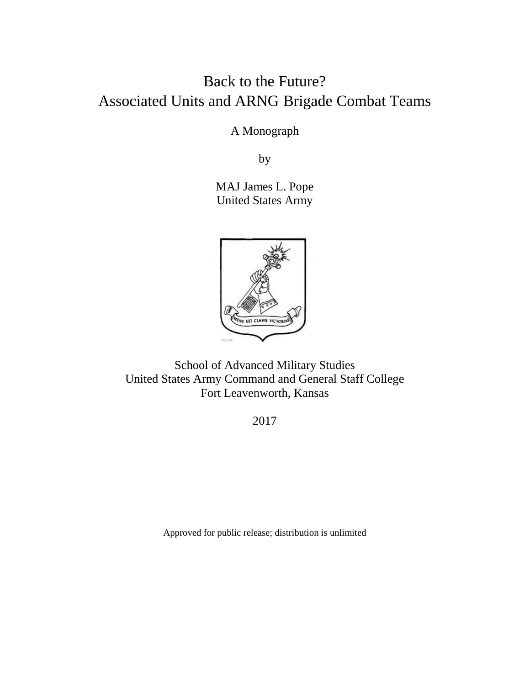# Back to the Future? Associated Units and ARNG Brigade Combat Teams

A Monograph

by

MAJ James L. Pope United States Army



School of Advanced Military Studies United States Army Command and General Staff College Fort Leavenworth, Kansas

2017

Approved for public release; distribution is unlimited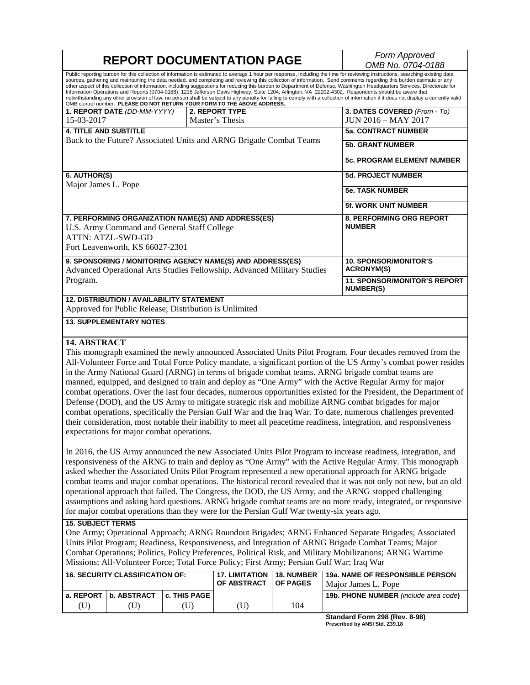| <b>REPORT DOCUMENTATION PAGE</b>                                                                                                                                 |                                                                                                                                                                                                                                                                                                                                                                                                                                                                                                                                                                                                                                                                                                                                                                                                                                                                                       | Form Approved                                           |
|------------------------------------------------------------------------------------------------------------------------------------------------------------------|---------------------------------------------------------------------------------------------------------------------------------------------------------------------------------------------------------------------------------------------------------------------------------------------------------------------------------------------------------------------------------------------------------------------------------------------------------------------------------------------------------------------------------------------------------------------------------------------------------------------------------------------------------------------------------------------------------------------------------------------------------------------------------------------------------------------------------------------------------------------------------------|---------------------------------------------------------|
|                                                                                                                                                                  | OMB No. 0704-0188                                                                                                                                                                                                                                                                                                                                                                                                                                                                                                                                                                                                                                                                                                                                                                                                                                                                     |                                                         |
| OMB control number. PLEASE DO NOT RETURN YOUR FORM TO THE ABOVE ADDRESS.                                                                                         | Public reporting burden for this collection of information is estimated to average 1 hour per response, including the time for reviewing instructions, searching existing data<br>sources, gathering and maintaining the data needed, and completing and reviewing this collection of information. Send comments regarding this burden estimate or any<br>other aspect of this collection of information, including suggestions for reducing this burden to Department of Defense, Washington Headquarters Services, Directorate for<br>Information Operations and Reports (0704-0188), 1215 Jefferson Davis Highway, Suite 1204, Arlington, VA 22202-4302. Respondents should be aware that<br>notwithstanding any other provision of law, no person shall be subject to any penalty for failing to comply with a collection of information if it does not display a currently valid |                                                         |
| 1. REPORT DATE (DD-MM-YYYY)                                                                                                                                      | 2. REPORT TYPE                                                                                                                                                                                                                                                                                                                                                                                                                                                                                                                                                                                                                                                                                                                                                                                                                                                                        | 3. DATES COVERED (From - To)                            |
| 15-03-2017                                                                                                                                                       | Master's Thesis                                                                                                                                                                                                                                                                                                                                                                                                                                                                                                                                                                                                                                                                                                                                                                                                                                                                       | JUN 2016 - MAY 2017                                     |
| <b>4. TITLE AND SUBTITLE</b>                                                                                                                                     |                                                                                                                                                                                                                                                                                                                                                                                                                                                                                                                                                                                                                                                                                                                                                                                                                                                                                       | <b>5a. CONTRACT NUMBER</b>                              |
| Back to the Future? Associated Units and ARNG Brigade Combat Teams                                                                                               |                                                                                                                                                                                                                                                                                                                                                                                                                                                                                                                                                                                                                                                                                                                                                                                                                                                                                       | <b>5b. GRANT NUMBER</b>                                 |
|                                                                                                                                                                  |                                                                                                                                                                                                                                                                                                                                                                                                                                                                                                                                                                                                                                                                                                                                                                                                                                                                                       | <b>5c. PROGRAM ELEMENT NUMBER</b>                       |
| 6. AUTHOR(S)                                                                                                                                                     |                                                                                                                                                                                                                                                                                                                                                                                                                                                                                                                                                                                                                                                                                                                                                                                                                                                                                       | <b>5d. PROJECT NUMBER</b>                               |
| Major James L. Pope                                                                                                                                              |                                                                                                                                                                                                                                                                                                                                                                                                                                                                                                                                                                                                                                                                                                                                                                                                                                                                                       | <b>5e. TASK NUMBER</b>                                  |
|                                                                                                                                                                  |                                                                                                                                                                                                                                                                                                                                                                                                                                                                                                                                                                                                                                                                                                                                                                                                                                                                                       | <b>5f. WORK UNIT NUMBER</b>                             |
| 7. PERFORMING ORGANIZATION NAME(S) AND ADDRESS(ES)<br>U.S. Army Command and General Staff College<br><b>ATTN: ATZL-SWD-GD</b><br>Fort Leavenworth, KS 66027-2301 |                                                                                                                                                                                                                                                                                                                                                                                                                                                                                                                                                                                                                                                                                                                                                                                                                                                                                       | <b>8. PERFORMING ORG REPORT</b><br><b>NUMBER</b>        |
| 9. SPONSORING / MONITORING AGENCY NAME(S) AND ADDRESS(ES)<br>Advanced Operational Arts Studies Fellowship, Advanced Military Studies                             |                                                                                                                                                                                                                                                                                                                                                                                                                                                                                                                                                                                                                                                                                                                                                                                                                                                                                       | <b>10. SPONSOR/MONITOR'S</b><br><b>ACRONYM(S)</b>       |
| Program.                                                                                                                                                         |                                                                                                                                                                                                                                                                                                                                                                                                                                                                                                                                                                                                                                                                                                                                                                                                                                                                                       | <b>11. SPONSOR/MONITOR'S REPORT</b><br><b>NUMBER(S)</b> |
| <b>12. DISTRIBUTION / AVAILABILITY STATEMENT</b>                                                                                                                 |                                                                                                                                                                                                                                                                                                                                                                                                                                                                                                                                                                                                                                                                                                                                                                                                                                                                                       |                                                         |
| Approved for Public Release; Distribution is Unlimited                                                                                                           |                                                                                                                                                                                                                                                                                                                                                                                                                                                                                                                                                                                                                                                                                                                                                                                                                                                                                       |                                                         |
| <b>13. SUPPLEMENTARY NOTES</b>                                                                                                                                   |                                                                                                                                                                                                                                                                                                                                                                                                                                                                                                                                                                                                                                                                                                                                                                                                                                                                                       |                                                         |
| <b>14. ABSTRACT</b>                                                                                                                                              |                                                                                                                                                                                                                                                                                                                                                                                                                                                                                                                                                                                                                                                                                                                                                                                                                                                                                       |                                                         |
|                                                                                                                                                                  | This monograph examined the newly announced Associated Units Pilot Program. Four decades removed from the                                                                                                                                                                                                                                                                                                                                                                                                                                                                                                                                                                                                                                                                                                                                                                             |                                                         |
|                                                                                                                                                                  | All-Volunteer Force and Total Force Policy mandate, a significant portion of the US Army's combat power resides                                                                                                                                                                                                                                                                                                                                                                                                                                                                                                                                                                                                                                                                                                                                                                       |                                                         |

in the Army National Guard (ARNG) in terms of brigade combat teams. ARNG brigade combat teams are manned, equipped, and designed to train and deploy as "One Army" with the Active Regular Army for major combat operations. Over the last four decades, numerous opportunities existed for the President, the Department of Defense (DOD), and the US Army to mitigate strategic risk and mobilize ARNG combat brigades for major combat operations, specifically the Persian Gulf War and the Iraq War. To date, numerous challenges prevented their consideration, most notable their inability to meet all peacetime readiness, integration, and responsiveness expectations for major combat operations.

In 2016, the US Army announced the new Associated Units Pilot Program to increase readiness, integration, and responsiveness of the ARNG to train and deploy as "One Army" with the Active Regular Army. This monograph asked whether the Associated Units Pilot Program represented a new operational approach for ARNG brigade combat teams and major combat operations. The historical record revealed that it was not only not new, but an old operational approach that failed. The Congress, the DOD, the US Army, and the ARNG stopped challenging assumptions and asking hard questions. ARNG brigade combat teams are no more ready, integrated, or responsive for major combat operations than they were for the Persian Gulf War twenty-six years ago.

#### **15. SUBJECT TERMS**

One Army; Operational Approach; ARNG Roundout Brigades; ARNG Enhanced Separate Brigades; Associated Units Pilot Program; Readiness, Responsiveness, and Integration of ARNG Brigade Combat Teams; Major Combat Operations; Politics, Policy Preferences, Political Risk, and Military Mobilizations; ARNG Wartime Missions; All-Volunteer Force; Total Force Policy; First Army; Persian Gulf War; Iraq War

| I 16. SECURITY CLASSIFICATION OF:      | <b>17. LIMITATION 18. NUMBER</b><br><b>OF ABSTRACT</b> | <b>OF PAGES</b> | l 19a. NAME OF RESPONSIBLE PERSON.<br>Maior James L. Pope |
|----------------------------------------|--------------------------------------------------------|-----------------|-----------------------------------------------------------|
| a. REPORT   b. ABSTRACT   c. THIS PAGE |                                                        |                 | <b>19b. PHONE NUMBER</b> (include area code)              |
|                                        | U)                                                     | 104             |                                                           |

**Standard Form 298 (Rev. 8-98) Prescribed by ANSI Std. Z39.18**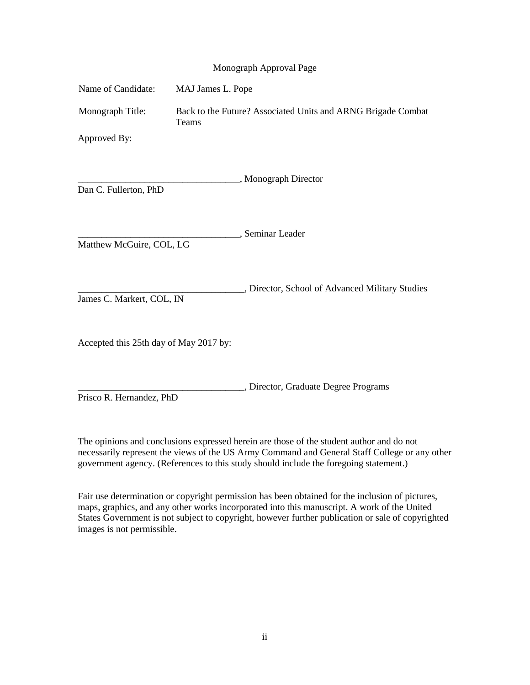|  | Monograph Approval Page |  |  |
|--|-------------------------|--|--|
|--|-------------------------|--|--|

| Name of Candidate:                     | MAJ James L. Pope                                                     |  |
|----------------------------------------|-----------------------------------------------------------------------|--|
| Monograph Title:                       | Back to the Future? Associated Units and ARNG Brigade Combat<br>Teams |  |
| Approved By:                           |                                                                       |  |
| Dan C. Fullerton, PhD                  | "Monograph Director                                                   |  |
| Matthew McGuire, COL, LG               | , Seminar Leader                                                      |  |
| James C. Markert, COL, IN              | , Director, School of Advanced Military Studies                       |  |
| Accepted this 25th day of May 2017 by: |                                                                       |  |
| Prisco R. Hernandez, PhD               | , Director, Graduate Degree Programs                                  |  |

The opinions and conclusions expressed herein are those of the student author and do not necessarily represent the views of the US Army Command and General Staff College or any other government agency. (References to this study should include the foregoing statement.)

Fair use determination or copyright permission has been obtained for the inclusion of pictures, maps, graphics, and any other works incorporated into this manuscript. A work of the United States Government is not subject to copyright, however further publication or sale of copyrighted images is not permissible.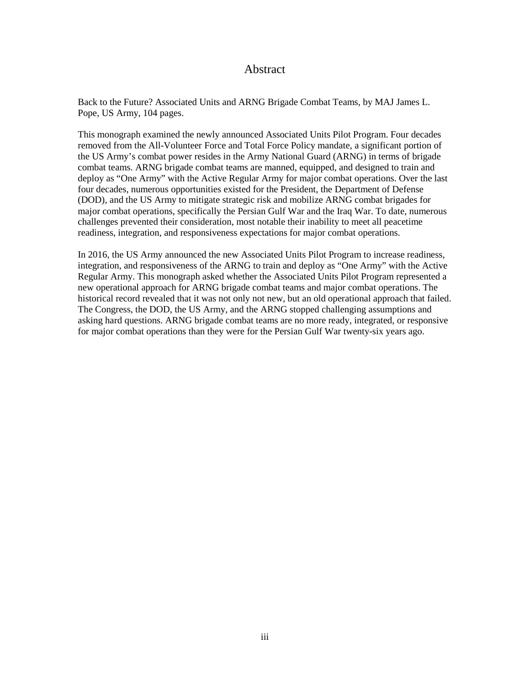## Abstract

Back to the Future? Associated Units and ARNG Brigade Combat Teams, by MAJ James L. Pope, US Army, 104 pages.

This monograph examined the newly announced Associated Units Pilot Program. Four decades removed from the All-Volunteer Force and Total Force Policy mandate, a significant portion of the US Army's combat power resides in the Army National Guard (ARNG) in terms of brigade combat teams. ARNG brigade combat teams are manned, equipped, and designed to train and deploy as "One Army" with the Active Regular Army for major combat operations. Over the last four decades, numerous opportunities existed for the President, the Department of Defense (DOD), and the US Army to mitigate strategic risk and mobilize ARNG combat brigades for major combat operations, specifically the Persian Gulf War and the Iraq War. To date, numerous challenges prevented their consideration, most notable their inability to meet all peacetime readiness, integration, and responsiveness expectations for major combat operations.

In 2016, the US Army announced the new Associated Units Pilot Program to increase readiness, integration, and responsiveness of the ARNG to train and deploy as "One Army" with the Active Regular Army. This monograph asked whether the Associated Units Pilot Program represented a new operational approach for ARNG brigade combat teams and major combat operations. The historical record revealed that it was not only not new, but an old operational approach that failed. The Congress, the DOD, the US Army, and the ARNG stopped challenging assumptions and asking hard questions. ARNG brigade combat teams are no more ready, integrated, or responsive for major combat operations than they were for the Persian Gulf War twenty-six years ago.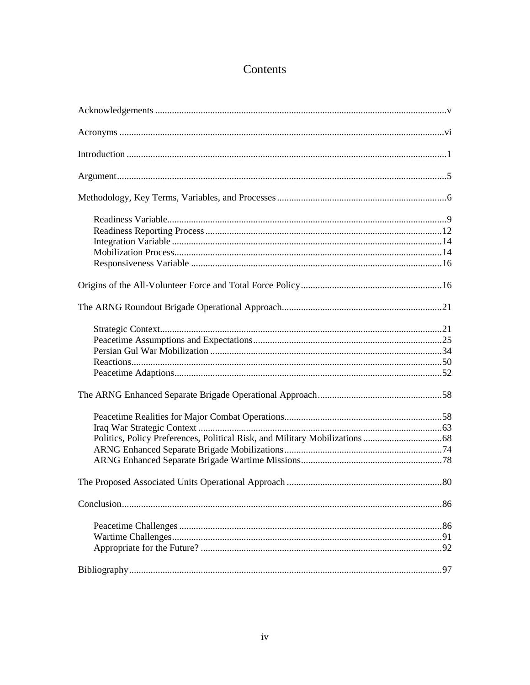# Contents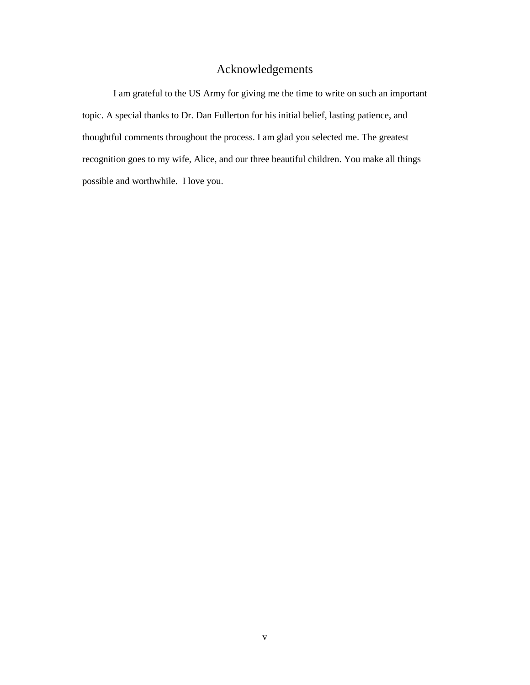# Acknowledgements

I am grateful to the US Army for giving me the time to write on such an important topic. A special thanks to Dr. Dan Fullerton for his initial belief, lasting patience, and thoughtful comments throughout the process. I am glad you selected me. The greatest recognition goes to my wife, Alice, and our three beautiful children. You make all things possible and worthwhile. I love you.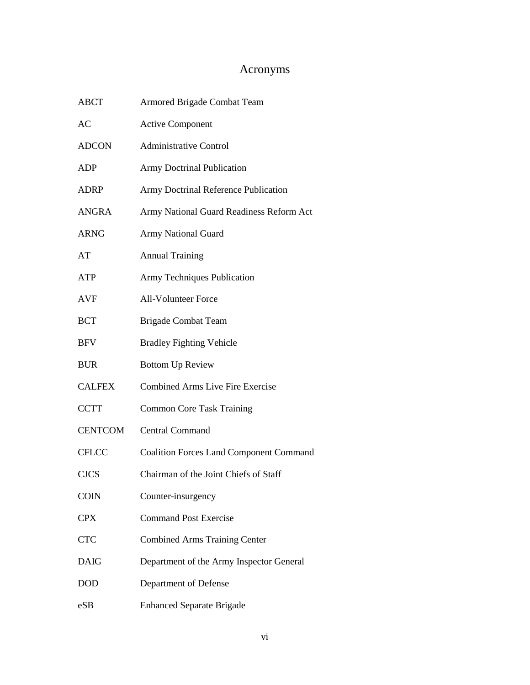# Acronyms

| <b>ABCT</b>    | Armored Brigade Combat Team                    |
|----------------|------------------------------------------------|
| AC             | <b>Active Component</b>                        |
| <b>ADCON</b>   | <b>Administrative Control</b>                  |
| ADP            | <b>Army Doctrinal Publication</b>              |
| ADRP           | Army Doctrinal Reference Publication           |
| <b>ANGRA</b>   | Army National Guard Readiness Reform Act       |
| <b>ARNG</b>    | <b>Army National Guard</b>                     |
| AT             | <b>Annual Training</b>                         |
| <b>ATP</b>     | Army Techniques Publication                    |
| <b>AVF</b>     | <b>All-Volunteer Force</b>                     |
| <b>BCT</b>     | <b>Brigade Combat Team</b>                     |
| <b>BFV</b>     | <b>Bradley Fighting Vehicle</b>                |
| <b>BUR</b>     | <b>Bottom Up Review</b>                        |
| <b>CALFEX</b>  | <b>Combined Arms Live Fire Exercise</b>        |
| <b>CCTT</b>    | <b>Common Core Task Training</b>               |
| <b>CENTCOM</b> | <b>Central Command</b>                         |
| <b>CFLCC</b>   | <b>Coalition Forces Land Component Command</b> |
| <b>CJCS</b>    | Chairman of the Joint Chiefs of Staff          |
| <b>COIN</b>    | Counter-insurgency                             |
| <b>CPX</b>     | <b>Command Post Exercise</b>                   |
| <b>CTC</b>     | <b>Combined Arms Training Center</b>           |
| <b>DAIG</b>    | Department of the Army Inspector General       |
| <b>DOD</b>     | Department of Defense                          |
| eSB            | <b>Enhanced Separate Brigade</b>               |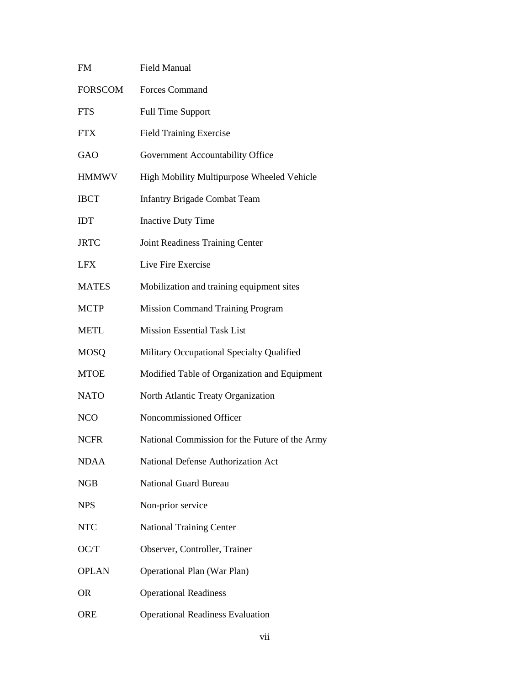| <b>FM</b>      | <b>Field Manual</b>                            |
|----------------|------------------------------------------------|
| <b>FORSCOM</b> | <b>Forces Command</b>                          |
| <b>FTS</b>     | <b>Full Time Support</b>                       |
| <b>FTX</b>     | <b>Field Training Exercise</b>                 |
| GAO            | Government Accountability Office               |
| <b>HMMWV</b>   | High Mobility Multipurpose Wheeled Vehicle     |
| <b>IBCT</b>    | <b>Infantry Brigade Combat Team</b>            |
| <b>IDT</b>     | <b>Inactive Duty Time</b>                      |
| <b>JRTC</b>    | Joint Readiness Training Center                |
| <b>LFX</b>     | Live Fire Exercise                             |
| <b>MATES</b>   | Mobilization and training equipment sites      |
| <b>MCTP</b>    | <b>Mission Command Training Program</b>        |
| <b>METL</b>    | <b>Mission Essential Task List</b>             |
| <b>MOSQ</b>    | Military Occupational Specialty Qualified      |
| <b>MTOE</b>    | Modified Table of Organization and Equipment   |
| <b>NATO</b>    | North Atlantic Treaty Organization             |
| <b>NCO</b>     | Noncommissioned Officer                        |
| <b>NCFR</b>    | National Commission for the Future of the Army |
| <b>NDAA</b>    | National Defense Authorization Act             |
| <b>NGB</b>     | <b>National Guard Bureau</b>                   |
| <b>NPS</b>     | Non-prior service                              |
| <b>NTC</b>     | <b>National Training Center</b>                |
| OC/T           | Observer, Controller, Trainer                  |
| <b>OPLAN</b>   | <b>Operational Plan (War Plan)</b>             |
| 0R             | <b>Operational Readiness</b>                   |
| <b>ORE</b>     | <b>Operational Readiness Evaluation</b>        |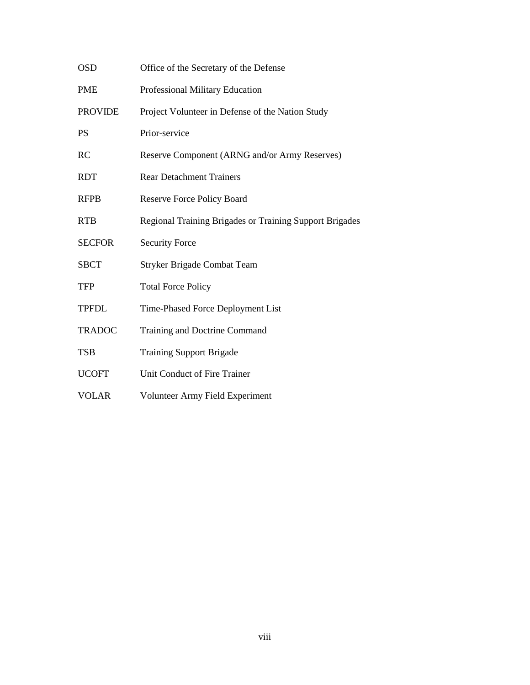| <b>OSD</b>     | Office of the Secretary of the Defense                  |
|----------------|---------------------------------------------------------|
| <b>PME</b>     | Professional Military Education                         |
| <b>PROVIDE</b> | Project Volunteer in Defense of the Nation Study        |
| <b>PS</b>      | Prior-service                                           |
| <b>RC</b>      | Reserve Component (ARNG and/or Army Reserves)           |
| <b>RDT</b>     | <b>Rear Detachment Trainers</b>                         |
| <b>RFPB</b>    | <b>Reserve Force Policy Board</b>                       |
| <b>RTB</b>     | Regional Training Brigades or Training Support Brigades |
| <b>SECFOR</b>  | <b>Security Force</b>                                   |
| <b>SBCT</b>    | <b>Stryker Brigade Combat Team</b>                      |
| TFP            | <b>Total Force Policy</b>                               |
| <b>TPFDL</b>   | Time-Phased Force Deployment List                       |
| <b>TRADOC</b>  | Training and Doctrine Command                           |
| <b>TSB</b>     | <b>Training Support Brigade</b>                         |
| <b>UCOFT</b>   | Unit Conduct of Fire Trainer                            |
| <b>VOLAR</b>   | Volunteer Army Field Experiment                         |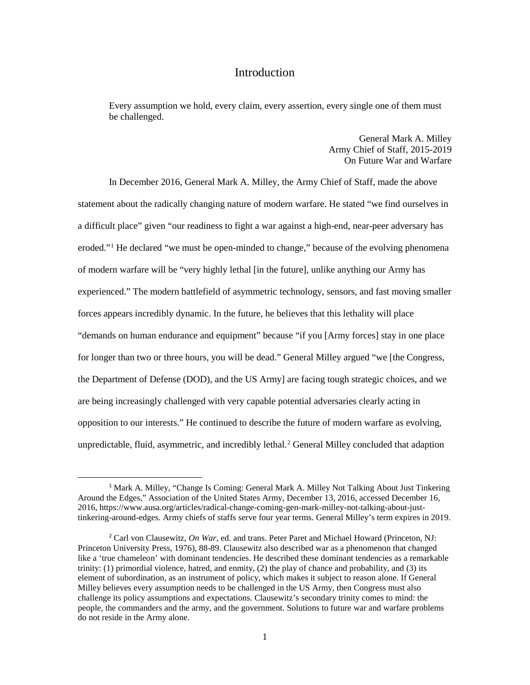## **Introduction**

Every assumption we hold, every claim, every assertion, every single one of them must be challenged.

> General Mark A. Milley Army Chief of Staff, 2015-2019 On Future War and Warfare

In December 2016, General Mark A. Milley, the Army Chief of Staff, made the above statement about the radically changing nature of modern warfare. He stated "we find ourselves in a difficult place" given "our readiness to fight a war against a high-end, near-peer adversary has eroded."[1](#page-9-0) He declared "we must be open-minded to change," because of the evolving phenomena of modern warfare will be "very highly lethal [in the future], unlike anything our Army has experienced." The modern battlefield of asymmetric technology, sensors, and fast moving smaller forces appears incredibly dynamic. In the future, he believes that this lethality will place "demands on human endurance and equipment" because "if you [Army forces] stay in one place for longer than two or three hours, you will be dead." General Milley argued "we [the Congress, the Department of Defense (DOD), and the US Army] are facing tough strategic choices, and we are being increasingly challenged with very capable potential adversaries clearly acting in opposition to our interests." He continued to describe the future of modern warfare as evolving, unpredictable, fluid, asymmetric, and incredibly lethal. [2](#page-9-1) General Milley concluded that adaption

<span id="page-9-0"></span> <sup>1</sup> Mark A. Milley, "Change Is Coming: General Mark A. Milley Not Talking About Just Tinkering Around the Edges," Association of the United States Army, December 13, 2016, accessed December 16, 2016, https://www.ausa.org/articles/radical-change-coming-gen-mark-milley-not-talking-about-justtinkering-around-edges. Army chiefs of staffs serve four year terms. General Milley's term expires in 2019.

<span id="page-9-1"></span><sup>2</sup> Carl von Clausewitz, *On War*, ed. and trans. Peter Paret and Michael Howard (Princeton, NJ: Princeton University Press, 1976), 88-89. Clausewitz also described war as a phenomenon that changed like a 'true chameleon' with dominant tendencies. He described these dominant tendencies as a remarkable trinity: (1) primordial violence, hatred, and enmity, (2) the play of chance and probability, and (3) its element of subordination, as an instrument of policy, which makes it subject to reason alone. If General Milley believes every assumption needs to be challenged in the US Army, then Congress must also challenge its policy assumptions and expectations. Clausewitz's secondary trinity comes to mind: the people, the commanders and the army, and the government. Solutions to future war and warfare problems do not reside in the Army alone.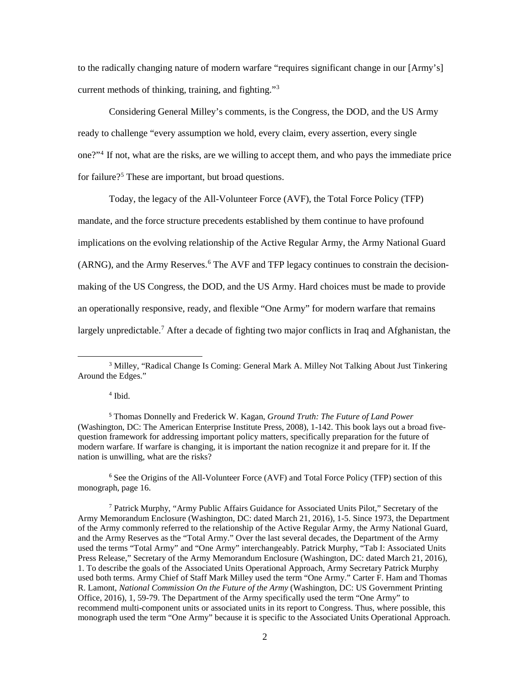to the radically changing nature of modern warfare "requires significant change in our [Army's] current methods of thinking, training, and fighting."[3](#page-10-0)

Considering General Milley's comments, is the Congress, the DOD, and the US Army ready to challenge "every assumption we hold, every claim, every assertion, every single one?"[4](#page-10-1) If not, what are the risks, are we willing to accept them, and who pays the immediate price for failure?<sup>[5](#page-10-2)</sup> These are important, but broad questions.

Today, the legacy of the All-Volunteer Force (AVF), the Total Force Policy (TFP) mandate, and the force structure precedents established by them continue to have profound implications on the evolving relationship of the Active Regular Army, the Army National Guard (ARNG), and the Army Reserves. [6](#page-10-3) The AVF and TFP legacy continues to constrain the decisionmaking of the US Congress, the DOD, and the US Army. Hard choices must be made to provide an operationally responsive, ready, and flexible "One Army" for modern warfare that remains largely unpredictable.<sup>[7](#page-10-4)</sup> After a decade of fighting two major conflicts in Iraq and Afghanistan, the

### <sup>4</sup> Ibid.

l

<span id="page-10-3"></span><sup>6</sup> See the Origins of the All-Volunteer Force (AVF) and Total Force Policy (TFP) section of this monograph, page 16.

<span id="page-10-0"></span><sup>&</sup>lt;sup>3</sup> Milley, "Radical Change Is Coming: General Mark A. Milley Not Talking About Just Tinkering Around the Edges."

<span id="page-10-2"></span><span id="page-10-1"></span><sup>5</sup> Thomas Donnelly and Frederick W. Kagan, *Ground Truth: The Future of Land Power* (Washington, DC: The American Enterprise Institute Press, 2008), 1-142. This book lays out a broad fivequestion framework for addressing important policy matters, specifically preparation for the future of modern warfare. If warfare is changing, it is important the nation recognize it and prepare for it. If the nation is unwilling, what are the risks?

<span id="page-10-4"></span><sup>7</sup> Patrick Murphy, "Army Public Affairs Guidance for Associated Units Pilot," Secretary of the Army Memorandum Enclosure (Washington, DC: dated March 21, 2016), 1-5. Since 1973, the Department of the Army commonly referred to the relationship of the Active Regular Army, the Army National Guard, and the Army Reserves as the "Total Army." Over the last several decades, the Department of the Army used the terms "Total Army" and "One Army" interchangeably. Patrick Murphy, "Tab I: Associated Units Press Release," Secretary of the Army Memorandum Enclosure (Washington, DC: dated March 21, 2016), 1. To describe the goals of the Associated Units Operational Approach, Army Secretary Patrick Murphy used both terms. Army Chief of Staff Mark Milley used the term "One Army." Carter F. Ham and Thomas R. Lamont, *National Commission On the Future of the Army* (Washington, DC: US Government Printing Office, 2016), 1, 59-79. The Department of the Army specifically used the term "One Army" to recommend multi-component units or associated units in its report to Congress. Thus, where possible, this monograph used the term "One Army" because it is specific to the Associated Units Operational Approach.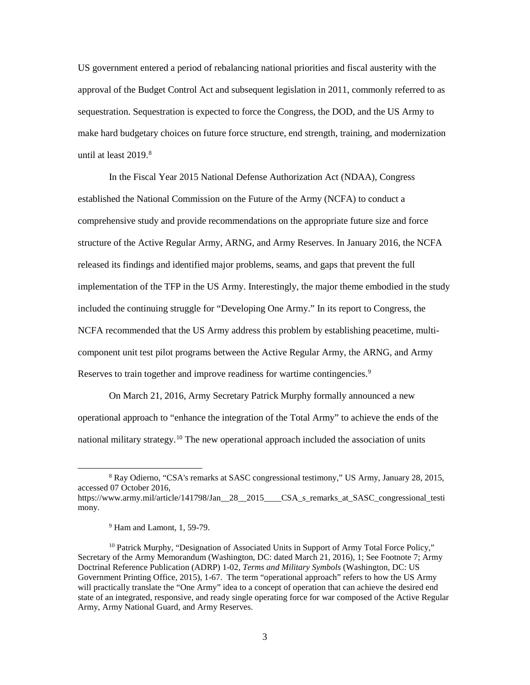US government entered a period of rebalancing national priorities and fiscal austerity with the approval of the Budget Control Act and subsequent legislation in 2011, commonly referred to as sequestration. Sequestration is expected to force the Congress, the DOD, and the US Army to make hard budgetary choices on future force structure, end strength, training, and modernization until at least 2019. [8](#page-11-0)

In the Fiscal Year 2015 National Defense Authorization Act (NDAA), Congress established the National Commission on the Future of the Army (NCFA) to conduct a comprehensive study and provide recommendations on the appropriate future size and force structure of the Active Regular Army, ARNG, and Army Reserves. In January 2016, the NCFA released its findings and identified major problems, seams, and gaps that prevent the full implementation of the TFP in the US Army. Interestingly, the major theme embodied in the study included the continuing struggle for "Developing One Army." In its report to Congress, the NCFA recommended that the US Army address this problem by establishing peacetime, multicomponent unit test pilot programs between the Active Regular Army, the ARNG, and Army Reserves to train together and improve readiness for wartime contingencies.<sup>[9](#page-11-1)</sup>

On March 21, 2016, Army Secretary Patrick Murphy formally announced a new operational approach to "enhance the integration of the Total Army" to achieve the ends of the national military strategy.<sup>[10](#page-11-2)</sup> The new operational approach included the association of units

l

<span id="page-11-1"></span>mony.

<span id="page-11-0"></span><sup>8</sup> Ray Odierno, "CSA's remarks at SASC congressional testimony," US Army, January 28, 2015, accessed 07 October 2016, https://www.army.mil/article/141798/Jan\_\_28\_\_2015\_\_\_\_CSA\_s\_remarks\_at\_SASC\_congressional\_testi

<sup>9</sup> Ham and Lamont, 1, 59-79.

<span id="page-11-2"></span><sup>&</sup>lt;sup>10</sup> Patrick Murphy, "Designation of Associated Units in Support of Army Total Force Policy," Secretary of the Army Memorandum (Washington, DC: dated March 21, 2016), 1; See Footnote 7; Army Doctrinal Reference Publication (ADRP) 1-02, *Terms and Military Symbols* (Washington, DC: US Government Printing Office, 2015), 1-67. The term "operational approach" refers to how the US Army will practically translate the "One Army" idea to a concept of operation that can achieve the desired end state of an integrated, responsive, and ready single operating force for war composed of the Active Regular Army, Army National Guard, and Army Reserves.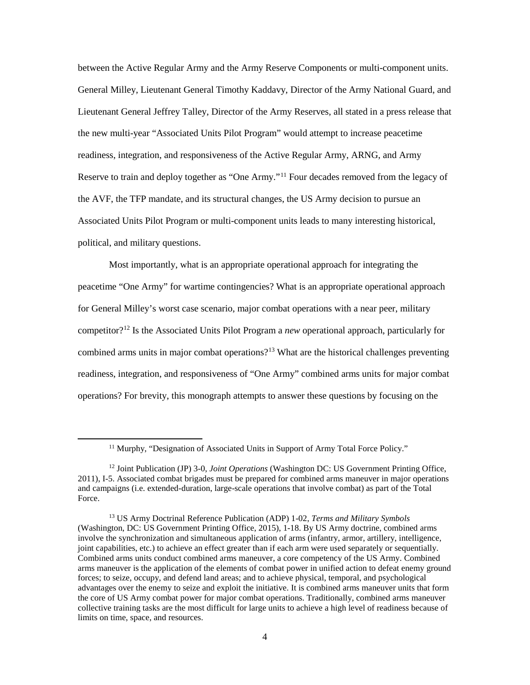between the Active Regular Army and the Army Reserve Components or multi-component units. General Milley, Lieutenant General Timothy Kaddavy, Director of the Army National Guard, and Lieutenant General Jeffrey Talley, Director of the Army Reserves, all stated in a press release that the new multi-year "Associated Units Pilot Program" would attempt to increase peacetime readiness, integration, and responsiveness of the Active Regular Army, ARNG, and Army Reserve to train and deploy together as "One Army."<sup>[11](#page-12-0)</sup> Four decades removed from the legacy of the AVF, the TFP mandate, and its structural changes, the US Army decision to pursue an Associated Units Pilot Program or multi-component units leads to many interesting historical, political, and military questions.

Most importantly, what is an appropriate operational approach for integrating the peacetime "One Army" for wartime contingencies? What is an appropriate operational approach for General Milley's worst case scenario, major combat operations with a near peer, military competitor?[12](#page-12-1) Is the Associated Units Pilot Program a *new* operational approach, particularly for combined arms units in major combat operations?<sup>13</sup> What are the historical challenges preventing readiness, integration, and responsiveness of "One Army" combined arms units for major combat operations? For brevity, this monograph attempts to answer these questions by focusing on the

<sup>&</sup>lt;sup>11</sup> Murphy, "Designation of Associated Units in Support of Army Total Force Policy."

<span id="page-12-1"></span><span id="page-12-0"></span><sup>12</sup> Joint Publication (JP) 3-0, *Joint Operations* (Washington DC: US Government Printing Office, 2011), I-5. Associated combat brigades must be prepared for combined arms maneuver in major operations and campaigns (i.e. extended-duration, large-scale operations that involve combat) as part of the Total Force.

<span id="page-12-2"></span><sup>13</sup> US Army Doctrinal Reference Publication (ADP) 1-02, *Terms and Military Symbols* (Washington, DC: US Government Printing Office, 2015), 1-18. By US Army doctrine, combined arms involve the synchronization and simultaneous application of arms (infantry, armor, artillery, intelligence, joint capabilities, etc.) to achieve an effect greater than if each arm were used separately or sequentially. Combined arms units conduct combined arms maneuver, a core competency of the US Army. Combined arms maneuver is the application of the elements of combat power in unified action to defeat enemy ground forces; to seize, occupy, and defend land areas; and to achieve physical, temporal, and psychological advantages over the enemy to seize and exploit the initiative. It is combined arms maneuver units that form the core of US Army combat power for major combat operations. Traditionally, combined arms maneuver collective training tasks are the most difficult for large units to achieve a high level of readiness because of limits on time, space, and resources.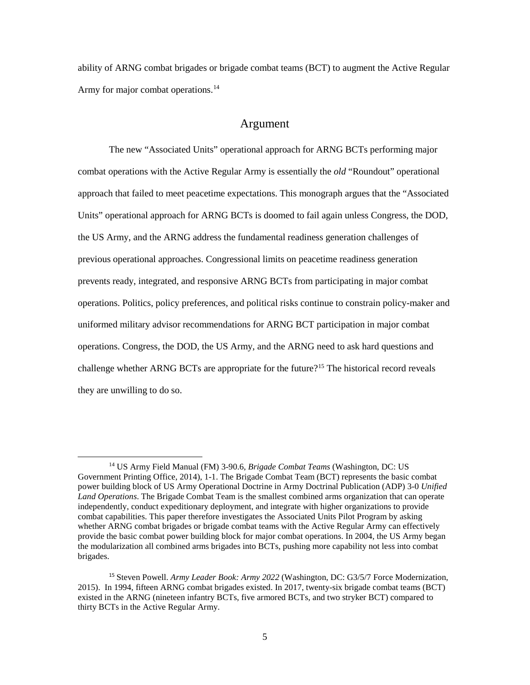ability of ARNG combat brigades or brigade combat teams (BCT) to augment the Active Regular Army for major combat operations.<sup>[14](#page-13-0)</sup>

## Argument

The new "Associated Units" operational approach for ARNG BCTs performing major combat operations with the Active Regular Army is essentially the *old* "Roundout" operational approach that failed to meet peacetime expectations. This monograph argues that the "Associated Units" operational approach for ARNG BCTs is doomed to fail again unless Congress, the DOD, the US Army, and the ARNG address the fundamental readiness generation challenges of previous operational approaches. Congressional limits on peacetime readiness generation prevents ready, integrated, and responsive ARNG BCTs from participating in major combat operations. Politics, policy preferences, and political risks continue to constrain policy-maker and uniformed military advisor recommendations for ARNG BCT participation in major combat operations. Congress, the DOD, the US Army, and the ARNG need to ask hard questions and challenge whether ARNG BCTs are appropriate for the future?<sup>[15](#page-13-1)</sup> The historical record reveals they are unwilling to do so.

<span id="page-13-0"></span><sup>14</sup> US Army Field Manual (FM) 3-90.6, *Brigade Combat Teams* (Washington, DC: US Government Printing Office, 2014), 1-1. The Brigade Combat Team (BCT) represents the basic combat power building block of US Army Operational Doctrine in Army Doctrinal Publication (ADP) 3-0 *Unified Land Operations*. The Brigade Combat Team is the smallest combined arms organization that can operate independently, conduct expeditionary deployment, and integrate with higher organizations to provide combat capabilities. This paper therefore investigates the Associated Units Pilot Program by asking whether ARNG combat brigades or brigade combat teams with the Active Regular Army can effectively provide the basic combat power building block for major combat operations. In 2004, the US Army began the modularization all combined arms brigades into BCTs, pushing more capability not less into combat brigades.

<span id="page-13-1"></span><sup>15</sup> Steven Powell. *Army Leader Book: Army 2022* (Washington, DC: G3/5/7 Force Modernization, 2015). In 1994, fifteen ARNG combat brigades existed. In 2017, twenty-six brigade combat teams (BCT) existed in the ARNG (nineteen infantry BCTs, five armored BCTs, and two stryker BCT) compared to thirty BCTs in the Active Regular Army.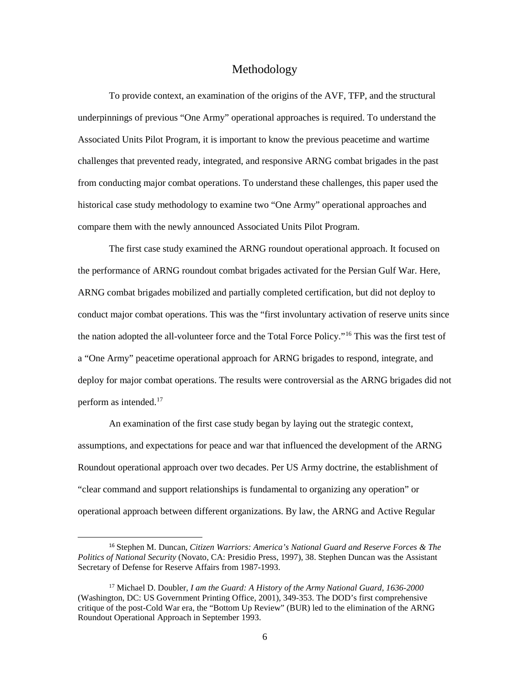### Methodology

To provide context, an examination of the origins of the AVF, TFP, and the structural underpinnings of previous "One Army" operational approaches is required. To understand the Associated Units Pilot Program, it is important to know the previous peacetime and wartime challenges that prevented ready, integrated, and responsive ARNG combat brigades in the past from conducting major combat operations. To understand these challenges, this paper used the historical case study methodology to examine two "One Army" operational approaches and compare them with the newly announced Associated Units Pilot Program.

The first case study examined the ARNG roundout operational approach. It focused on the performance of ARNG roundout combat brigades activated for the Persian Gulf War. Here, ARNG combat brigades mobilized and partially completed certification, but did not deploy to conduct major combat operations. This was the "first involuntary activation of reserve units since the nation adopted the all-volunteer force and the Total Force Policy."[16](#page-14-0) This was the first test of a "One Army" peacetime operational approach for ARNG brigades to respond, integrate, and deploy for major combat operations. The results were controversial as the ARNG brigades did not perform as intended.<sup>[17](#page-14-1)</sup>

An examination of the first case study began by laying out the strategic context, assumptions, and expectations for peace and war that influenced the development of the ARNG Roundout operational approach over two decades. Per US Army doctrine, the establishment of "clear command and support relationships is fundamental to organizing any operation" or operational approach between different organizations. By law, the ARNG and Active Regular

<span id="page-14-0"></span> <sup>16</sup> Stephen M. Duncan, *Citizen Warriors: America's National Guard and Reserve Forces & The Politics of National Security* (Novato, CA: Presidio Press, 1997), 38. Stephen Duncan was the Assistant Secretary of Defense for Reserve Affairs from 1987-1993.

<span id="page-14-1"></span><sup>17</sup> Michael D. Doubler*, I am the Guard: A History of the Army National Guard, 1636-2000* (Washington, DC: US Government Printing Office, 2001), 349-353. The DOD's first comprehensive critique of the post-Cold War era, the "Bottom Up Review" (BUR) led to the elimination of the ARNG Roundout Operational Approach in September 1993.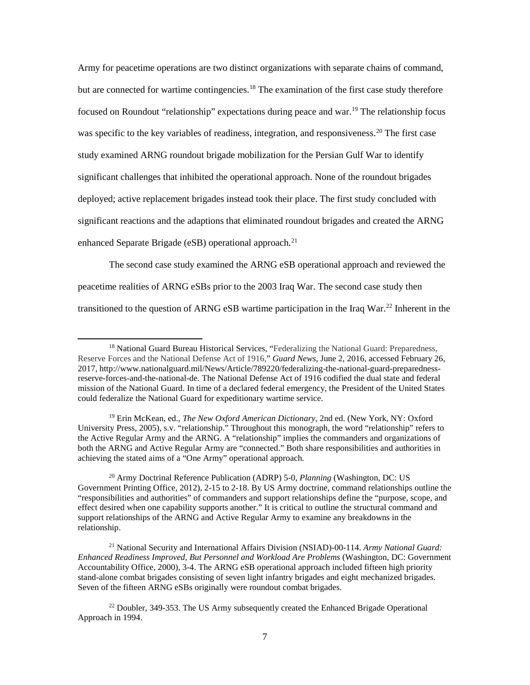Army for peacetime operations are two distinct organizations with separate chains of command, but are connected for wartime contingencies.<sup>18</sup> The examination of the first case study therefore focused on Roundout "relationship" expectations during peace and war.<sup>[19](#page-15-1)</sup> The relationship focus was specific to the key variables of readiness, integration, and responsiveness.<sup>[20](#page-15-2)</sup> The first case study examined ARNG roundout brigade mobilization for the Persian Gulf War to identify significant challenges that inhibited the operational approach. None of the roundout brigades deployed; active replacement brigades instead took their place. The first study concluded with significant reactions and the adaptions that eliminated roundout brigades and created the ARNG enhanced Separate Brigade (eSB) operational approach.<sup>[21](#page-15-3)</sup>

The second case study examined the ARNG eSB operational approach and reviewed the peacetime realities of ARNG eSBs prior to the 2003 Iraq War. The second case study then transitioned to the question of ARNG eSB wartime participation in the Iraq War.<sup>[22](#page-15-4)</sup> Inherent in the

<span id="page-15-0"></span><sup>&</sup>lt;sup>18</sup> National Guard Bureau Historical Services, "Federalizing the National Guard: Preparedness, Reserve Forces and the National Defense Act of 1916," *Guard News*, June 2, 2016, accessed February 26, 2017, http://www.nationalguard.mil/News/Article/789220/federalizing-the-national-guard-preparednessreserve-forces-and-the-national-de. The National Defense Act of 1916 codified the dual state and federal mission of the National Guard. In time of a declared federal emergency, the President of the United States could federalize the National Guard for expeditionary wartime service.

<span id="page-15-1"></span><sup>19</sup> Erin McKean, ed., *The New Oxford American Dictionary*, 2nd ed. (New York, NY: Oxford University Press, 2005), s.v. "relationship." Throughout this monograph, the word "relationship" refers to the Active Regular Army and the ARNG. A "relationship" implies the commanders and organizations of both the ARNG and Active Regular Army are "connected." Both share responsibilities and authorities in achieving the stated aims of a "One Army" operational approach.

<span id="page-15-2"></span><sup>20</sup> Army Doctrinal Reference Publication (ADRP) 5-0, *Planning* (Washington, DC: US Government Printing Office, 2012), 2-15 to 2-18. By US Army doctrine, command relationships outline the "responsibilities and authorities" of commanders and support relationships define the "purpose, scope, and effect desired when one capability supports another." It is critical to outline the structural command and support relationships of the ARNG and Active Regular Army to examine any breakdowns in the relationship.

<span id="page-15-3"></span><sup>21</sup> National Security and International Affairs Division (NSIAD)-00-114. *Army National Guard: Enhanced Readiness Improved, But Personnel and Workload Are Problems* (Washington, DC: Government Accountability Office, 2000), 3-4. The ARNG eSB operational approach included fifteen high priority stand-alone combat brigades consisting of seven light infantry brigades and eight mechanized brigades. Seven of the fifteen ARNG eSBs originally were roundout combat brigades.

<span id="page-15-4"></span><sup>&</sup>lt;sup>22</sup> Doubler, 349-353. The US Army subsequently created the Enhanced Brigade Operational Approach in 1994.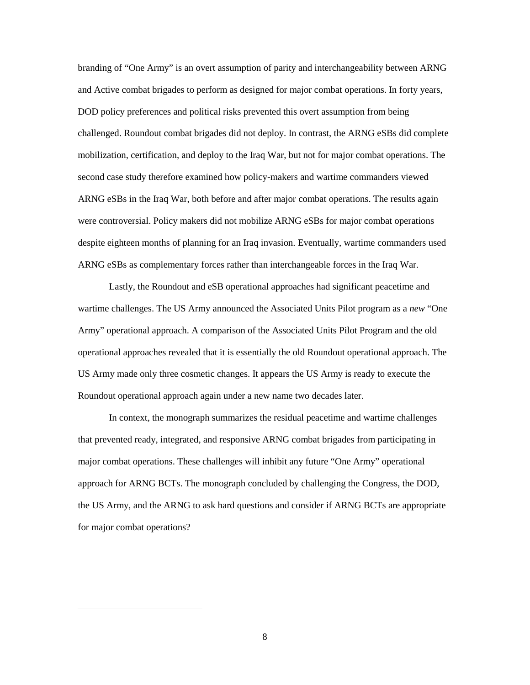branding of "One Army" is an overt assumption of parity and interchangeability between ARNG and Active combat brigades to perform as designed for major combat operations. In forty years, DOD policy preferences and political risks prevented this overt assumption from being challenged. Roundout combat brigades did not deploy. In contrast, the ARNG eSBs did complete mobilization, certification, and deploy to the Iraq War, but not for major combat operations. The second case study therefore examined how policy-makers and wartime commanders viewed ARNG eSBs in the Iraq War, both before and after major combat operations. The results again were controversial. Policy makers did not mobilize ARNG eSBs for major combat operations despite eighteen months of planning for an Iraq invasion. Eventually, wartime commanders used ARNG eSBs as complementary forces rather than interchangeable forces in the Iraq War.

Lastly, the Roundout and eSB operational approaches had significant peacetime and wartime challenges. The US Army announced the Associated Units Pilot program as a *new* "One Army" operational approach. A comparison of the Associated Units Pilot Program and the old operational approaches revealed that it is essentially the old Roundout operational approach. The US Army made only three cosmetic changes. It appears the US Army is ready to execute the Roundout operational approach again under a new name two decades later.

In context, the monograph summarizes the residual peacetime and wartime challenges that prevented ready, integrated, and responsive ARNG combat brigades from participating in major combat operations. These challenges will inhibit any future "One Army" operational approach for ARNG BCTs. The monograph concluded by challenging the Congress, the DOD, the US Army, and the ARNG to ask hard questions and consider if ARNG BCTs are appropriate for major combat operations?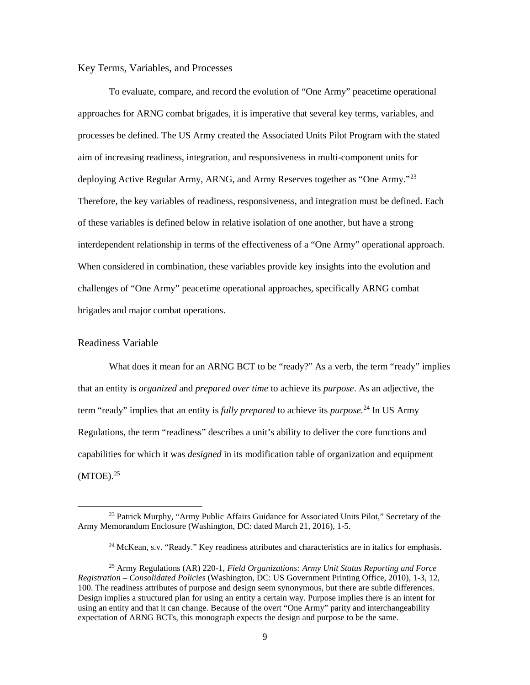### Key Terms, Variables, and Processes

To evaluate, compare, and record the evolution of "One Army" peacetime operational approaches for ARNG combat brigades, it is imperative that several key terms, variables, and processes be defined. The US Army created the Associated Units Pilot Program with the stated aim of increasing readiness, integration, and responsiveness in multi-component units for deploying Active Regular Army, ARNG, and Army Reserves together as "One Army."<sup>[23](#page-17-0)</sup> Therefore, the key variables of readiness, responsiveness, and integration must be defined. Each of these variables is defined below in relative isolation of one another, but have a strong interdependent relationship in terms of the effectiveness of a "One Army" operational approach. When considered in combination, these variables provide key insights into the evolution and challenges of "One Army" peacetime operational approaches, specifically ARNG combat brigades and major combat operations.

### Readiness Variable

 $\overline{\phantom{a}}$ 

What does it mean for an ARNG BCT to be "ready?" As a verb, the term "ready" implies that an entity is *organized* and *prepared over time* to achieve its *purpose*. As an adjective, the term "ready" implies that an entity is *fully prepared* to achieve its *purpose.*[24](#page-17-1) In US Army Regulations, the term "readiness" describes a unit's ability to deliver the core functions and capabilities for which it was *designed* in its modification table of organization and equipment  $(MTOE).<sup>25</sup>$  $(MTOE).<sup>25</sup>$  $(MTOE).<sup>25</sup>$ 

<span id="page-17-0"></span><sup>&</sup>lt;sup>23</sup> Patrick Murphy, "Army Public Affairs Guidance for Associated Units Pilot," Secretary of the Army Memorandum Enclosure (Washington, DC: dated March 21, 2016), 1-5.

<sup>&</sup>lt;sup>24</sup> McKean, s.v. "Ready." Key readiness attributes and characteristics are in italics for emphasis.

<span id="page-17-2"></span><span id="page-17-1"></span><sup>25</sup> Army Regulations (AR) 220-1, *Field Organizations: Army Unit Status Reporting and Force Registration – Consolidated Policies* (Washington, DC: US Government Printing Office, 2010), 1-3, 12, 100. The readiness attributes of purpose and design seem synonymous, but there are subtle differences. Design implies a structured plan for using an entity a certain way. Purpose implies there is an intent for using an entity and that it can change. Because of the overt "One Army" parity and interchangeability expectation of ARNG BCTs, this monograph expects the design and purpose to be the same.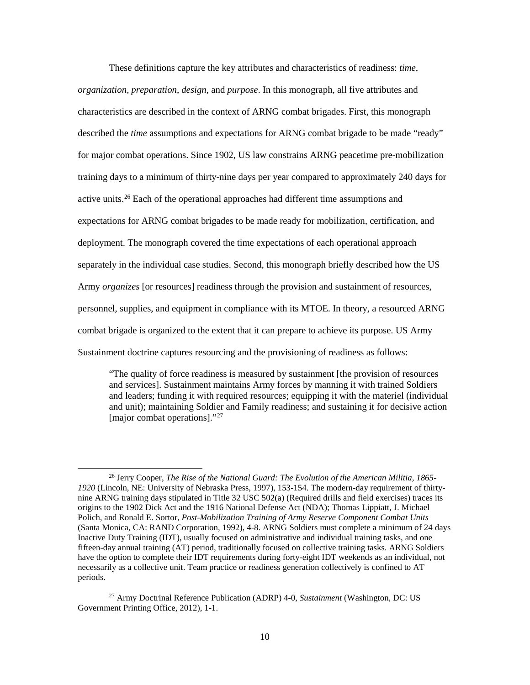These definitions capture the key attributes and characteristics of readiness: *time*, *organization*, *preparation*, *design*, and *purpose*. In this monograph, all five attributes and characteristics are described in the context of ARNG combat brigades. First, this monograph described the *time* assumptions and expectations for ARNG combat brigade to be made "ready" for major combat operations. Since 1902, US law constrains ARNG peacetime pre-mobilization training days to a minimum of thirty-nine days per year compared to approximately 240 days for active units.[26](#page-18-0) Each of the operational approaches had different time assumptions and expectations for ARNG combat brigades to be made ready for mobilization, certification, and deployment. The monograph covered the time expectations of each operational approach separately in the individual case studies. Second, this monograph briefly described how the US Army *organizes* [or resources] readiness through the provision and sustainment of resources, personnel, supplies, and equipment in compliance with its MTOE. In theory, a resourced ARNG combat brigade is organized to the extent that it can prepare to achieve its purpose. US Army Sustainment doctrine captures resourcing and the provisioning of readiness as follows:

"The quality of force readiness is measured by sustainment [the provision of resources and services]. Sustainment maintains Army forces by manning it with trained Soldiers and leaders; funding it with required resources; equipping it with the materiel (individual and unit); maintaining Soldier and Family readiness; and sustaining it for decisive action [major combat operations]."<sup>[27](#page-18-1)</sup>

<span id="page-18-0"></span><sup>26</sup> Jerry Cooper, *The Rise of the National Guard: The Evolution of the American Militia, 1865- 1920* (Lincoln, NE: University of Nebraska Press, 1997), 153-154. The modern-day requirement of thirtynine ARNG training days stipulated in Title 32 USC 502(a) (Required drills and field exercises) traces its origins to the 1902 Dick Act and the 1916 National Defense Act (NDA); Thomas Lippiatt, J. Michael Polich, and Ronald E. Sortor, *Post-Mobilization Training of Army Reserve Component Combat Units* (Santa Monica, CA: RAND Corporation, 1992), 4-8. ARNG Soldiers must complete a minimum of 24 days Inactive Duty Training (IDT), usually focused on administrative and individual training tasks, and one fifteen-day annual training (AT) period, traditionally focused on collective training tasks. ARNG Soldiers have the option to complete their IDT requirements during forty-eight IDT weekends as an individual, not necessarily as a collective unit. Team practice or readiness generation collectively is confined to AT periods.

<span id="page-18-1"></span><sup>27</sup> Army Doctrinal Reference Publication (ADRP) 4-0, *Sustainment* (Washington, DC: US Government Printing Office, 2012), 1-1.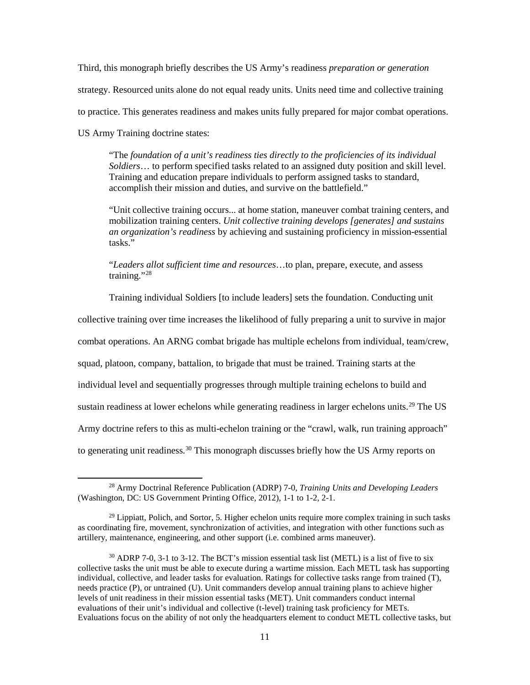Third, this monograph briefly describes the US Army's readiness *preparation or generation* strategy. Resourced units alone do not equal ready units. Units need time and collective training to practice. This generates readiness and makes units fully prepared for major combat operations. US Army Training doctrine states:

"The *foundation of a unit's readiness ties directly to the proficiencies of its individual Soldiers*… to perform specified tasks related to an assigned duty position and skill level. Training and education prepare individuals to perform assigned tasks to standard, accomplish their mission and duties, and survive on the battlefield."

"Unit collective training occurs... at home station, maneuver combat training centers, and mobilization training centers. *Unit collective training develops [generates] and sustains an organization's readiness* by achieving and sustaining proficiency in mission-essential tasks."

"*Leaders allot sufficient time and resources*…to plan, prepare, execute, and assess training."[28](#page-19-0)

Training individual Soldiers [to include leaders] sets the foundation. Conducting unit

collective training over time increases the likelihood of fully preparing a unit to survive in major

combat operations. An ARNG combat brigade has multiple echelons from individual, team/crew,

squad, platoon, company, battalion, to brigade that must be trained. Training starts at the

individual level and sequentially progresses through multiple training echelons to build and

sustain readiness at lower echelons while generating readiness in larger echelons units.<sup>[29](#page-19-1)</sup> The US

Army doctrine refers to this as multi-echelon training or the "crawl, walk, run training approach"

to generating unit readiness.<sup>[30](#page-19-2)</sup> This monograph discusses briefly how the US Army reports on

<span id="page-19-0"></span><sup>28</sup> Army Doctrinal Reference Publication (ADRP) 7-0, *Training Units and Developing Leaders* (Washington, DC: US Government Printing Office, 2012), 1-1 to 1-2, 2-1.

<span id="page-19-1"></span> $^{29}$  Lippiatt, Polich, and Sortor, 5. Higher echelon units require more complex training in such tasks as coordinating fire, movement, synchronization of activities, and integration with other functions such as artillery, maintenance, engineering, and other support (i.e. combined arms maneuver).

<span id="page-19-2"></span> $30$  ADRP 7-0, 3-1 to 3-12. The BCT's mission essential task list (METL) is a list of five to six collective tasks the unit must be able to execute during a wartime mission. Each METL task has supporting individual, collective, and leader tasks for evaluation. Ratings for collective tasks range from trained (T), needs practice (P), or untrained (U). Unit commanders develop annual training plans to achieve higher levels of unit readiness in their mission essential tasks (MET). Unit commanders conduct internal evaluations of their unit's individual and collective (t-level) training task proficiency for METs. Evaluations focus on the ability of not only the headquarters element to conduct METL collective tasks, but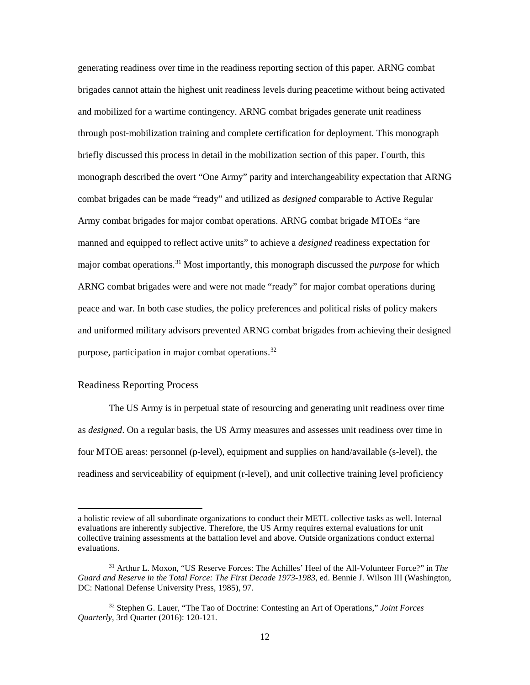generating readiness over time in the readiness reporting section of this paper. ARNG combat brigades cannot attain the highest unit readiness levels during peacetime without being activated and mobilized for a wartime contingency. ARNG combat brigades generate unit readiness through post-mobilization training and complete certification for deployment. This monograph briefly discussed this process in detail in the mobilization section of this paper. Fourth, this monograph described the overt "One Army" parity and interchangeability expectation that ARNG combat brigades can be made "ready" and utilized as *designed* comparable to Active Regular Army combat brigades for major combat operations. ARNG combat brigade MTOEs "are manned and equipped to reflect active units" to achieve a *designed* readiness expectation for major combat operations.<sup>[31](#page-20-0)</sup> Most importantly, this monograph discussed the *purpose* for which ARNG combat brigades were and were not made "ready" for major combat operations during peace and war. In both case studies, the policy preferences and political risks of policy makers and uniformed military advisors prevented ARNG combat brigades from achieving their designed purpose, participation in major combat operations.[32](#page-20-1)

#### Readiness Reporting Process

 $\overline{\phantom{a}}$ 

The US Army is in perpetual state of resourcing and generating unit readiness over time as *designed*. On a regular basis, the US Army measures and assesses unit readiness over time in four MTOE areas: personnel (p-level), equipment and supplies on hand/available (s-level), the readiness and serviceability of equipment (r-level), and unit collective training level proficiency

a holistic review of all subordinate organizations to conduct their METL collective tasks as well. Internal evaluations are inherently subjective. Therefore, the US Army requires external evaluations for unit collective training assessments at the battalion level and above. Outside organizations conduct external evaluations.

<span id="page-20-0"></span><sup>31</sup> Arthur L. Moxon, "US Reserve Forces: The Achilles' Heel of the All-Volunteer Force?" in *The Guard and Reserve in the Total Force: The First Decade 1973-1983*, ed. Bennie J. Wilson III (Washington, DC: National Defense University Press, 1985), 97.

<span id="page-20-1"></span><sup>32</sup> Stephen G. Lauer, "The Tao of Doctrine: Contesting an Art of Operations," *Joint Forces Quarterly*, 3rd Quarter (2016): 120-121.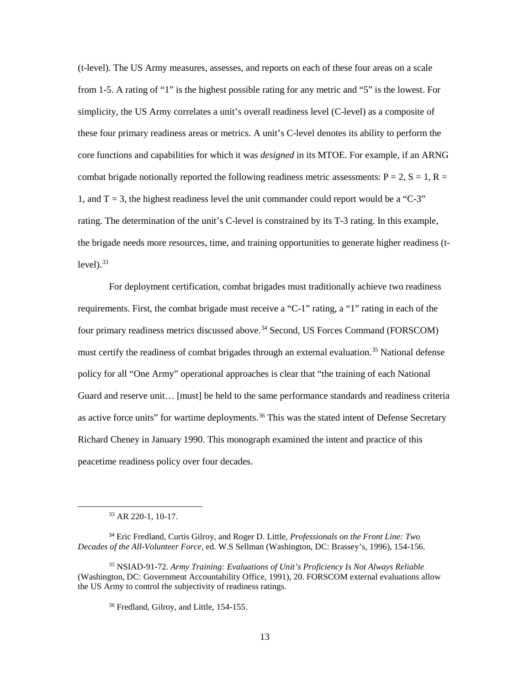(t-level). The US Army measures, assesses, and reports on each of these four areas on a scale from 1-5. A rating of "1" is the highest possible rating for any metric and "5" is the lowest. For simplicity, the US Army correlates a unit's overall readiness level (C-level) as a composite of these four primary readiness areas or metrics. A unit's C-level denotes its ability to perform the core functions and capabilities for which it was *designed* in its MTOE. For example, if an ARNG combat brigade notionally reported the following readiness metric assessments:  $P = 2$ ,  $S = 1$ ,  $R =$ 1, and  $T = 3$ , the highest readiness level the unit commander could report would be a "C-3" rating. The determination of the unit's C-level is constrained by its T-3 rating. In this example, the brigade needs more resources, time, and training opportunities to generate higher readiness (t $level$ ).  $33$ 

For deployment certification, combat brigades must traditionally achieve two readiness requirements. First, the combat brigade must receive a "C-1" rating, a "1" rating in each of the four primary readiness metrics discussed above.<sup>[34](#page-21-1)</sup> Second, US Forces Command (FORSCOM) must certify the readiness of combat brigades through an external evaluation.<sup>[35](#page-21-2)</sup> National defense policy for all "One Army" operational approaches is clear that "the training of each National Guard and reserve unit… [must] be held to the same performance standards and readiness criteria as active force units" for wartime deployments.<sup>[36](#page-21-3)</sup> This was the stated intent of Defense Secretary Richard Cheney in January 1990. This monograph examined the intent and practice of this peacetime readiness policy over four decades.

<sup>33</sup> AR 220-1, 10-17.

<span id="page-21-1"></span><span id="page-21-0"></span><sup>34</sup> Eric Fredland, Curtis Gilroy, and Roger D. Little, *Professionals on the Front Line: Two Decades of the All-Volunteer Force,* ed. W.S Sellman (Washington, DC: Brassey's, 1996), 154-156.

<span id="page-21-3"></span><span id="page-21-2"></span><sup>35</sup> NSIAD-91-72. *Army Training: Evaluations of Unit's Proficiency Is Not Always Reliable* (Washington, DC: Government Accountability Office, 1991), 20. FORSCOM external evaluations allow the US Army to control the subjectivity of readiness ratings.

<sup>36</sup> Fredland, Gilroy, and Little, 154-155.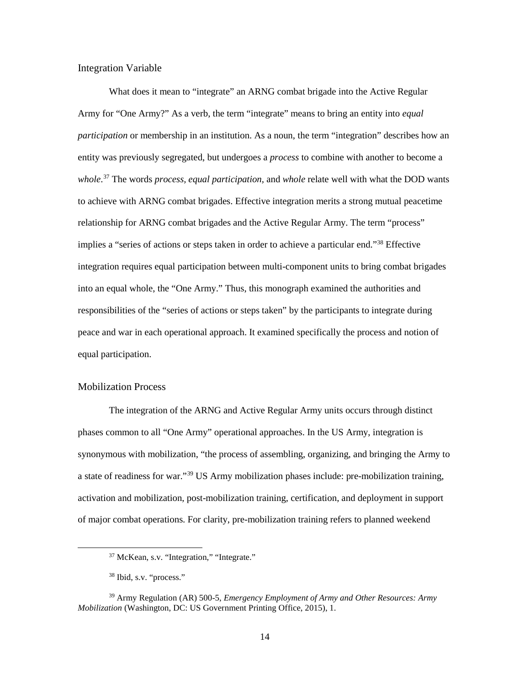#### Integration Variable

What does it mean to "integrate" an ARNG combat brigade into the Active Regular Army for "One Army?" As a verb, the term "integrate" means to bring an entity into *equal participation* or membership in an institution. As a noun, the term "integration" describes how an entity was previously segregated, but undergoes a *process* to combine with another to become a *whole*. [37](#page-22-0) The words *process, equal participation,* and *whole* relate well with what the DOD wants to achieve with ARNG combat brigades. Effective integration merits a strong mutual peacetime relationship for ARNG combat brigades and the Active Regular Army. The term "process" implies a "series of actions or steps taken in order to achieve a particular end."[38](#page-22-1) Effective integration requires equal participation between multi-component units to bring combat brigades into an equal whole, the "One Army." Thus, this monograph examined the authorities and responsibilities of the "series of actions or steps taken" by the participants to integrate during peace and war in each operational approach. It examined specifically the process and notion of equal participation.

### Mobilization Process

The integration of the ARNG and Active Regular Army units occurs through distinct phases common to all "One Army" operational approaches. In the US Army, integration is synonymous with mobilization, "the process of assembling, organizing, and bringing the Army to a state of readiness for war."[39](#page-22-2) US Army mobilization phases include: pre-mobilization training, activation and mobilization, post-mobilization training, certification, and deployment in support of major combat operations. For clarity, pre-mobilization training refers to planned weekend

<sup>37</sup> McKean, s.v. "Integration," "Integrate."

<sup>38</sup> Ibid, s.v. "process."

<span id="page-22-2"></span><span id="page-22-1"></span><span id="page-22-0"></span><sup>39</sup> Army Regulation (AR) 500-5, *Emergency Employment of Army and Other Resources: Army Mobilization* (Washington, DC: US Government Printing Office, 2015), 1.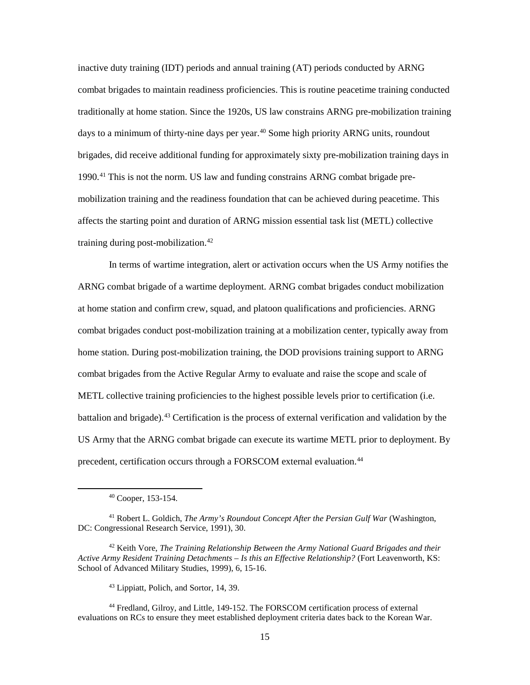inactive duty training (IDT) periods and annual training (AT) periods conducted by ARNG combat brigades to maintain readiness proficiencies. This is routine peacetime training conducted traditionally at home station. Since the 1920s, US law constrains ARNG pre-mobilization training days to a minimum of thirty-nine days per year.<sup>40</sup> Some high priority ARNG units, roundout brigades, did receive additional funding for approximately sixty pre-mobilization training days in 1990.[41](#page-23-1) This is not the norm. US law and funding constrains ARNG combat brigade premobilization training and the readiness foundation that can be achieved during peacetime. This affects the starting point and duration of ARNG mission essential task list (METL) collective training during post-mobilization. $42$ 

In terms of wartime integration, alert or activation occurs when the US Army notifies the ARNG combat brigade of a wartime deployment. ARNG combat brigades conduct mobilization at home station and confirm crew, squad, and platoon qualifications and proficiencies. ARNG combat brigades conduct post-mobilization training at a mobilization center, typically away from home station. During post-mobilization training, the DOD provisions training support to ARNG combat brigades from the Active Regular Army to evaluate and raise the scope and scale of METL collective training proficiencies to the highest possible levels prior to certification (i.e. battalion and brigade). [43](#page-23-3) Certification is the process of external verification and validation by the US Army that the ARNG combat brigade can execute its wartime METL prior to deployment. By precedent, certification occurs through a FORSCOM external evaluation.<sup>[44](#page-23-4)</sup>

<sup>40</sup> Cooper, 153-154.

<span id="page-23-1"></span><span id="page-23-0"></span><sup>41</sup> Robert L. Goldich, *The Army's Roundout Concept After the Persian Gulf War* (Washington, DC: Congressional Research Service, 1991), 30.

<span id="page-23-2"></span><sup>42</sup> Keith Vore, *The Training Relationship Between the Army National Guard Brigades and their Active Army Resident Training Detachments – Is this an Effective Relationship?* (Fort Leavenworth, KS: School of Advanced Military Studies, 1999), 6, 15-16.

<sup>43</sup> Lippiatt, Polich, and Sortor, 14, 39.

<span id="page-23-4"></span><span id="page-23-3"></span><sup>44</sup> Fredland, Gilroy, and Little, 149-152. The FORSCOM certification process of external evaluations on RCs to ensure they meet established deployment criteria dates back to the Korean War.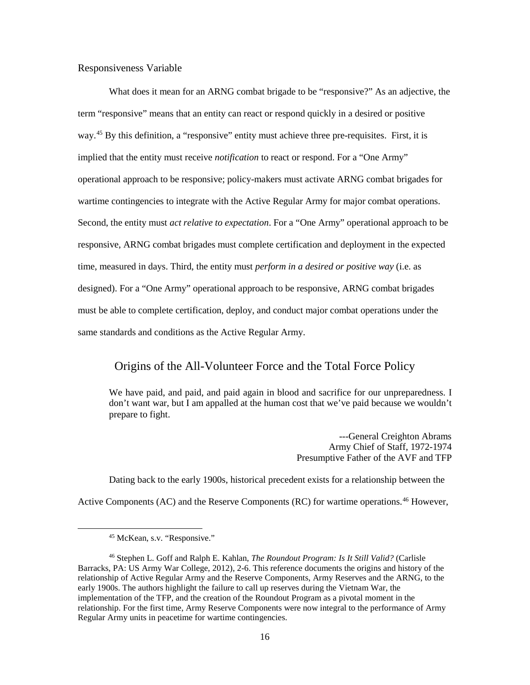### Responsiveness Variable

What does it mean for an ARNG combat brigade to be "responsive?" As an adjective, the term "responsive" means that an entity can react or respond quickly in a desired or positive way.<sup>[45](#page-24-0)</sup> By this definition, a "responsive" entity must achieve three pre-requisites. First, it is implied that the entity must receive *notification* to react or respond. For a "One Army" operational approach to be responsive; policy-makers must activate ARNG combat brigades for wartime contingencies to integrate with the Active Regular Army for major combat operations. Second, the entity must *act relative to expectation*. For a "One Army" operational approach to be responsive, ARNG combat brigades must complete certification and deployment in the expected time, measured in days. Third, the entity must *perform in a desired or positive way* (i.e. as designed). For a "One Army" operational approach to be responsive, ARNG combat brigades must be able to complete certification, deploy, and conduct major combat operations under the same standards and conditions as the Active Regular Army.

## Origins of the All-Volunteer Force and the Total Force Policy

We have paid, and paid, and paid again in blood and sacrifice for our unpreparedness. I don't want war, but I am appalled at the human cost that we've paid because we wouldn't prepare to fight.

> ---General Creighton Abrams Army Chief of Staff, 1972-1974 Presumptive Father of the AVF and TFP

Dating back to the early 1900s, historical precedent exists for a relationship between the Active Components (AC) and the Reserve Components (RC) for wartime operations.<sup>[46](#page-24-1)</sup> However,

<sup>45</sup> McKean, s.v. "Responsive."

<span id="page-24-1"></span><span id="page-24-0"></span><sup>46</sup> Stephen L. Goff and Ralph E. Kahlan, *The Roundout Program: Is It Still Valid?* (Carlisle Barracks, PA: US Army War College, 2012), 2-6. This reference documents the origins and history of the relationship of Active Regular Army and the Reserve Components, Army Reserves and the ARNG, to the early 1900s. The authors highlight the failure to call up reserves during the Vietnam War, the implementation of the TFP, and the creation of the Roundout Program as a pivotal moment in the relationship. For the first time, Army Reserve Components were now integral to the performance of Army Regular Army units in peacetime for wartime contingencies.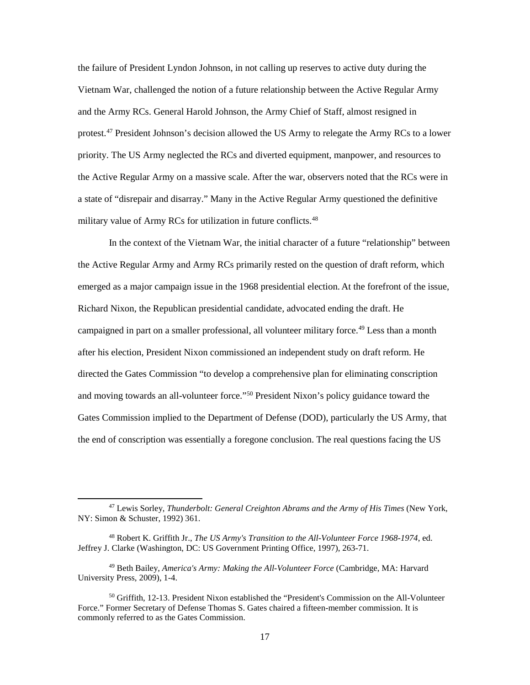the failure of President Lyndon Johnson, in not calling up reserves to active duty during the Vietnam War, challenged the notion of a future relationship between the Active Regular Army and the Army RCs. General Harold Johnson, the Army Chief of Staff, almost resigned in protest.<sup>[47](#page-25-0)</sup> President Johnson's decision allowed the US Army to relegate the Army RCs to a lower priority. The US Army neglected the RCs and diverted equipment, manpower, and resources to the Active Regular Army on a massive scale. After the war, observers noted that the RCs were in a state of "disrepair and disarray." Many in the Active Regular Army questioned the definitive military value of Army RCs for utilization in future conflicts.<sup>[48](#page-25-1)</sup>

In the context of the Vietnam War, the initial character of a future "relationship" between the Active Regular Army and Army RCs primarily rested on the question of draft reform, which emerged as a major campaign issue in the 1968 presidential election. At the forefront of the issue, Richard Nixon, the Republican presidential candidate, advocated ending the draft. He campaigned in part on a smaller professional, all volunteer military force.<sup>49</sup> Less than a month after his election, President Nixon commissioned an independent study on draft reform. He directed the Gates Commission "to develop a comprehensive plan for eliminating conscription and moving towards an all-volunteer force."[50](#page-25-3) President Nixon's policy guidance toward the Gates Commission implied to the Department of Defense (DOD), particularly the US Army, that the end of conscription was essentially a foregone conclusion. The real questions facing the US

<span id="page-25-0"></span><sup>47</sup> Lewis Sorley, *Thunderbolt: General Creighton Abrams and the Army of His Times* (New York, NY: Simon & Schuster, 1992) 361.

<span id="page-25-1"></span><sup>48</sup> Robert K. Griffith Jr., *The US Army's Transition to the All-Volunteer Force 1968-1974*, ed. Jeffrey J. Clarke (Washington, DC: US Government Printing Office, 1997), 263-71.

<span id="page-25-2"></span><sup>49</sup> Beth Bailey, *America's Army: Making the All-Volunteer Force* (Cambridge, MA: Harvard University Press, 2009), 1-4.

<span id="page-25-3"></span><sup>&</sup>lt;sup>50</sup> Griffith, 12-13. President Nixon established the "President's Commission on the All-Volunteer Force." Former Secretary of Defense Thomas S. Gates chaired a fifteen-member commission. It is commonly referred to as the Gates Commission.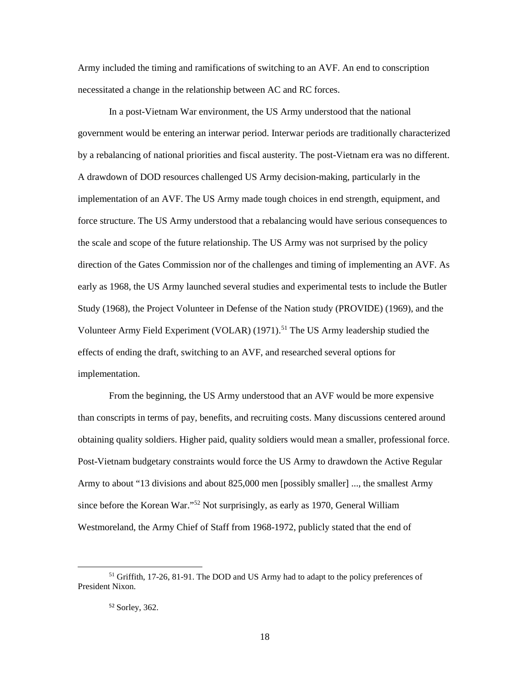Army included the timing and ramifications of switching to an AVF. An end to conscription necessitated a change in the relationship between AC and RC forces.

In a post-Vietnam War environment, the US Army understood that the national government would be entering an interwar period. Interwar periods are traditionally characterized by a rebalancing of national priorities and fiscal austerity. The post-Vietnam era was no different. A drawdown of DOD resources challenged US Army decision-making, particularly in the implementation of an AVF. The US Army made tough choices in end strength, equipment, and force structure. The US Army understood that a rebalancing would have serious consequences to the scale and scope of the future relationship. The US Army was not surprised by the policy direction of the Gates Commission nor of the challenges and timing of implementing an AVF. As early as 1968, the US Army launched several studies and experimental tests to include the Butler Study (1968), the Project Volunteer in Defense of the Nation study (PROVIDE) (1969), and the Volunteer Army Field Experiment (VOLAR)  $(1971)$ .<sup>[51](#page-26-0)</sup> The US Army leadership studied the effects of ending the draft, switching to an AVF, and researched several options for implementation.

From the beginning, the US Army understood that an AVF would be more expensive than conscripts in terms of pay, benefits, and recruiting costs. Many discussions centered around obtaining quality soldiers. Higher paid, quality soldiers would mean a smaller, professional force. Post-Vietnam budgetary constraints would force the US Army to drawdown the Active Regular Army to about "13 divisions and about 825,000 men [possibly smaller] ..., the smallest Army since before the Korean War."[52](#page-26-1) Not surprisingly, as early as 1970, General William Westmoreland, the Army Chief of Staff from 1968-1972, publicly stated that the end of

<span id="page-26-1"></span><span id="page-26-0"></span><sup>&</sup>lt;sup>51</sup> Griffith, 17-26, 81-91. The DOD and US Army had to adapt to the policy preferences of President Nixon.

<sup>52</sup> Sorley, 362.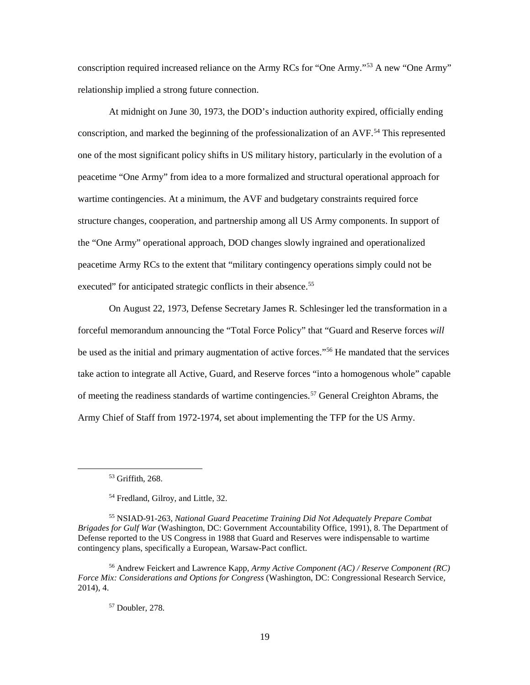conscription required increased reliance on the Army RCs for "One Army."[53](#page-27-0) A new "One Army" relationship implied a strong future connection.

At midnight on June 30, 1973, the DOD's induction authority expired, officially ending conscription, and marked the beginning of the professionalization of an AVF.<sup>[54](#page-27-1)</sup> This represented one of the most significant policy shifts in US military history, particularly in the evolution of a peacetime "One Army" from idea to a more formalized and structural operational approach for wartime contingencies. At a minimum, the AVF and budgetary constraints required force structure changes, cooperation, and partnership among all US Army components. In support of the "One Army" operational approach, DOD changes slowly ingrained and operationalized peacetime Army RCs to the extent that "military contingency operations simply could not be executed" for anticipated strategic conflicts in their absence.<sup>[55](#page-27-2)</sup>

On August 22, 1973, Defense Secretary James R. Schlesinger led the transformation in a forceful memorandum announcing the "Total Force Policy" that "Guard and Reserve forces *will* be used as the initial and primary augmentation of active forces."<sup>[56](#page-27-3)</sup> He mandated that the services take action to integrate all Active, Guard, and Reserve forces "into a homogenous whole" capable of meeting the readiness standards of wartime contingencies.[57](#page-27-4) General Creighton Abrams, the Army Chief of Staff from 1972-1974, set about implementing the TFP for the US Army.

<sup>53</sup> Griffith, 268.

<sup>54</sup> Fredland, Gilroy, and Little, 32.

<span id="page-27-2"></span><span id="page-27-1"></span><span id="page-27-0"></span><sup>55</sup> NSIAD-91-263, *National Guard Peacetime Training Did Not Adequately Prepare Combat Brigades for Gulf War* (Washington, DC: Government Accountability Office, 1991), 8. The Department of Defense reported to the US Congress in 1988 that Guard and Reserves were indispensable to wartime contingency plans, specifically a European, Warsaw-Pact conflict.

<span id="page-27-4"></span><span id="page-27-3"></span><sup>56</sup> Andrew Feickert and Lawrence Kapp, *Army Active Component (AC) / Reserve Component (RC) Force Mix: Considerations and Options for Congress* (Washington, DC: Congressional Research Service, 2014), 4.

<sup>57</sup> Doubler, 278.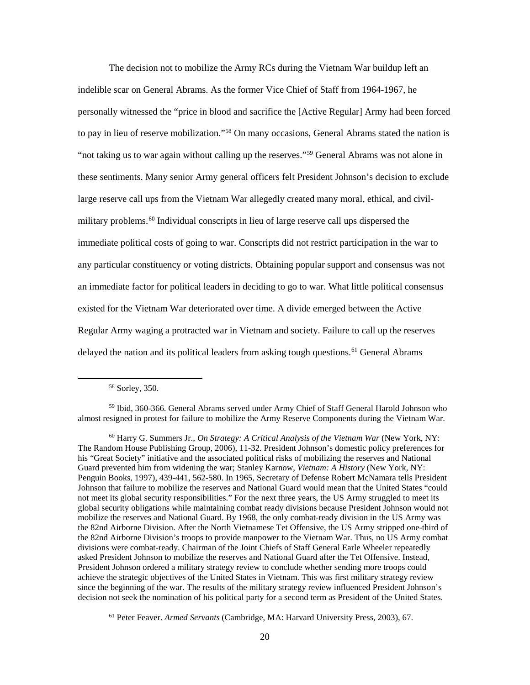The decision not to mobilize the Army RCs during the Vietnam War buildup left an indelible scar on General Abrams. As the former Vice Chief of Staff from 1964-1967, he personally witnessed the "price in blood and sacrifice the [Active Regular] Army had been forced to pay in lieu of reserve mobilization."[58](#page-28-0) On many occasions, General Abrams stated the nation is "not taking us to war again without calling up the reserves."[59](#page-28-1) General Abrams was not alone in these sentiments. Many senior Army general officers felt President Johnson's decision to exclude large reserve call ups from the Vietnam War allegedly created many moral, ethical, and civil-military problems.<sup>[60](#page-28-2)</sup> Individual conscripts in lieu of large reserve call ups dispersed the immediate political costs of going to war. Conscripts did not restrict participation in the war to any particular constituency or voting districts. Obtaining popular support and consensus was not an immediate factor for political leaders in deciding to go to war. What little political consensus existed for the Vietnam War deteriorated over time. A divide emerged between the Active Regular Army waging a protracted war in Vietnam and society. Failure to call up the reserves delayed the nation and its political leaders from asking tough questions.<sup>[61](#page-28-3)</sup> General Abrams

<sup>58</sup> Sorley, 350.

<span id="page-28-1"></span><span id="page-28-0"></span><sup>59</sup> Ibid, 360-366. General Abrams served under Army Chief of Staff General Harold Johnson who almost resigned in protest for failure to mobilize the Army Reserve Components during the Vietnam War.

<span id="page-28-2"></span><sup>60</sup> Harry G. Summers Jr., *On Strategy: A Critical Analysis of the Vietnam War* (New York, NY: The Random House Publishing Group, 2006), 11-32. President Johnson's domestic policy preferences for his "Great Society" initiative and the associated political risks of mobilizing the reserves and National Guard prevented him from widening the war; Stanley Karnow, *Vietnam: A History* (New York, NY: Penguin Books, 1997), 439-441, 562-580. In 1965, Secretary of Defense Robert McNamara tells President Johnson that failure to mobilize the reserves and National Guard would mean that the United States "could not meet its global security responsibilities." For the next three years, the US Army struggled to meet its global security obligations while maintaining combat ready divisions because President Johnson would not mobilize the reserves and National Guard. By 1968, the only combat-ready division in the US Army was the 82nd Airborne Division. After the North Vietnamese Tet Offensive, the US Army stripped one-third of the 82nd Airborne Division's troops to provide manpower to the Vietnam War. Thus, no US Army combat divisions were combat-ready. Chairman of the Joint Chiefs of Staff General Earle Wheeler repeatedly asked President Johnson to mobilize the reserves and National Guard after the Tet Offensive. Instead, President Johnson ordered a military strategy review to conclude whether sending more troops could achieve the strategic objectives of the United States in Vietnam. This was first military strategy review since the beginning of the war. The results of the military strategy review influenced President Johnson's decision not seek the nomination of his political party for a second term as President of the United States.

<span id="page-28-3"></span><sup>61</sup> Peter Feaver. *Armed Servants* (Cambridge, MA: Harvard University Press, 2003), 67.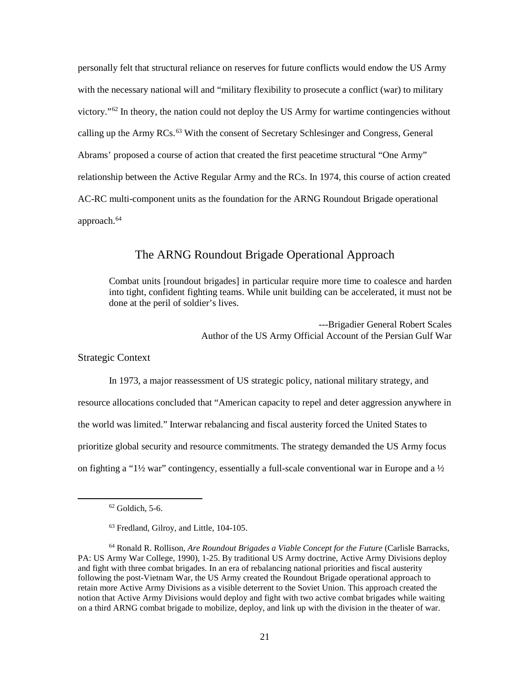personally felt that structural reliance on reserves for future conflicts would endow the US Army with the necessary national will and "military flexibility to prosecute a conflict (war) to military victory."[62](#page-29-0) In theory, the nation could not deploy the US Army for wartime contingencies without calling up the Army RCs.<sup>[63](#page-29-1)</sup> With the consent of Secretary Schlesinger and Congress, General Abrams' proposed a course of action that created the first peacetime structural "One Army" relationship between the Active Regular Army and the RCs. In 1974, this course of action created AC-RC multi-component units as the foundation for the ARNG Roundout Brigade operational approach.<sup>[64](#page-29-2)</sup>

## The ARNG Roundout Brigade Operational Approach

Combat units [roundout brigades] in particular require more time to coalesce and harden into tight, confident fighting teams. While unit building can be accelerated, it must not be done at the peril of soldier's lives.

> ---Brigadier General Robert Scales Author of the US Army Official Account of the Persian Gulf War

Strategic Context

In 1973, a major reassessment of US strategic policy, national military strategy, and resource allocations concluded that "American capacity to repel and deter aggression anywhere in the world was limited." Interwar rebalancing and fiscal austerity forced the United States to prioritize global security and resource commitments. The strategy demanded the US Army focus on fighting a "1½ war" contingency, essentially a full-scale conventional war in Europe and a  $\frac{1}{2}$ 

 $62$  Goldich, 5-6.

<sup>63</sup> Fredland, Gilroy, and Little, 104-105.

<span id="page-29-2"></span><span id="page-29-1"></span><span id="page-29-0"></span><sup>64</sup> Ronald R. Rollison, *Are Roundout Brigades a Viable Concept for the Future* (Carlisle Barracks, PA: US Army War College, 1990), 1-25. By traditional US Army doctrine, Active Army Divisions deploy and fight with three combat brigades. In an era of rebalancing national priorities and fiscal austerity following the post-Vietnam War, the US Army created the Roundout Brigade operational approach to retain more Active Army Divisions as a visible deterrent to the Soviet Union. This approach created the notion that Active Army Divisions would deploy and fight with two active combat brigades while waiting on a third ARNG combat brigade to mobilize, deploy, and link up with the division in the theater of war.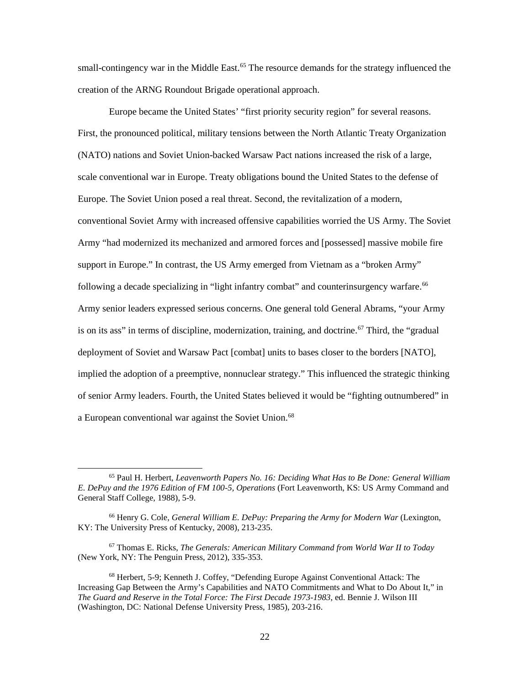small-contingency war in the Middle East.<sup>65</sup> The resource demands for the strategy influenced the creation of the ARNG Roundout Brigade operational approach.

Europe became the United States' "first priority security region" for several reasons. First, the pronounced political, military tensions between the North Atlantic Treaty Organization (NATO) nations and Soviet Union-backed Warsaw Pact nations increased the risk of a large, scale conventional war in Europe. Treaty obligations bound the United States to the defense of Europe. The Soviet Union posed a real threat. Second, the revitalization of a modern, conventional Soviet Army with increased offensive capabilities worried the US Army. The Soviet Army "had modernized its mechanized and armored forces and [possessed] massive mobile fire support in Europe." In contrast, the US Army emerged from Vietnam as a "broken Army" following a decade specializing in "light infantry combat" and counterinsurgency warfare.<sup>[66](#page-30-1)</sup> Army senior leaders expressed serious concerns. One general told General Abrams, "your Army is on its ass" in terms of discipline, modernization, training, and doctrine.<sup>[67](#page-30-2)</sup> Third, the "gradual" deployment of Soviet and Warsaw Pact [combat] units to bases closer to the borders [NATO], implied the adoption of a preemptive, nonnuclear strategy." This influenced the strategic thinking of senior Army leaders. Fourth, the United States believed it would be "fighting outnumbered" in a European conventional war against the Soviet Union.<sup>[68](#page-30-3)</sup>

<span id="page-30-0"></span><sup>65</sup> Paul H. Herbert, *Leavenworth Papers No. 16: Deciding What Has to Be Done: General William E. DePuy and the 1976 Edition of FM 100-5, Operations* (Fort Leavenworth, KS: US Army Command and General Staff College, 1988), 5-9.

<span id="page-30-1"></span><sup>66</sup> Henry G. Cole, *General William E. DePuy: Preparing the Army for Modern War* (Lexington, KY: The University Press of Kentucky, 2008), 213-235.

<span id="page-30-2"></span><sup>67</sup> Thomas E. Ricks, *The Generals: American Military Command from World War II to Today* (New York, NY: The Penguin Press, 2012), 335-353.

<span id="page-30-3"></span><sup>68</sup> Herbert, 5-9; Kenneth J. Coffey, "Defending Europe Against Conventional Attack: The Increasing Gap Between the Army's Capabilities and NATO Commitments and What to Do About It," in *The Guard and Reserve in the Total Force: The First Decade 1973-1983*, ed. Bennie J. Wilson III (Washington, DC: National Defense University Press, 1985), 203-216.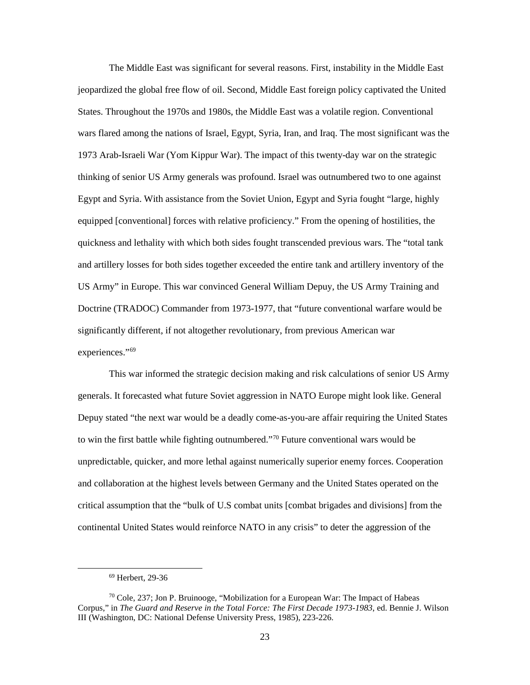The Middle East was significant for several reasons. First, instability in the Middle East jeopardized the global free flow of oil. Second, Middle East foreign policy captivated the United States. Throughout the 1970s and 1980s, the Middle East was a volatile region. Conventional wars flared among the nations of Israel, Egypt, Syria, Iran, and Iraq. The most significant was the 1973 Arab-Israeli War (Yom Kippur War). The impact of this twenty-day war on the strategic thinking of senior US Army generals was profound. Israel was outnumbered two to one against Egypt and Syria. With assistance from the Soviet Union, Egypt and Syria fought "large, highly equipped [conventional] forces with relative proficiency." From the opening of hostilities, the quickness and lethality with which both sides fought transcended previous wars. The "total tank and artillery losses for both sides together exceeded the entire tank and artillery inventory of the US Army" in Europe. This war convinced General William Depuy, the US Army Training and Doctrine (TRADOC) Commander from 1973-1977, that "future conventional warfare would be significantly different, if not altogether revolutionary, from previous American war experiences."[69](#page-31-0)

This war informed the strategic decision making and risk calculations of senior US Army generals. It forecasted what future Soviet aggression in NATO Europe might look like. General Depuy stated "the next war would be a deadly come-as-you-are affair requiring the United States to win the first battle while fighting outnumbered."[70](#page-31-1) Future conventional wars would be unpredictable, quicker, and more lethal against numerically superior enemy forces. Cooperation and collaboration at the highest levels between Germany and the United States operated on the critical assumption that the "bulk of U.S combat units [combat brigades and divisions] from the continental United States would reinforce NATO in any crisis" to deter the aggression of the

<sup>69</sup> Herbert, 29-36

<span id="page-31-1"></span><span id="page-31-0"></span> $70$  Cole, 237; Jon P. Bruinooge, "Mobilization for a European War: The Impact of Habeas Corpus," in *The Guard and Reserve in the Total Force: The First Decade 1973-1983*, ed. Bennie J. Wilson III (Washington, DC: National Defense University Press, 1985), 223-226.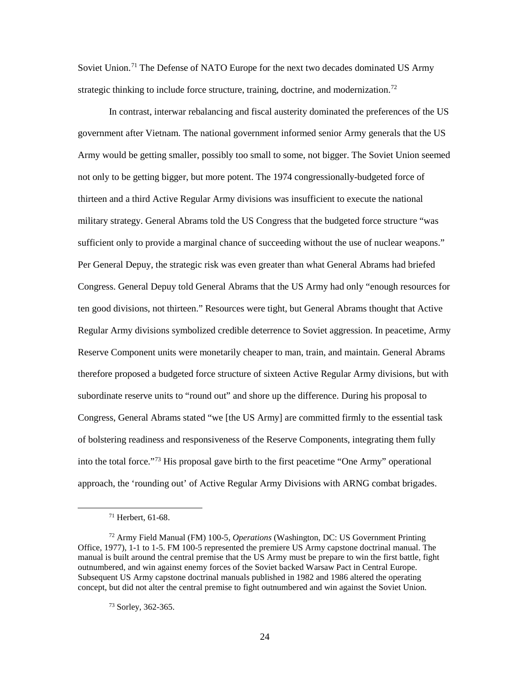Soviet Union.<sup>[71](#page-32-0)</sup> The Defense of NATO Europe for the next two decades dominated US Army strategic thinking to include force structure, training, doctrine, and modernization.<sup>[72](#page-32-1)</sup>

In contrast, interwar rebalancing and fiscal austerity dominated the preferences of the US government after Vietnam. The national government informed senior Army generals that the US Army would be getting smaller, possibly too small to some, not bigger. The Soviet Union seemed not only to be getting bigger, but more potent. The 1974 congressionally-budgeted force of thirteen and a third Active Regular Army divisions was insufficient to execute the national military strategy. General Abrams told the US Congress that the budgeted force structure "was sufficient only to provide a marginal chance of succeeding without the use of nuclear weapons." Per General Depuy, the strategic risk was even greater than what General Abrams had briefed Congress. General Depuy told General Abrams that the US Army had only "enough resources for ten good divisions, not thirteen." Resources were tight, but General Abrams thought that Active Regular Army divisions symbolized credible deterrence to Soviet aggression. In peacetime, Army Reserve Component units were monetarily cheaper to man, train, and maintain. General Abrams therefore proposed a budgeted force structure of sixteen Active Regular Army divisions, but with subordinate reserve units to "round out" and shore up the difference. During his proposal to Congress, General Abrams stated "we [the US Army] are committed firmly to the essential task of bolstering readiness and responsiveness of the Reserve Components, integrating them fully into the total force."[73](#page-32-2) His proposal gave birth to the first peacetime "One Army" operational approach, the 'rounding out' of Active Regular Army Divisions with ARNG combat brigades.

<sup>71</sup> Herbert, 61-68.

<span id="page-32-2"></span><span id="page-32-1"></span><span id="page-32-0"></span><sup>72</sup> Army Field Manual (FM) 100-5, *Operations* (Washington, DC: US Government Printing Office, 1977), 1-1 to 1-5. FM 100-5 represented the premiere US Army capstone doctrinal manual. The manual is built around the central premise that the US Army must be prepare to win the first battle, fight outnumbered, and win against enemy forces of the Soviet backed Warsaw Pact in Central Europe. Subsequent US Army capstone doctrinal manuals published in 1982 and 1986 altered the operating concept, but did not alter the central premise to fight outnumbered and win against the Soviet Union.

<sup>73</sup> Sorley, 362-365.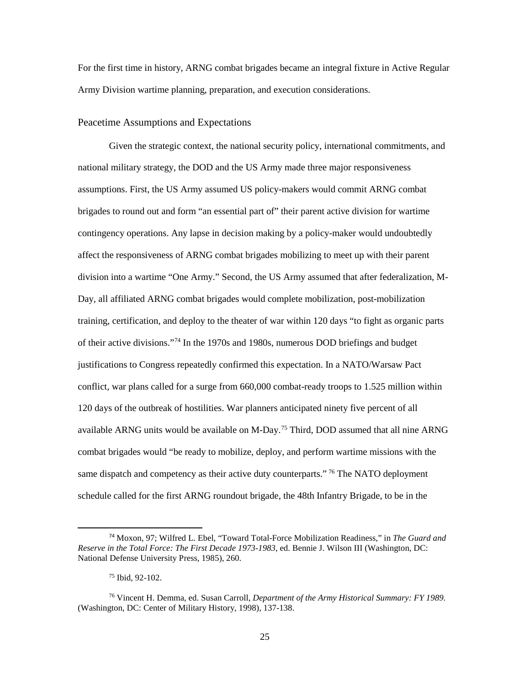For the first time in history, ARNG combat brigades became an integral fixture in Active Regular Army Division wartime planning, preparation, and execution considerations.

#### Peacetime Assumptions and Expectations

Given the strategic context, the national security policy, international commitments, and national military strategy, the DOD and the US Army made three major responsiveness assumptions. First, the US Army assumed US policy-makers would commit ARNG combat brigades to round out and form "an essential part of" their parent active division for wartime contingency operations. Any lapse in decision making by a policy-maker would undoubtedly affect the responsiveness of ARNG combat brigades mobilizing to meet up with their parent division into a wartime "One Army." Second, the US Army assumed that after federalization, M-Day, all affiliated ARNG combat brigades would complete mobilization, post-mobilization training, certification, and deploy to the theater of war within 120 days "to fight as organic parts of their active divisions."[74](#page-33-0) In the 1970s and 1980s, numerous DOD briefings and budget justifications to Congress repeatedly confirmed this expectation. In a NATO/Warsaw Pact conflict, war plans called for a surge from 660,000 combat-ready troops to 1.525 million within 120 days of the outbreak of hostilities. War planners anticipated ninety five percent of all available ARNG units would be available on M-Day. [75](#page-33-1) Third, DOD assumed that all nine ARNG combat brigades would "be ready to mobilize, deploy, and perform wartime missions with the same dispatch and competency as their active duty counterparts."<sup>[76](#page-33-2)</sup> The NATO deployment schedule called for the first ARNG roundout brigade, the 48th Infantry Brigade, to be in the

<span id="page-33-0"></span> <sup>74</sup> Moxon, 97; Wilfred L. Ebel, "Toward Total-Force Mobilization Readiness," in *The Guard and Reserve in the Total Force: The First Decade 1973-1983*, ed. Bennie J. Wilson III (Washington, DC: National Defense University Press, 1985), 260.

<sup>75</sup> Ibid, 92-102.

<span id="page-33-2"></span><span id="page-33-1"></span><sup>76</sup> Vincent H. Demma, ed. Susan Carroll, *Department of the Army Historical Summary: FY 1989.* (Washington, DC: Center of Military History, 1998), 137-138.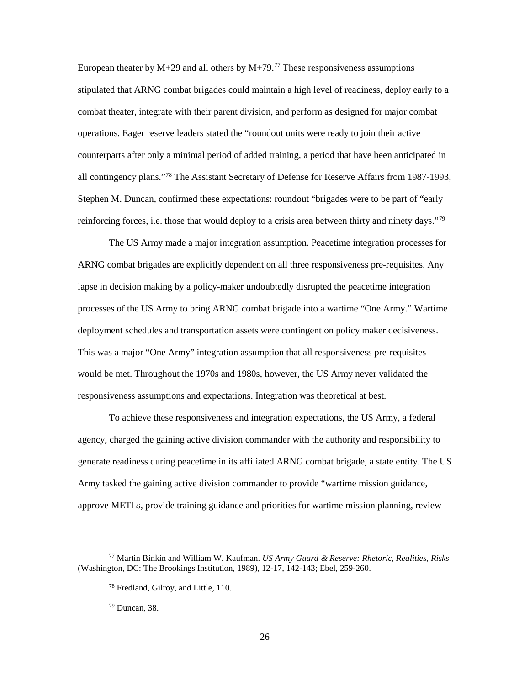European theater by  $M+29$  and all others by  $M+79$ .<sup>[77](#page-34-0)</sup> These responsiveness assumptions stipulated that ARNG combat brigades could maintain a high level of readiness, deploy early to a combat theater, integrate with their parent division, and perform as designed for major combat operations. Eager reserve leaders stated the "roundout units were ready to join their active counterparts after only a minimal period of added training, a period that have been anticipated in all contingency plans."[78](#page-34-1) The Assistant Secretary of Defense for Reserve Affairs from 1987-1993, Stephen M. Duncan, confirmed these expectations: roundout "brigades were to be part of "early reinforcing forces, i.e. those that would deploy to a crisis area between thirty and ninety days."<sup>[79](#page-34-2)</sup>

The US Army made a major integration assumption. Peacetime integration processes for ARNG combat brigades are explicitly dependent on all three responsiveness pre-requisites. Any lapse in decision making by a policy-maker undoubtedly disrupted the peacetime integration processes of the US Army to bring ARNG combat brigade into a wartime "One Army." Wartime deployment schedules and transportation assets were contingent on policy maker decisiveness. This was a major "One Army" integration assumption that all responsiveness pre-requisites would be met. Throughout the 1970s and 1980s, however, the US Army never validated the responsiveness assumptions and expectations. Integration was theoretical at best.

To achieve these responsiveness and integration expectations, the US Army, a federal agency, charged the gaining active division commander with the authority and responsibility to generate readiness during peacetime in its affiliated ARNG combat brigade, a state entity. The US Army tasked the gaining active division commander to provide "wartime mission guidance, approve METLs, provide training guidance and priorities for wartime mission planning, review

<span id="page-34-2"></span><span id="page-34-1"></span><span id="page-34-0"></span><sup>77</sup> Martin Binkin and William W. Kaufman. *US Army Guard & Reserve: Rhetoric, Realities, Risks*  (Washington, DC: The Brookings Institution, 1989), 12-17, 142-143; Ebel, 259-260.

<sup>78</sup> Fredland, Gilroy, and Little, 110.

 $79$  Duncan, 38.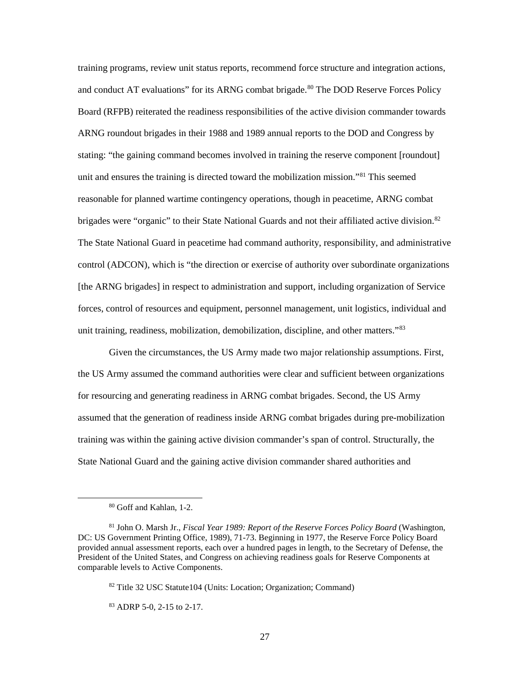training programs, review unit status reports, recommend force structure and integration actions, and conduct AT evaluations" for its ARNG combat brigade.<sup>[80](#page-35-0)</sup> The DOD Reserve Forces Policy Board (RFPB) reiterated the readiness responsibilities of the active division commander towards ARNG roundout brigades in their 1988 and 1989 annual reports to the DOD and Congress by stating: "the gaining command becomes involved in training the reserve component [roundout] unit and ensures the training is directed toward the mobilization mission."[81](#page-35-1) This seemed reasonable for planned wartime contingency operations, though in peacetime, ARNG combat brigades were "organic" to their State National Guards and not their affiliated active division.<sup>[82](#page-35-2)</sup> The State National Guard in peacetime had command authority, responsibility, and administrative control (ADCON), which is "the direction or exercise of authority over subordinate organizations [the ARNG brigades] in respect to administration and support, including organization of Service forces, control of resources and equipment, personnel management, unit logistics, individual and unit training, readiness, mobilization, demobilization, discipline, and other matters."<sup>[83](#page-35-3)</sup>

Given the circumstances, the US Army made two major relationship assumptions. First, the US Army assumed the command authorities were clear and sufficient between organizations for resourcing and generating readiness in ARNG combat brigades. Second, the US Army assumed that the generation of readiness inside ARNG combat brigades during pre-mobilization training was within the gaining active division commander's span of control. Structurally, the State National Guard and the gaining active division commander shared authorities and

<sup>80</sup> Goff and Kahlan, 1-2.

<span id="page-35-2"></span><span id="page-35-1"></span><span id="page-35-0"></span><sup>81</sup> John O. Marsh Jr., *Fiscal Year 1989: Report of the Reserve Forces Policy Board* (Washington, DC: US Government Printing Office, 1989), 71-73. Beginning in 1977, the Reserve Force Policy Board provided annual assessment reports, each over a hundred pages in length, to the Secretary of Defense, the President of the United States, and Congress on achieving readiness goals for Reserve Components at comparable levels to Active Components.

<sup>82</sup> Title 32 USC Statute104 (Units: Location; Organization; Command)

<span id="page-35-3"></span><sup>83</sup> ADRP 5-0, 2-15 to 2-17.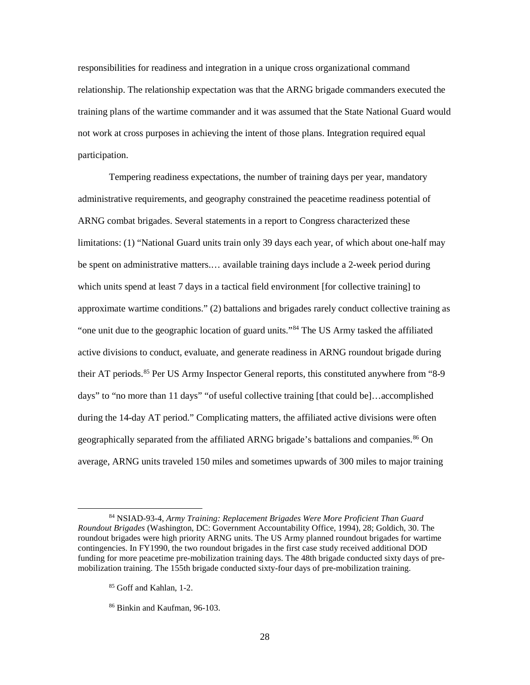responsibilities for readiness and integration in a unique cross organizational command relationship. The relationship expectation was that the ARNG brigade commanders executed the training plans of the wartime commander and it was assumed that the State National Guard would not work at cross purposes in achieving the intent of those plans. Integration required equal participation.

Tempering readiness expectations, the number of training days per year, mandatory administrative requirements, and geography constrained the peacetime readiness potential of ARNG combat brigades. Several statements in a report to Congress characterized these limitations: (1) "National Guard units train only 39 days each year, of which about one-half may be spent on administrative matters.… available training days include a 2-week period during which units spend at least 7 days in a tactical field environment [for collective training] to approximate wartime conditions." (2) battalions and brigades rarely conduct collective training as "one unit due to the geographic location of guard units."[84](#page-36-0) The US Army tasked the affiliated active divisions to conduct, evaluate, and generate readiness in ARNG roundout brigade during their AT periods. [85](#page-36-1) Per US Army Inspector General reports, this constituted anywhere from "8-9 days" to "no more than 11 days" "of useful collective training [that could be]…accomplished during the 14-day AT period." Complicating matters, the affiliated active divisions were often geographically separated from the affiliated ARNG brigade's battalions and companies. [86](#page-36-2) On average, ARNG units traveled 150 miles and sometimes upwards of 300 miles to major training

<span id="page-36-1"></span><span id="page-36-0"></span><sup>84</sup> NSIAD-93-4, *Army Training: Replacement Brigades Were More Proficient Than Guard Roundout Brigades* (Washington, DC: Government Accountability Office, 1994), 28; Goldich, 30. The roundout brigades were high priority ARNG units. The US Army planned roundout brigades for wartime contingencies. In FY1990, the two roundout brigades in the first case study received additional DOD funding for more peacetime pre-mobilization training days. The 48th brigade conducted sixty days of premobilization training. The 155th brigade conducted sixty-four days of pre-mobilization training.

<sup>&</sup>lt;sup>85</sup> Goff and Kahlan, 1-2.

<span id="page-36-2"></span><sup>86</sup> Binkin and Kaufman, 96-103.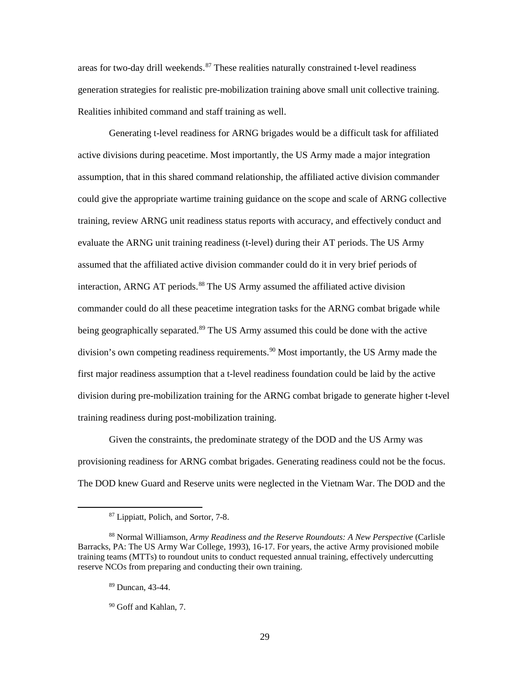areas for two-day drill weekends.<sup>87</sup> These realities naturally constrained t-level readiness generation strategies for realistic pre-mobilization training above small unit collective training. Realities inhibited command and staff training as well.

Generating t-level readiness for ARNG brigades would be a difficult task for affiliated active divisions during peacetime. Most importantly, the US Army made a major integration assumption, that in this shared command relationship, the affiliated active division commander could give the appropriate wartime training guidance on the scope and scale of ARNG collective training, review ARNG unit readiness status reports with accuracy, and effectively conduct and evaluate the ARNG unit training readiness (t-level) during their AT periods. The US Army assumed that the affiliated active division commander could do it in very brief periods of interaction, ARNG AT periods.<sup>[88](#page-37-1)</sup> The US Army assumed the affiliated active division commander could do all these peacetime integration tasks for the ARNG combat brigade while being geographically separated.<sup>[89](#page-37-2)</sup> The US Army assumed this could be done with the active division's own competing readiness requirements. [90](#page-37-3) Most importantly, the US Army made the first major readiness assumption that a t-level readiness foundation could be laid by the active division during pre-mobilization training for the ARNG combat brigade to generate higher t-level training readiness during post-mobilization training.

Given the constraints, the predominate strategy of the DOD and the US Army was provisioning readiness for ARNG combat brigades. Generating readiness could not be the focus. The DOD knew Guard and Reserve units were neglected in the Vietnam War. The DOD and the

<sup>87</sup> Lippiatt, Polich, and Sortor, 7-8.

<span id="page-37-3"></span><span id="page-37-2"></span><span id="page-37-1"></span><span id="page-37-0"></span><sup>88</sup> Normal Williamson, *Army Readiness and the Reserve Roundouts: A New Perspective* (Carlisle Barracks, PA: The US Army War College, 1993), 16-17. For years, the active Army provisioned mobile training teams (MTTs) to roundout units to conduct requested annual training, effectively undercutting reserve NCOs from preparing and conducting their own training.

<sup>89</sup> Duncan, 43-44.

<sup>90</sup> Goff and Kahlan, 7.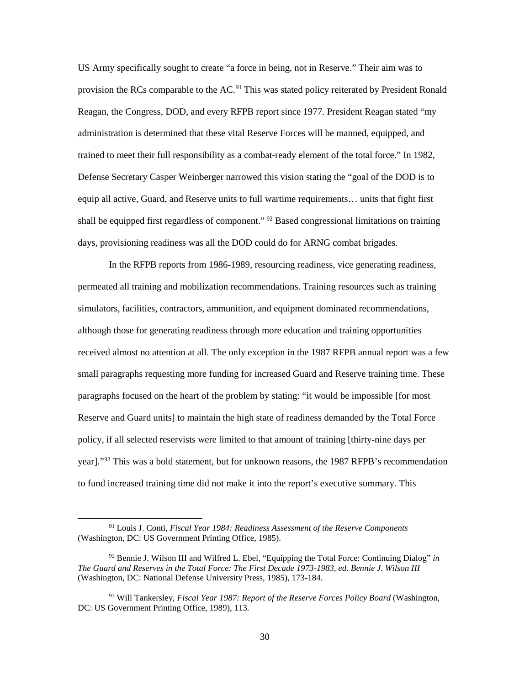US Army specifically sought to create "a force in being, not in Reserve." Their aim was to provision the RCs comparable to the AC.<sup>[91](#page-38-0)</sup> This was stated policy reiterated by President Ronald Reagan, the Congress, DOD, and every RFPB report since 1977. President Reagan stated "my administration is determined that these vital Reserve Forces will be manned, equipped, and trained to meet their full responsibility as a combat-ready element of the total force." In 1982, Defense Secretary Casper Weinberger narrowed this vision stating the "goal of the DOD is to equip all active, Guard, and Reserve units to full wartime requirements… units that fight first shall be equipped first regardless of component."  $92$  Based congressional limitations on training days, provisioning readiness was all the DOD could do for ARNG combat brigades.

In the RFPB reports from 1986-1989, resourcing readiness, vice generating readiness, permeated all training and mobilization recommendations. Training resources such as training simulators, facilities, contractors, ammunition, and equipment dominated recommendations, although those for generating readiness through more education and training opportunities received almost no attention at all. The only exception in the 1987 RFPB annual report was a few small paragraphs requesting more funding for increased Guard and Reserve training time. These paragraphs focused on the heart of the problem by stating: "it would be impossible [for most Reserve and Guard units] to maintain the high state of readiness demanded by the Total Force policy, if all selected reservists were limited to that amount of training [thirty-nine days per year]."<sup>[93](#page-38-2)</sup> This was a bold statement, but for unknown reasons, the 1987 RFPB's recommendation to fund increased training time did not make it into the report's executive summary. This

l

<span id="page-38-0"></span><sup>91</sup> Louis J. Conti, *Fiscal Year 1984: Readiness Assessment of the Reserve Components* (Washington, DC: US Government Printing Office, 1985).

<span id="page-38-1"></span><sup>92</sup> Bennie J. Wilson III and Wilfred L. Ebel, "Equipping the Total Force: Continuing Dialog" *in The Guard and Reserves in the Total Force: The First Decade 1973-1983, ed. Bennie J. Wilson III* (Washington, DC: National Defense University Press, 1985), 173-184.

<span id="page-38-2"></span><sup>93</sup> Will Tankersley, *Fiscal Year 1987: Report of the Reserve Forces Policy Board* (Washington, DC: US Government Printing Office, 1989), 113.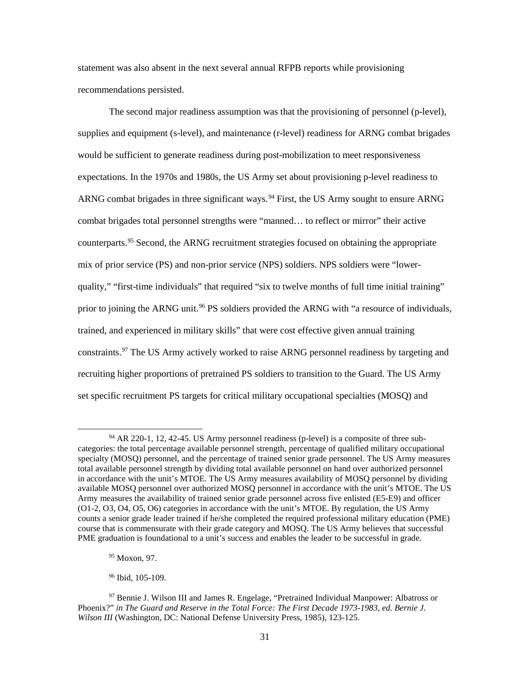statement was also absent in the next several annual RFPB reports while provisioning recommendations persisted.

The second major readiness assumption was that the provisioning of personnel (p-level), supplies and equipment (s-level), and maintenance (r-level) readiness for ARNG combat brigades would be sufficient to generate readiness during post-mobilization to meet responsiveness expectations. In the 1970s and 1980s, the US Army set about provisioning p-level readiness to ARNG combat brigades in three significant ways. [94](#page-39-0) First, the US Army sought to ensure ARNG combat brigades total personnel strengths were "manned… to reflect or mirror" their active counterparts.<sup>[95](#page-39-1)</sup> Second, the ARNG recruitment strategies focused on obtaining the appropriate mix of prior service (PS) and non-prior service (NPS) soldiers. NPS soldiers were "lowerquality," "first-time individuals" that required "six to twelve months of full time initial training" prior to joining the ARNG unit.<sup>[96](#page-39-2)</sup> PS soldiers provided the ARNG with "a resource of individuals, trained, and experienced in military skills" that were cost effective given annual training constraints.<sup>[97](#page-39-3)</sup> The US Army actively worked to raise ARNG personnel readiness by targeting and recruiting higher proportions of pretrained PS soldiers to transition to the Guard. The US Army set specific recruitment PS targets for critical military occupational specialties (MOSQ) and

l

<span id="page-39-0"></span><sup>94</sup> AR 220-1, 12, 42-45. US Army personnel readiness (p-level) is a composite of three subcategories: the total percentage available personnel strength, percentage of qualified military occupational specialty (MOSQ) personnel, and the percentage of trained senior grade personnel. The US Army measures total available personnel strength by dividing total available personnel on hand over authorized personnel in accordance with the unit's MTOE. The US Army measures availability of MOSQ personnel by dividing available MOSQ personnel over authorized MOSQ personnel in accordance with the unit's MTOE. The US Army measures the availability of trained senior grade personnel across five enlisted (E5-E9) and officer (O1-2, O3, O4, O5, O6) categories in accordance with the unit's MTOE. By regulation, the US Army counts a senior grade leader trained if he/she completed the required professional military education (PME) course that is commensurate with their grade category and MOSQ. The US Army believes that successful PME graduation is foundational to a unit's success and enables the leader to be successful in grade.

<sup>95</sup> Moxon, 97.

<sup>&</sup>lt;sup>96</sup> Ibid, 105-109.

<span id="page-39-3"></span><span id="page-39-2"></span><span id="page-39-1"></span><sup>97</sup> Bennie J. Wilson III and James R. Engelage, "Pretrained Individual Manpower: Albatross or Phoenix?" *in The Guard and Reserve in the Total Force: The First Decade 1973-1983, ed. Bernie J. Wilson III* (Washington, DC: National Defense University Press, 1985), 123-125.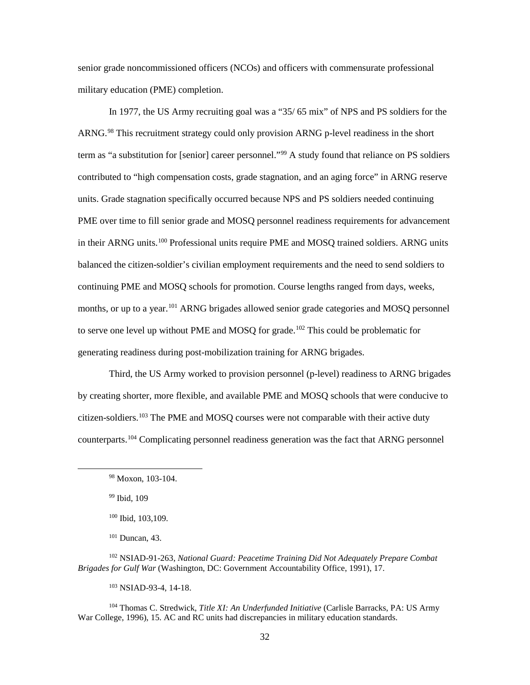senior grade noncommissioned officers (NCOs) and officers with commensurate professional military education (PME) completion.

In 1977, the US Army recruiting goal was a "35/ 65 mix" of NPS and PS soldiers for the ARNG.<sup>[98](#page-40-0)</sup> This recruitment strategy could only provision ARNG p-level readiness in the short term as "a substitution for [senior] career personnel."<sup>99</sup> A study found that reliance on PS soldiers contributed to "high compensation costs, grade stagnation, and an aging force" in ARNG reserve units. Grade stagnation specifically occurred because NPS and PS soldiers needed continuing PME over time to fill senior grade and MOSQ personnel readiness requirements for advancement in their ARNG units. [100](#page-40-2) Professional units require PME and MOSQ trained soldiers. ARNG units balanced the citizen-soldier's civilian employment requirements and the need to send soldiers to continuing PME and MOSQ schools for promotion. Course lengths ranged from days, weeks, months, or up to a year.<sup>[101](#page-40-3)</sup> ARNG brigades allowed senior grade categories and MOSQ personnel to serve one level up without PME and MOSQ for grade.<sup>[102](#page-40-4)</sup> This could be problematic for generating readiness during post-mobilization training for ARNG brigades.

Third, the US Army worked to provision personnel (p-level) readiness to ARNG brigades by creating shorter, more flexible, and available PME and MOSQ schools that were conducive to citizen-soldiers. [103](#page-40-5) The PME and MOSQ courses were not comparable with their active duty counterparts. [104](#page-40-6) Complicating personnel readiness generation was the fact that ARNG personnel

<span id="page-40-1"></span><span id="page-40-0"></span> $\overline{\phantom{a}}$ 

<sup>101</sup> Duncan, 43.

<span id="page-40-4"></span><span id="page-40-3"></span><span id="page-40-2"></span><sup>102</sup> NSIAD-91-263, *National Guard: Peacetime Training Did Not Adequately Prepare Combat Brigades for Gulf War* (Washington, DC: Government Accountability Office, 1991), 17.

<sup>103</sup> NSIAD-93-4, 14-18.

<span id="page-40-6"></span><span id="page-40-5"></span><sup>104</sup> Thomas C. Stredwick, *Title XI: An Underfunded Initiative* (Carlisle Barracks, PA: US Army War College, 1996), 15. AC and RC units had discrepancies in military education standards.

<sup>98</sup> Moxon, 103-104.

<sup>99</sup> Ibid, 109

<sup>100</sup> Ibid, 103,109.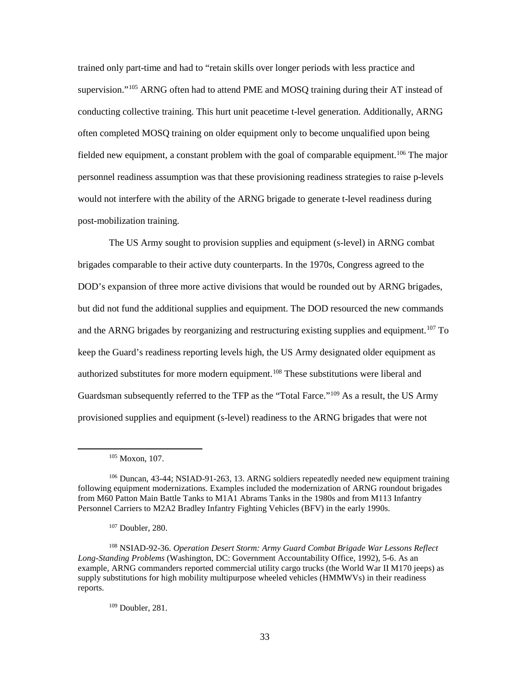trained only part-time and had to "retain skills over longer periods with less practice and supervision."<sup>[105](#page-41-0)</sup> ARNG often had to attend PME and MOSQ training during their AT instead of conducting collective training. This hurt unit peacetime t-level generation. Additionally, ARNG often completed MOSQ training on older equipment only to become unqualified upon being fielded new equipment, a constant problem with the goal of comparable equipment.<sup>[106](#page-41-1)</sup> The major personnel readiness assumption was that these provisioning readiness strategies to raise p-levels would not interfere with the ability of the ARNG brigade to generate t-level readiness during post-mobilization training.

The US Army sought to provision supplies and equipment (s-level) in ARNG combat brigades comparable to their active duty counterparts. In the 1970s, Congress agreed to the DOD's expansion of three more active divisions that would be rounded out by ARNG brigades, but did not fund the additional supplies and equipment. The DOD resourced the new commands and the ARNG brigades by reorganizing and restructuring existing supplies and equipment. [107](#page-41-2) To keep the Guard's readiness reporting levels high, the US Army designated older equipment as authorized substitutes for more modern equipment.<sup>108</sup> These substitutions were liberal and Guardsman subsequently referred to the TFP as the "Total Farce."<sup>[109](#page-41-4)</sup> As a result, the US Army provisioned supplies and equipment (s-level) readiness to the ARNG brigades that were not

<span id="page-41-0"></span> $\overline{\phantom{a}}$ 

<sup>109</sup> Doubler, 281.

<sup>105</sup> Moxon, 107.

<span id="page-41-1"></span><sup>106</sup> Duncan, 43-44; NSIAD-91-263, 13. ARNG soldiers repeatedly needed new equipment training following equipment modernizations. Examples included the modernization of ARNG roundout brigades from M60 Patton Main Battle Tanks to M1A1 Abrams Tanks in the 1980s and from M113 Infantry Personnel Carriers to M2A2 Bradley Infantry Fighting Vehicles (BFV) in the early 1990s.

<sup>107</sup> Doubler, 280.

<span id="page-41-4"></span><span id="page-41-3"></span><span id="page-41-2"></span><sup>108</sup> NSIAD-92-36. *Operation Desert Storm: Army Guard Combat Brigade War Lessons Reflect Long-Standing Problems* (Washington, DC: Government Accountability Office, 1992), 5-6. As an example, ARNG commanders reported commercial utility cargo trucks (the World War II M170 jeeps) as supply substitutions for high mobility multipurpose wheeled vehicles (HMMWVs) in their readiness reports.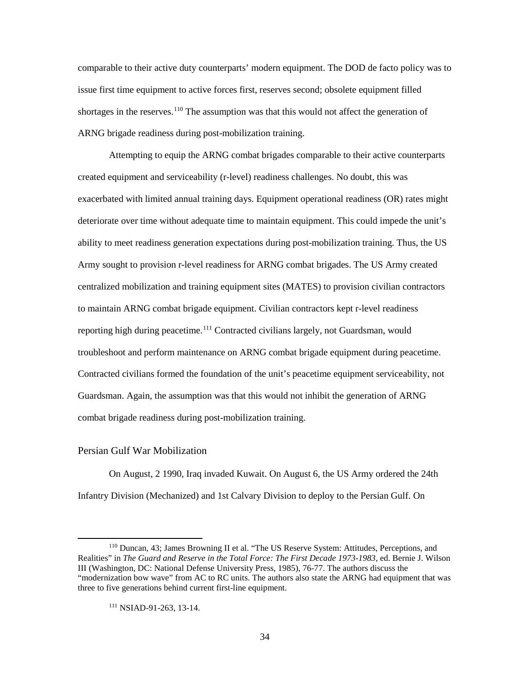comparable to their active duty counterparts' modern equipment. The DOD de facto policy was to issue first time equipment to active forces first, reserves second; obsolete equipment filled shortages in the reserves.<sup>[110](#page-42-0)</sup> The assumption was that this would not affect the generation of ARNG brigade readiness during post-mobilization training.

Attempting to equip the ARNG combat brigades comparable to their active counterparts created equipment and serviceability (r-level) readiness challenges. No doubt, this was exacerbated with limited annual training days. Equipment operational readiness (OR) rates might deteriorate over time without adequate time to maintain equipment. This could impede the unit's ability to meet readiness generation expectations during post-mobilization training. Thus, the US Army sought to provision r-level readiness for ARNG combat brigades. The US Army created centralized mobilization and training equipment sites (MATES) to provision civilian contractors to maintain ARNG combat brigade equipment. Civilian contractors kept r-level readiness reporting high during peacetime.[111](#page-42-1) Contracted civilians largely, not Guardsman, would troubleshoot and perform maintenance on ARNG combat brigade equipment during peacetime. Contracted civilians formed the foundation of the unit's peacetime equipment serviceability, not Guardsman. Again, the assumption was that this would not inhibit the generation of ARNG combat brigade readiness during post-mobilization training.

#### Persian Gulf War Mobilization

 $\overline{\phantom{a}}$ 

On August, 2 1990, Iraq invaded Kuwait. On August 6, the US Army ordered the 24th Infantry Division (Mechanized) and 1st Calvary Division to deploy to the Persian Gulf. On

<span id="page-42-1"></span><span id="page-42-0"></span><sup>110</sup> Duncan, 43; James Browning II et al. "The US Reserve System: Attitudes, Perceptions, and Realities" in *The Guard and Reserve in the Total Force: The First Decade 1973-1983*, ed. Bernie J. Wilson III (Washington, DC: National Defense University Press, 1985), 76-77. The authors discuss the "modernization bow wave" from AC to RC units. The authors also state the ARNG had equipment that was three to five generations behind current first-line equipment.

<sup>111</sup> NSIAD-91-263, 13-14.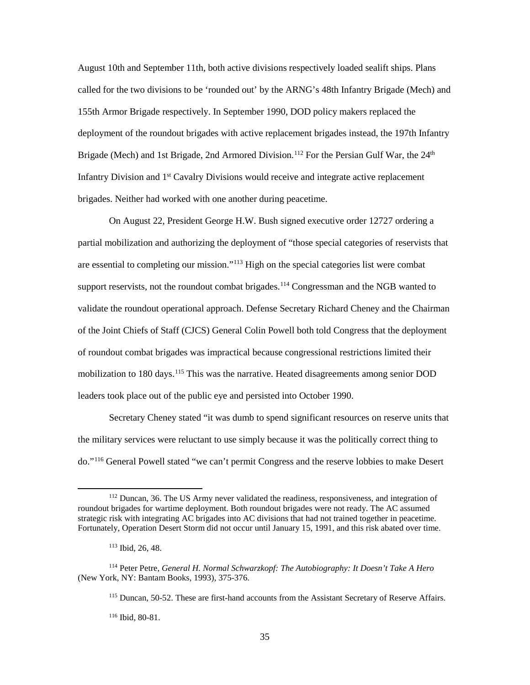August 10th and September 11th, both active divisions respectively loaded sealift ships. Plans called for the two divisions to be 'rounded out' by the ARNG's 48th Infantry Brigade (Mech) and 155th Armor Brigade respectively. In September 1990, DOD policy makers replaced the deployment of the roundout brigades with active replacement brigades instead, the 197th Infantry Brigade (Mech) and 1st Brigade, 2nd Armored Division.<sup>[112](#page-43-0)</sup> For the Persian Gulf War, the 24<sup>th</sup> Infantry Division and 1<sup>st</sup> Cavalry Divisions would receive and integrate active replacement brigades. Neither had worked with one another during peacetime.

On August 22, President George H.W. Bush signed executive order 12727 ordering a partial mobilization and authorizing the deployment of "those special categories of reservists that are essential to completing our mission."[113](#page-43-1) High on the special categories list were combat support reservists, not the roundout combat brigades.<sup>[114](#page-43-2)</sup> Congressman and the NGB wanted to validate the roundout operational approach. Defense Secretary Richard Cheney and the Chairman of the Joint Chiefs of Staff (CJCS) General Colin Powell both told Congress that the deployment of roundout combat brigades was impractical because congressional restrictions limited their mobilization to 180 days.<sup>[115](#page-43-3)</sup> This was the narrative. Heated disagreements among senior DOD leaders took place out of the public eye and persisted into October 1990.

Secretary Cheney stated "it was dumb to spend significant resources on reserve units that the military services were reluctant to use simply because it was the politically correct thing to do."[116](#page-43-4) General Powell stated "we can't permit Congress and the reserve lobbies to make Desert

l

<sup>116</sup> Ibid, 80-81.

<span id="page-43-0"></span><sup>&</sup>lt;sup>112</sup> Duncan, 36. The US Army never validated the readiness, responsiveness, and integration of roundout brigades for wartime deployment. Both roundout brigades were not ready. The AC assumed strategic risk with integrating AC brigades into AC divisions that had not trained together in peacetime. Fortunately, Operation Desert Storm did not occur until January 15, 1991, and this risk abated over time.

<sup>113</sup> Ibid, 26, 48.

<span id="page-43-4"></span><span id="page-43-3"></span><span id="page-43-2"></span><span id="page-43-1"></span><sup>114</sup> Peter Petre, *General H. Normal Schwarzkopf: The Autobiography: It Doesn't Take A Hero* (New York, NY: Bantam Books, 1993), 375-376.

<sup>115</sup> Duncan, 50-52. These are first-hand accounts from the Assistant Secretary of Reserve Affairs.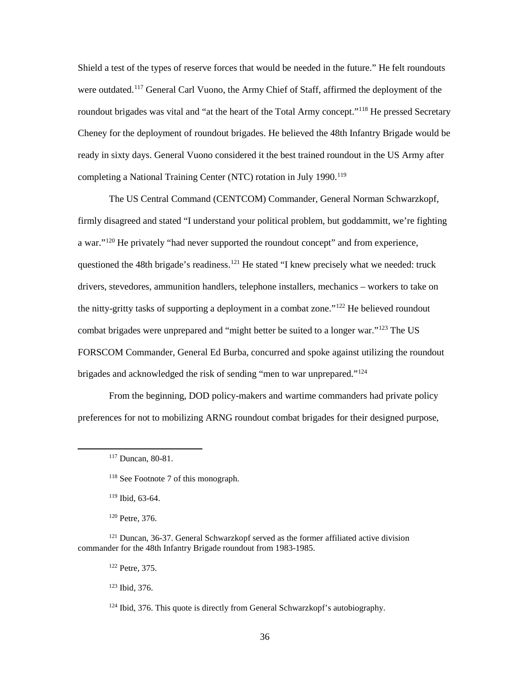Shield a test of the types of reserve forces that would be needed in the future." He felt roundouts were outdated.<sup>[117](#page-44-0)</sup> General Carl Vuono, the Army Chief of Staff, affirmed the deployment of the roundout brigades was vital and "at the heart of the Total Army concept."<sup>[118](#page-44-1)</sup> He pressed Secretary Cheney for the deployment of roundout brigades. He believed the 48th Infantry Brigade would be ready in sixty days. General Vuono considered it the best trained roundout in the US Army after completing a National Training Center (NTC) rotation in July 1990.<sup>[119](#page-44-2)</sup>

The US Central Command (CENTCOM) Commander, General Norman Schwarzkopf, firmly disagreed and stated "I understand your political problem, but goddammitt, we're fighting a war."<sup>[120](#page-44-3)</sup> He privately "had never supported the roundout concept" and from experience, questioned the 48th brigade's readiness.<sup>[121](#page-44-4)</sup> He stated "I knew precisely what we needed: truck drivers, stevedores, ammunition handlers, telephone installers, mechanics – workers to take on the nitty-gritty tasks of supporting a deployment in a combat zone."<sup>[122](#page-44-5)</sup> He believed roundout combat brigades were unprepared and "might better be suited to a longer war."[123](#page-44-6) The US FORSCOM Commander, General Ed Burba, concurred and spoke against utilizing the roundout brigades and acknowledged the risk of sending "men to war unprepared."<sup>[124](#page-44-7)</sup>

From the beginning, DOD policy-makers and wartime commanders had private policy preferences for not to mobilizing ARNG roundout combat brigades for their designed purpose,

<sup>119</sup> Ibid, 63-64.

<span id="page-44-1"></span><span id="page-44-0"></span> $\overline{\phantom{a}}$ 

<sup>120</sup> Petre, 376.

<span id="page-44-7"></span><span id="page-44-6"></span><span id="page-44-5"></span><span id="page-44-4"></span><span id="page-44-3"></span><span id="page-44-2"></span><sup>121</sup> Duncan, 36-37. General Schwarzkopf served as the former affiliated active division commander for the 48th Infantry Brigade roundout from 1983-1985.

<sup>122</sup> Petre, 375.

<sup>123</sup> Ibid, 376.

<sup>117</sup> Duncan, 80-81.

<sup>118</sup> See Footnote 7 of this monograph.

 $124$  Ibid, 376. This quote is directly from General Schwarzkopf's autobiography.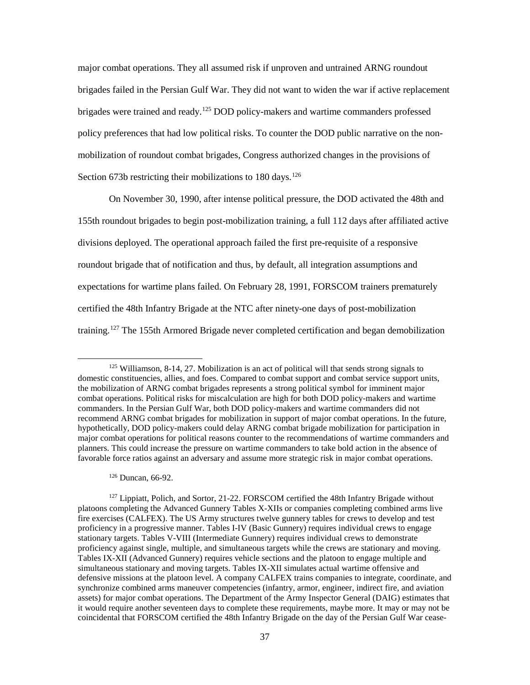major combat operations. They all assumed risk if unproven and untrained ARNG roundout brigades failed in the Persian Gulf War. They did not want to widen the war if active replacement brigades were trained and ready.<sup>[125](#page-45-0)</sup> DOD policy-makers and wartime commanders professed policy preferences that had low political risks. To counter the DOD public narrative on the nonmobilization of roundout combat brigades, Congress authorized changes in the provisions of Section 673b restricting their mobilizations to 180 days.<sup>[126](#page-45-1)</sup>

On November 30, 1990, after intense political pressure, the DOD activated the 48th and 155th roundout brigades to begin post-mobilization training, a full 112 days after affiliated active divisions deployed. The operational approach failed the first pre-requisite of a responsive roundout brigade that of notification and thus, by default, all integration assumptions and expectations for wartime plans failed. On February 28, 1991, FORSCOM trainers prematurely certified the 48th Infantry Brigade at the NTC after ninety-one days of post-mobilization training. [127](#page-45-2) The 155th Armored Brigade never completed certification and began demobilization

<sup>126</sup> Duncan, 66-92.

 $\overline{\phantom{a}}$ 

<span id="page-45-2"></span><span id="page-45-1"></span><sup>127</sup> Lippiatt, Polich, and Sortor, 21-22. FORSCOM certified the 48th Infantry Brigade without platoons completing the Advanced Gunnery Tables X-XIIs or companies completing combined arms live fire exercises (CALFEX). The US Army structures twelve gunnery tables for crews to develop and test proficiency in a progressive manner. Tables I-IV (Basic Gunnery) requires individual crews to engage stationary targets. Tables V-VIII (Intermediate Gunnery) requires individual crews to demonstrate proficiency against single, multiple, and simultaneous targets while the crews are stationary and moving. Tables IX-XII (Advanced Gunnery) requires vehicle sections and the platoon to engage multiple and simultaneous stationary and moving targets. Tables IX-XII simulates actual wartime offensive and defensive missions at the platoon level. A company CALFEX trains companies to integrate, coordinate, and synchronize combined arms maneuver competencies (infantry, armor, engineer, indirect fire, and aviation assets) for major combat operations. The Department of the Army Inspector General (DAIG) estimates that it would require another seventeen days to complete these requirements, maybe more. It may or may not be coincidental that FORSCOM certified the 48th Infantry Brigade on the day of the Persian Gulf War cease-

<span id="page-45-0"></span> $125$  Williamson, 8-14, 27. Mobilization is an act of political will that sends strong signals to domestic constituencies, allies, and foes. Compared to combat support and combat service support units, the mobilization of ARNG combat brigades represents a strong political symbol for imminent major combat operations. Political risks for miscalculation are high for both DOD policy-makers and wartime commanders. In the Persian Gulf War, both DOD policy-makers and wartime commanders did not recommend ARNG combat brigades for mobilization in support of major combat operations. In the future, hypothetically, DOD policy-makers could delay ARNG combat brigade mobilization for participation in major combat operations for political reasons counter to the recommendations of wartime commanders and planners. This could increase the pressure on wartime commanders to take bold action in the absence of favorable force ratios against an adversary and assume more strategic risk in major combat operations.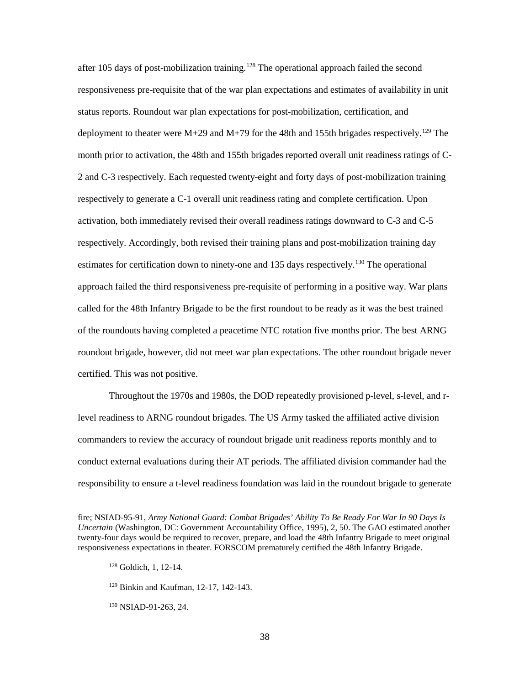after 105 days of post-mobilization training.<sup>[128](#page-46-0)</sup> The operational approach failed the second responsiveness pre-requisite that of the war plan expectations and estimates of availability in unit status reports. Roundout war plan expectations for post-mobilization, certification, and deployment to theater were  $M+29$  and  $M+79$  for the 48th and 155th brigades respectively.<sup>[129](#page-46-1)</sup> The month prior to activation, the 48th and 155th brigades reported overall unit readiness ratings of C-2 and C-3 respectively. Each requested twenty-eight and forty days of post-mobilization training respectively to generate a C-1 overall unit readiness rating and complete certification. Upon activation, both immediately revised their overall readiness ratings downward to C-3 and C-5 respectively. Accordingly, both revised their training plans and post-mobilization training day estimates for certification down to ninety-one and 135 days respectively.<sup>[130](#page-46-2)</sup> The operational approach failed the third responsiveness pre-requisite of performing in a positive way. War plans called for the 48th Infantry Brigade to be the first roundout to be ready as it was the best trained of the roundouts having completed a peacetime NTC rotation five months prior. The best ARNG roundout brigade, however, did not meet war plan expectations. The other roundout brigade never certified. This was not positive.

Throughout the 1970s and 1980s, the DOD repeatedly provisioned p-level, s-level, and rlevel readiness to ARNG roundout brigades. The US Army tasked the affiliated active division commanders to review the accuracy of roundout brigade unit readiness reports monthly and to conduct external evaluations during their AT periods. The affiliated division commander had the responsibility to ensure a t-level readiness foundation was laid in the roundout brigade to generate

- <sup>129</sup> Binkin and Kaufman, 12-17, 142-143.
- <span id="page-46-2"></span><sup>130</sup> NSIAD-91-263, 24.

<span id="page-46-1"></span><span id="page-46-0"></span>fire; NSIAD-95-91, *Army National Guard: Combat Brigades' Ability To Be Ready For War In 90 Days Is Uncertain* (Washington, DC: Government Accountability Office, 1995), 2, 50. The GAO estimated another twenty-four days would be required to recover, prepare, and load the 48th Infantry Brigade to meet original responsiveness expectations in theater. FORSCOM prematurely certified the 48th Infantry Brigade.

<sup>128</sup> Goldich, 1, 12-14.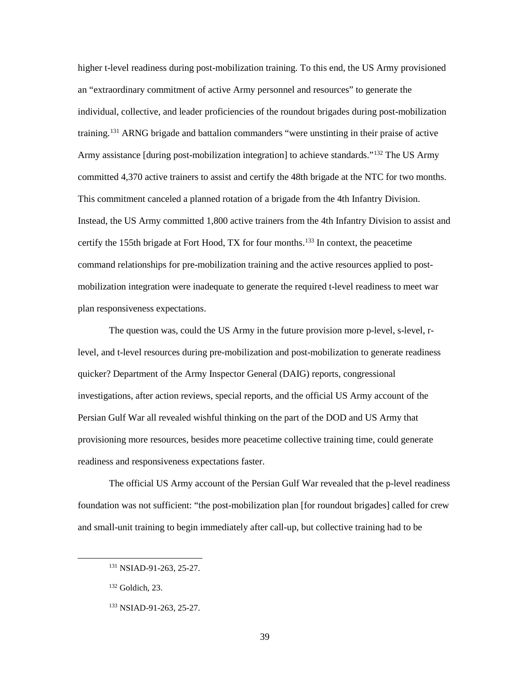higher t-level readiness during post-mobilization training. To this end, the US Army provisioned an "extraordinary commitment of active Army personnel and resources" to generate the individual, collective, and leader proficiencies of the roundout brigades during post-mobilization training.[131](#page-47-0) ARNG brigade and battalion commanders "were unstinting in their praise of active Army assistance [during post-mobilization integration] to achieve standards."<sup>[132](#page-47-1)</sup> The US Army committed 4,370 active trainers to assist and certify the 48th brigade at the NTC for two months. This commitment canceled a planned rotation of a brigade from the 4th Infantry Division. Instead, the US Army committed 1,800 active trainers from the 4th Infantry Division to assist and certify the 155th brigade at Fort Hood, TX for four months. [133](#page-47-2) In context, the peacetime command relationships for pre-mobilization training and the active resources applied to postmobilization integration were inadequate to generate the required t-level readiness to meet war plan responsiveness expectations.

The question was, could the US Army in the future provision more p-level, s-level, rlevel, and t-level resources during pre-mobilization and post-mobilization to generate readiness quicker? Department of the Army Inspector General (DAIG) reports, congressional investigations, after action reviews, special reports, and the official US Army account of the Persian Gulf War all revealed wishful thinking on the part of the DOD and US Army that provisioning more resources, besides more peacetime collective training time, could generate readiness and responsiveness expectations faster.

The official US Army account of the Persian Gulf War revealed that the p-level readiness foundation was not sufficient: "the post-mobilization plan [for roundout brigades] called for crew and small-unit training to begin immediately after call-up, but collective training had to be

<span id="page-47-0"></span><sup>131</sup> NSIAD-91-263, 25-27.

<span id="page-47-1"></span><sup>132</sup> Goldich, 23.

<span id="page-47-2"></span><sup>133</sup> NSIAD-91-263, 25-27.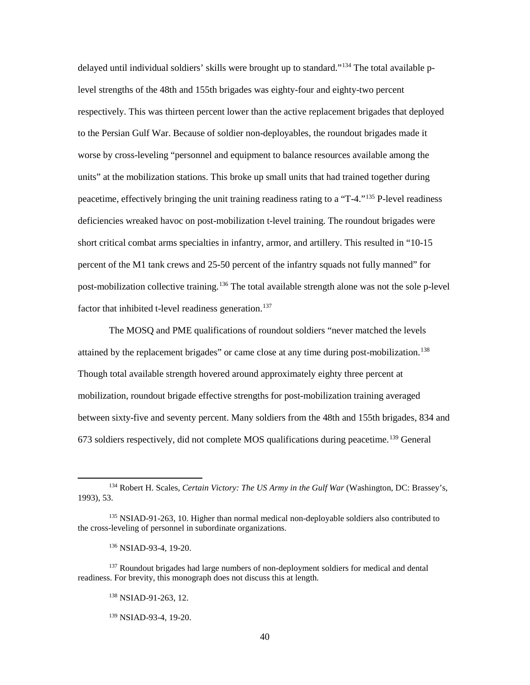delayed until individual soldiers' skills were brought up to standard."<sup>134</sup> The total available plevel strengths of the 48th and 155th brigades was eighty-four and eighty-two percent respectively. This was thirteen percent lower than the active replacement brigades that deployed to the Persian Gulf War. Because of soldier non-deployables, the roundout brigades made it worse by cross-leveling "personnel and equipment to balance resources available among the units" at the mobilization stations. This broke up small units that had trained together during peacetime, effectively bringing the unit training readiness rating to a "T-4."[135](#page-48-1) P-level readiness deficiencies wreaked havoc on post-mobilization t-level training. The roundout brigades were short critical combat arms specialties in infantry, armor, and artillery. This resulted in "10-15 percent of the M1 tank crews and 25-50 percent of the infantry squads not fully manned" for post-mobilization collective training.<sup>[136](#page-48-2)</sup> The total available strength alone was not the sole p-level factor that inhibited t-level readiness generation.<sup>[137](#page-48-3)</sup>

The MOSQ and PME qualifications of roundout soldiers "never matched the levels attained by the replacement brigades" or came close at any time during post-mobilization.<sup>[138](#page-48-4)</sup> Though total available strength hovered around approximately eighty three percent at mobilization, roundout brigade effective strengths for post-mobilization training averaged between sixty-five and seventy percent. Many soldiers from the 48th and 155th brigades, 834 and 673 soldiers respectively, did not complete MOS qualifications during peacetime. [139](#page-48-5) General

<sup>136</sup> NSIAD-93-4, 19-20.

<span id="page-48-0"></span><sup>134</sup> Robert H. Scales, *Certain Victory: The US Army in the Gulf War* (Washington, DC: Brassey's, 1993), 53.

<span id="page-48-1"></span><sup>&</sup>lt;sup>135</sup> NSIAD-91-263, 10. Higher than normal medical non-deployable soldiers also contributed to the cross-leveling of personnel in subordinate organizations.

<span id="page-48-5"></span><span id="page-48-4"></span><span id="page-48-3"></span><span id="page-48-2"></span><sup>&</sup>lt;sup>137</sup> Roundout brigades had large numbers of non-deployment soldiers for medical and dental readiness. For brevity, this monograph does not discuss this at length.

<sup>138</sup> NSIAD-91-263, 12.

<sup>139</sup> NSIAD-93-4, 19-20.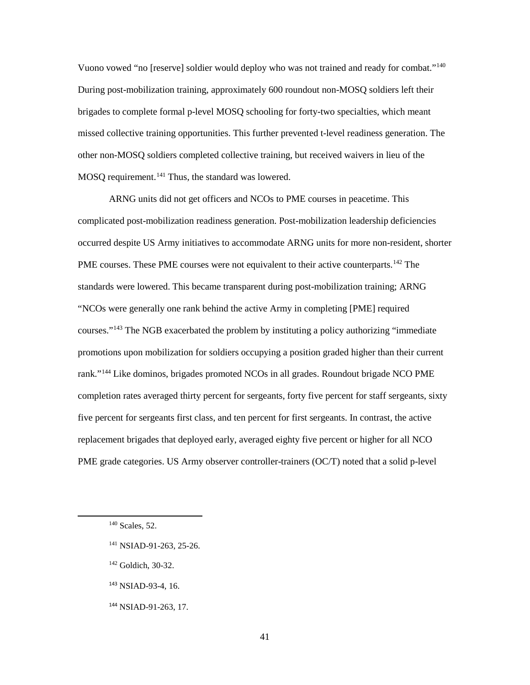Vuono vowed "no [reserve] soldier would deploy who was not trained and ready for combat.["140](#page-49-0) During post-mobilization training, approximately 600 roundout non-MOSQ soldiers left their brigades to complete formal p-level MOSQ schooling for forty-two specialties, which meant missed collective training opportunities. This further prevented t-level readiness generation. The other non-MOSQ soldiers completed collective training, but received waivers in lieu of the MOSQ requirement.<sup>[141](#page-49-1)</sup> Thus, the standard was lowered.

ARNG units did not get officers and NCOs to PME courses in peacetime. This complicated post-mobilization readiness generation. Post-mobilization leadership deficiencies occurred despite US Army initiatives to accommodate ARNG units for more non-resident, shorter PME courses. These PME courses were not equivalent to their active counterparts.<sup>[142](#page-49-2)</sup> The standards were lowered. This became transparent during post-mobilization training; ARNG "NCOs were generally one rank behind the active Army in completing [PME] required courses."[143](#page-49-3) The NGB exacerbated the problem by instituting a policy authorizing "immediate promotions upon mobilization for soldiers occupying a position graded higher than their current rank."[144](#page-49-4) Like dominos, brigades promoted NCOs in all grades. Roundout brigade NCO PME completion rates averaged thirty percent for sergeants, forty five percent for staff sergeants, sixty five percent for sergeants first class, and ten percent for first sergeants. In contrast, the active replacement brigades that deployed early, averaged eighty five percent or higher for all NCO PME grade categories. US Army observer controller-trainers (OC/T) noted that a solid p-level

- <span id="page-49-1"></span><sup>141</sup> NSIAD-91-263, 25-26.
- <span id="page-49-2"></span><sup>142</sup> Goldich, 30-32.
- <span id="page-49-3"></span><sup>143</sup> NSIAD-93-4, 16.
- <span id="page-49-4"></span><sup>144</sup> NSIAD-91-263, 17.

<span id="page-49-0"></span><sup>140</sup> Scales, 52.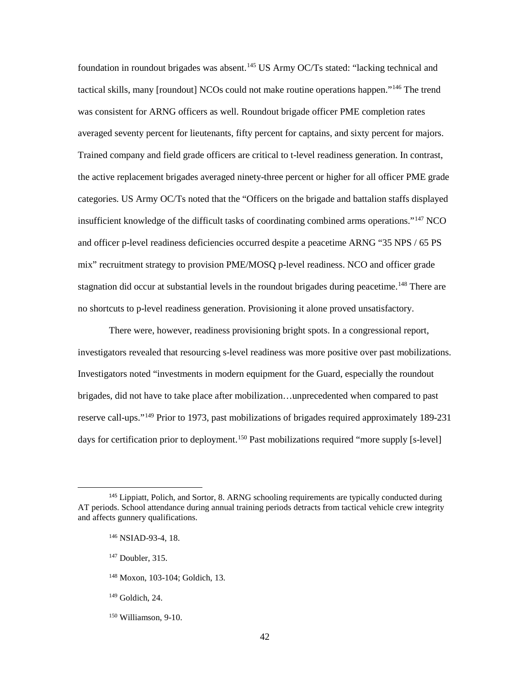foundation in roundout brigades was absent.<sup>[145](#page-50-0)</sup> US Army OC/Ts stated: "lacking technical and tactical skills, many [roundout] NCOs could not make routine operations happen.["146](#page-50-1) The trend was consistent for ARNG officers as well. Roundout brigade officer PME completion rates averaged seventy percent for lieutenants, fifty percent for captains, and sixty percent for majors. Trained company and field grade officers are critical to t-level readiness generation. In contrast, the active replacement brigades averaged ninety-three percent or higher for all officer PME grade categories. US Army OC/Ts noted that the "Officers on the brigade and battalion staffs displayed insufficient knowledge of the difficult tasks of coordinating combined arms operations."<sup>[147](#page-50-2)</sup> NCO and officer p-level readiness deficiencies occurred despite a peacetime ARNG "35 NPS / 65 PS mix" recruitment strategy to provision PME/MOSQ p-level readiness. NCO and officer grade stagnation did occur at substantial levels in the roundout brigades during peacetime.<sup>[148](#page-50-3)</sup> There are no shortcuts to p-level readiness generation. Provisioning it alone proved unsatisfactory.

There were, however, readiness provisioning bright spots. In a congressional report, investigators revealed that resourcing s-level readiness was more positive over past mobilizations. Investigators noted "investments in modern equipment for the Guard, especially the roundout brigades, did not have to take place after mobilization…unprecedented when compared to past reserve call-ups."[149](#page-50-4) Prior to 1973, past mobilizations of brigades required approximately 189-231 days for certification prior to deployment. [150](#page-50-5) Past mobilizations required "more supply [s-level]

<span id="page-50-2"></span><span id="page-50-1"></span><span id="page-50-0"></span><sup>&</sup>lt;sup>145</sup> Lippiatt, Polich, and Sortor, 8. ARNG schooling requirements are typically conducted during AT periods. School attendance during annual training periods detracts from tactical vehicle crew integrity and affects gunnery qualifications.

<sup>146</sup> NSIAD-93-4, 18.

<sup>147</sup> Doubler, 315.

<span id="page-50-3"></span><sup>148</sup> Moxon, 103-104; Goldich, 13.

<span id="page-50-4"></span><sup>149</sup> Goldich, 24.

<span id="page-50-5"></span><sup>150</sup> Williamson, 9-10.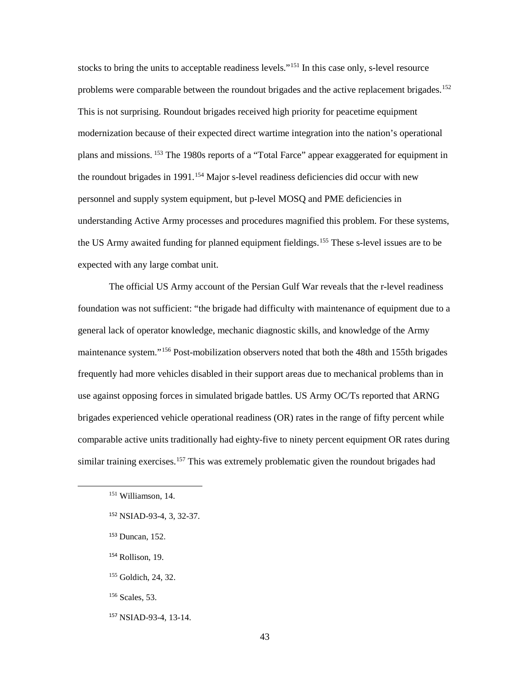stocks to bring the units to acceptable readiness levels."<sup>[151](#page-51-0)</sup> In this case only, s-level resource problems were comparable between the roundout brigades and the active replacement brigades.<sup>[152](#page-51-1)</sup> This is not surprising. Roundout brigades received high priority for peacetime equipment modernization because of their expected direct wartime integration into the nation's operational plans and missions. [153](#page-51-2) The 1980s reports of a "Total Farce" appear exaggerated for equipment in the roundout brigades in 1991. [154](#page-51-3) Major s-level readiness deficiencies did occur with new personnel and supply system equipment, but p-level MOSQ and PME deficiencies in understanding Active Army processes and procedures magnified this problem. For these systems, the US Army awaited funding for planned equipment fieldings. [155](#page-51-4) These s-level issues are to be expected with any large combat unit.

The official US Army account of the Persian Gulf War reveals that the r-level readiness foundation was not sufficient: "the brigade had difficulty with maintenance of equipment due to a general lack of operator knowledge, mechanic diagnostic skills, and knowledge of the Army maintenance system."<sup>[156](#page-51-5)</sup> Post-mobilization observers noted that both the 48th and 155th brigades frequently had more vehicles disabled in their support areas due to mechanical problems than in use against opposing forces in simulated brigade battles. US Army OC/Ts reported that ARNG brigades experienced vehicle operational readiness (OR) rates in the range of fifty percent while comparable active units traditionally had eighty-five to ninety percent equipment OR rates during similar training exercises.<sup>[157](#page-51-6)</sup> This was extremely problematic given the roundout brigades had

- <span id="page-51-2"></span><sup>153</sup> Duncan, 152.
- <span id="page-51-3"></span><sup>154</sup> Rollison, 19.
- <span id="page-51-4"></span><sup>155</sup> Goldich, 24, 32.
- <span id="page-51-5"></span><sup>156</sup> Scales, 53.
- <span id="page-51-6"></span><sup>157</sup> NSIAD-93-4, 13-14.

<span id="page-51-0"></span><sup>151</sup> Williamson, 14.

<span id="page-51-1"></span><sup>152</sup> NSIAD-93-4, 3, 32-37.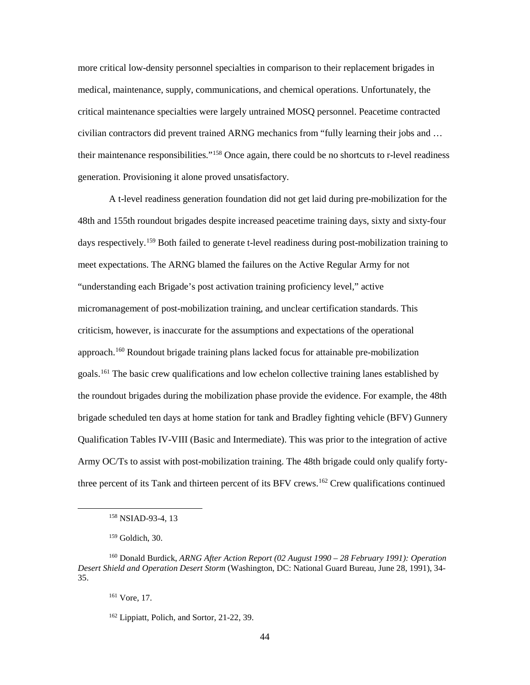more critical low-density personnel specialties in comparison to their replacement brigades in medical, maintenance, supply, communications, and chemical operations. Unfortunately, the critical maintenance specialties were largely untrained MOSQ personnel. Peacetime contracted civilian contractors did prevent trained ARNG mechanics from "fully learning their jobs and … their maintenance responsibilities."[158](#page-52-0) Once again, there could be no shortcuts to r-level readiness generation. Provisioning it alone proved unsatisfactory.

A t-level readiness generation foundation did not get laid during pre-mobilization for the 48th and 155th roundout brigades despite increased peacetime training days, sixty and sixty-four days respectively.<sup>[159](#page-52-1)</sup> Both failed to generate t-level readiness during post-mobilization training to meet expectations. The ARNG blamed the failures on the Active Regular Army for not "understanding each Brigade's post activation training proficiency level," active micromanagement of post-mobilization training, and unclear certification standards. This criticism, however, is inaccurate for the assumptions and expectations of the operational approach.<sup>[160](#page-52-2)</sup> Roundout brigade training plans lacked focus for attainable pre-mobilization goals.<sup>[161](#page-52-3)</sup> The basic crew qualifications and low echelon collective training lanes established by the roundout brigades during the mobilization phase provide the evidence. For example, the 48th brigade scheduled ten days at home station for tank and Bradley fighting vehicle (BFV) Gunnery Qualification Tables IV-VIII (Basic and Intermediate). This was prior to the integration of active Army OC/Ts to assist with post-mobilization training. The 48th brigade could only qualify fortythree percent of its Tank and thirteen percent of its BFV crews[.162](#page-52-4) Crew qualifications continued

<sup>&</sup>lt;sup>158</sup> NSIAD-93-4, 13

<sup>159</sup> Goldich, 30.

<span id="page-52-4"></span><span id="page-52-3"></span><span id="page-52-2"></span><span id="page-52-1"></span><span id="page-52-0"></span><sup>160</sup> Donald Burdick, *ARNG After Action Report (02 August 1990 – 28 February 1991): Operation Desert Shield and Operation Desert Storm* (Washington, DC: National Guard Bureau, June 28, 1991), 34- 35.

<sup>161</sup> Vore, 17.

<sup>162</sup> Lippiatt, Polich, and Sortor, 21-22, 39.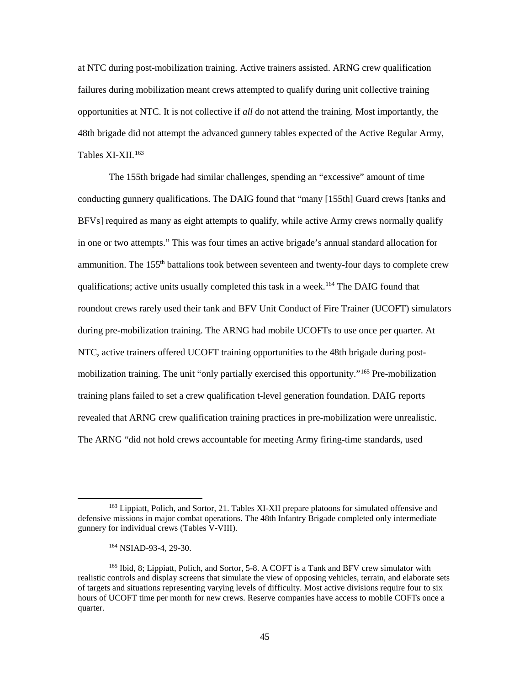at NTC during post-mobilization training. Active trainers assisted. ARNG crew qualification failures during mobilization meant crews attempted to qualify during unit collective training opportunities at NTC. It is not collective if *all* do not attend the training. Most importantly, the 48th brigade did not attempt the advanced gunnery tables expected of the Active Regular Army, Tables XI-XII.<sup>[163](#page-53-0)</sup>

The 155th brigade had similar challenges, spending an "excessive" amount of time conducting gunnery qualifications. The DAIG found that "many [155th] Guard crews [tanks and BFVs] required as many as eight attempts to qualify, while active Army crews normally qualify in one or two attempts." This was four times an active brigade's annual standard allocation for ammunition. The  $155<sup>th</sup>$  battalions took between seventeen and twenty-four days to complete crew qualifications; active units usually completed this task in a week.<sup>[164](#page-53-1)</sup> The DAIG found that roundout crews rarely used their tank and BFV Unit Conduct of Fire Trainer (UCOFT) simulators during pre-mobilization training. The ARNG had mobile UCOFTs to use once per quarter. At NTC, active trainers offered UCOFT training opportunities to the 48th brigade during postmobilization training. The unit "only partially exercised this opportunity."[165](#page-53-2) Pre-mobilization training plans failed to set a crew qualification t-level generation foundation. DAIG reports revealed that ARNG crew qualification training practices in pre-mobilization were unrealistic. The ARNG "did not hold crews accountable for meeting Army firing-time standards, used

<span id="page-53-0"></span><sup>&</sup>lt;sup>163</sup> Lippiatt, Polich, and Sortor, 21. Tables XI-XII prepare platoons for simulated offensive and defensive missions in major combat operations. The 48th Infantry Brigade completed only intermediate gunnery for individual crews (Tables V-VIII).

<sup>164</sup> NSIAD-93-4, 29-30.

<span id="page-53-2"></span><span id="page-53-1"></span><sup>165</sup> Ibid, 8; Lippiatt, Polich, and Sortor, 5-8. A COFT is a Tank and BFV crew simulator with realistic controls and display screens that simulate the view of opposing vehicles, terrain, and elaborate sets of targets and situations representing varying levels of difficulty. Most active divisions require four to six hours of UCOFT time per month for new crews. Reserve companies have access to mobile COFTs once a quarter.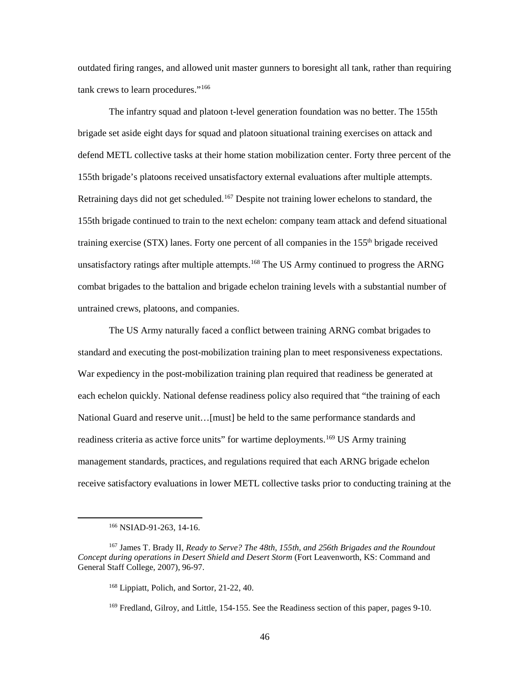outdated firing ranges, and allowed unit master gunners to boresight all tank, rather than requiring tank crews to learn procedures."[166](#page-54-0)

The infantry squad and platoon t-level generation foundation was no better. The 155th brigade set aside eight days for squad and platoon situational training exercises on attack and defend METL collective tasks at their home station mobilization center. Forty three percent of the 155th brigade's platoons received unsatisfactory external evaluations after multiple attempts. Retraining days did not get scheduled.<sup>[167](#page-54-1)</sup> Despite not training lower echelons to standard, the 155th brigade continued to train to the next echelon: company team attack and defend situational training exercise (STX) lanes. Forty one percent of all companies in the 155<sup>th</sup> brigade received unsatisfactory ratings after multiple attempts.<sup>[168](#page-54-2)</sup> The US Army continued to progress the ARNG combat brigades to the battalion and brigade echelon training levels with a substantial number of untrained crews, platoons, and companies.

The US Army naturally faced a conflict between training ARNG combat brigades to standard and executing the post-mobilization training plan to meet responsiveness expectations. War expediency in the post-mobilization training plan required that readiness be generated at each echelon quickly. National defense readiness policy also required that "the training of each National Guard and reserve unit…[must] be held to the same performance standards and readiness criteria as active force units" for wartime deployments.<sup>[169](#page-54-3)</sup> US Army training management standards, practices, and regulations required that each ARNG brigade echelon receive satisfactory evaluations in lower METL collective tasks prior to conducting training at the

<span id="page-54-0"></span>l

<sup>166</sup> NSIAD-91-263, 14-16.

<span id="page-54-3"></span><span id="page-54-2"></span><span id="page-54-1"></span><sup>167</sup> James T. Brady II, *Ready to Serve? The 48th, 155th, and 256th Brigades and the Roundout Concept during operations in Desert Shield and Desert Storm* (Fort Leavenworth, KS: Command and General Staff College, 2007), 96-97.

<sup>168</sup> Lippiatt, Polich, and Sortor, 21-22, 40.

<sup>&</sup>lt;sup>169</sup> Fredland, Gilroy, and Little, 154-155. See the Readiness section of this paper, pages 9-10.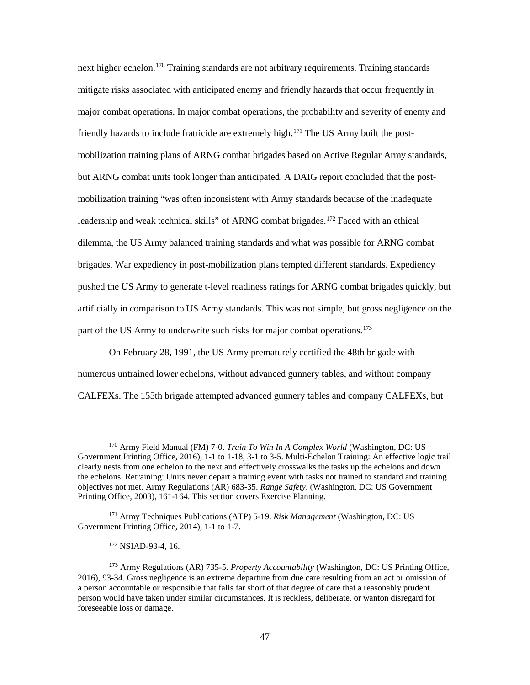next higher echelon. [170](#page-55-0) Training standards are not arbitrary requirements. Training standards mitigate risks associated with anticipated enemy and friendly hazards that occur frequently in major combat operations. In major combat operations, the probability and severity of enemy and friendly hazards to include fratricide are extremely high.<sup>[171](#page-55-1)</sup> The US Army built the postmobilization training plans of ARNG combat brigades based on Active Regular Army standards, but ARNG combat units took longer than anticipated. A DAIG report concluded that the postmobilization training "was often inconsistent with Army standards because of the inadequate leadership and weak technical skills" of ARNG combat brigades.<sup>[172](#page-55-2)</sup> Faced with an ethical dilemma, the US Army balanced training standards and what was possible for ARNG combat brigades. War expediency in post-mobilization plans tempted different standards. Expediency pushed the US Army to generate t-level readiness ratings for ARNG combat brigades quickly, but artificially in comparison to US Army standards. This was not simple, but gross negligence on the part of the US Army to underwrite such risks for major combat operations.<sup>[173](#page-55-3)</sup>

On February 28, 1991, the US Army prematurely certified the 48th brigade with numerous untrained lower echelons, without advanced gunnery tables, and without company CALFEXs. The 155th brigade attempted advanced gunnery tables and company CALFEXs, but

<span id="page-55-0"></span><sup>170</sup> Army Field Manual (FM) 7-0. *Train To Win In A Complex World* (Washington, DC: US Government Printing Office, 2016), 1-1 to 1-18, 3-1 to 3-5. Multi-Echelon Training: An effective logic trail clearly nests from one echelon to the next and effectively crosswalks the tasks up the echelons and down the echelons. Retraining: Units never depart a training event with tasks not trained to standard and training objectives not met. Army Regulations (AR) 683-35. *Range Safety*. (Washington, DC: US Government Printing Office, 2003), 161-164. This section covers Exercise Planning.

<span id="page-55-1"></span><sup>171</sup> Army Techniques Publications (ATP) 5-19. *Risk Management* (Washington, DC: US Government Printing Office, 2014), 1-1 to 1-7.

<sup>172</sup> NSIAD-93-4, 16.

<span id="page-55-3"></span><span id="page-55-2"></span><sup>173</sup> Army Regulations (AR) 735-5. *Property Accountability* (Washington, DC: US Printing Office, 2016), 93-34. Gross negligence is an extreme departure from due care resulting from an act or omission of a person accountable or responsible that falls far short of that degree of care that a reasonably prudent person would have taken under similar circumstances. It is reckless, deliberate, or wanton disregard for foreseeable loss or damage.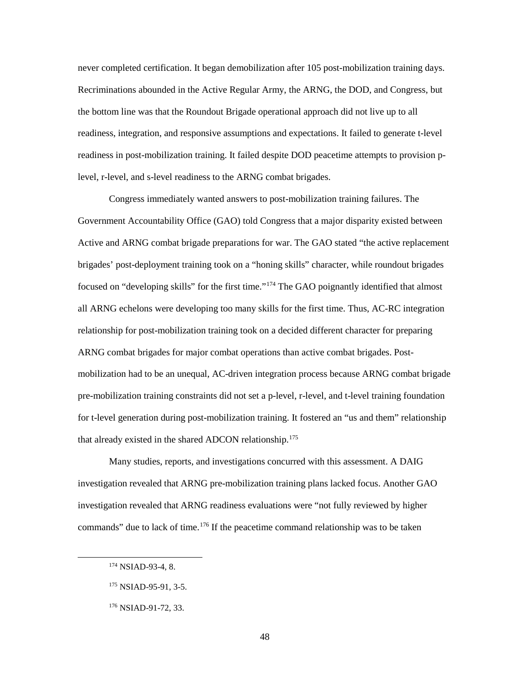never completed certification. It began demobilization after 105 post-mobilization training days. Recriminations abounded in the Active Regular Army, the ARNG, the DOD, and Congress, but the bottom line was that the Roundout Brigade operational approach did not live up to all readiness, integration, and responsive assumptions and expectations. It failed to generate t-level readiness in post-mobilization training. It failed despite DOD peacetime attempts to provision plevel, r-level, and s-level readiness to the ARNG combat brigades.

Congress immediately wanted answers to post-mobilization training failures. The Government Accountability Office (GAO) told Congress that a major disparity existed between Active and ARNG combat brigade preparations for war. The GAO stated "the active replacement brigades' post-deployment training took on a "honing skills" character, while roundout brigades focused on "developing skills" for the first time."[174](#page-56-0) The GAO poignantly identified that almost all ARNG echelons were developing too many skills for the first time. Thus, AC-RC integration relationship for post-mobilization training took on a decided different character for preparing ARNG combat brigades for major combat operations than active combat brigades. Postmobilization had to be an unequal, AC-driven integration process because ARNG combat brigade pre-mobilization training constraints did not set a p-level, r-level, and t-level training foundation for t-level generation during post-mobilization training. It fostered an "us and them" relationship that already existed in the shared ADCON relationship.<sup>[175](#page-56-1)</sup>

Many studies, reports, and investigations concurred with this assessment. A DAIG investigation revealed that ARNG pre-mobilization training plans lacked focus. Another GAO investigation revealed that ARNG readiness evaluations were "not fully reviewed by higher commands" due to lack of time.<sup>[176](#page-56-2)</sup> If the peacetime command relationship was to be taken

<span id="page-56-0"></span><sup>174</sup> NSIAD-93-4, 8.

<span id="page-56-1"></span><sup>175</sup> NSIAD-95-91, 3-5.

<span id="page-56-2"></span><sup>176</sup> NSIAD-91-72, 33.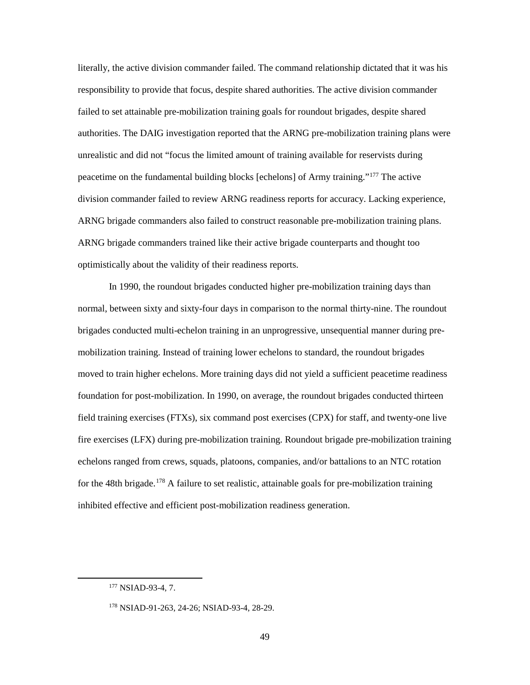literally, the active division commander failed. The command relationship dictated that it was his responsibility to provide that focus, despite shared authorities. The active division commander failed to set attainable pre-mobilization training goals for roundout brigades, despite shared authorities. The DAIG investigation reported that the ARNG pre-mobilization training plans were unrealistic and did not "focus the limited amount of training available for reservists during peacetime on the fundamental building blocks [echelons] of Army training."[177](#page-57-0) The active division commander failed to review ARNG readiness reports for accuracy. Lacking experience, ARNG brigade commanders also failed to construct reasonable pre-mobilization training plans. ARNG brigade commanders trained like their active brigade counterparts and thought too optimistically about the validity of their readiness reports.

In 1990, the roundout brigades conducted higher pre-mobilization training days than normal, between sixty and sixty-four days in comparison to the normal thirty-nine. The roundout brigades conducted multi-echelon training in an unprogressive, unsequential manner during premobilization training. Instead of training lower echelons to standard, the roundout brigades moved to train higher echelons. More training days did not yield a sufficient peacetime readiness foundation for post-mobilization. In 1990, on average, the roundout brigades conducted thirteen field training exercises (FTXs), six command post exercises (CPX) for staff, and twenty-one live fire exercises (LFX) during pre-mobilization training. Roundout brigade pre-mobilization training echelons ranged from crews, squads, platoons, companies, and/or battalions to an NTC rotation for the 48th brigade.<sup>[178](#page-57-1)</sup> A failure to set realistic, attainable goals for pre-mobilization training inhibited effective and efficient post-mobilization readiness generation.

<span id="page-57-1"></span><span id="page-57-0"></span>l

<sup>&</sup>lt;sup>177</sup> NSIAD-93-4, 7.

<sup>178</sup> NSIAD-91-263, 24-26; NSIAD-93-4, 28-29.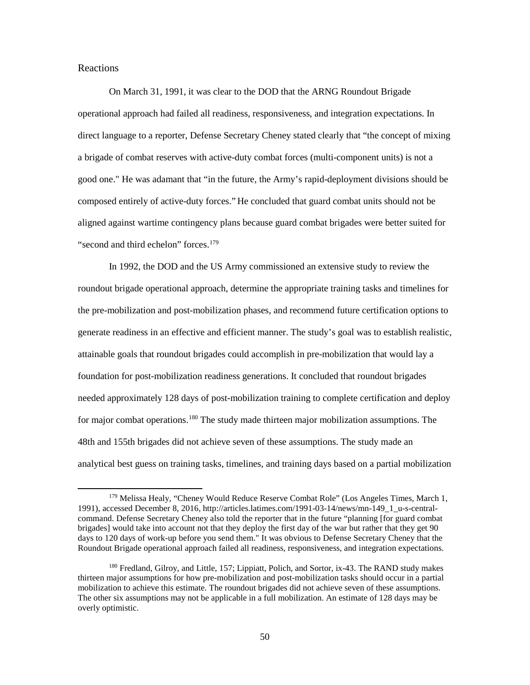## Reactions

l

On March 31, 1991, it was clear to the DOD that the ARNG Roundout Brigade operational approach had failed all readiness, responsiveness, and integration expectations. In direct language to a reporter, Defense Secretary Cheney stated clearly that "the concept of mixing a brigade of combat reserves with active-duty combat forces (multi-component units) is not a good one." He was adamant that "in the future, the Army's rapid-deployment divisions should be composed entirely of active-duty forces." He concluded that guard combat units should not be aligned against wartime contingency plans because guard combat brigades were better suited for "second and third echelon" forces.<sup>179</sup>

In 1992, the DOD and the US Army commissioned an extensive study to review the roundout brigade operational approach, determine the appropriate training tasks and timelines for the pre-mobilization and post-mobilization phases, and recommend future certification options to generate readiness in an effective and efficient manner. The study's goal was to establish realistic, attainable goals that roundout brigades could accomplish in pre-mobilization that would lay a foundation for post-mobilization readiness generations. It concluded that roundout brigades needed approximately 128 days of post-mobilization training to complete certification and deploy for major combat operations.<sup>[180](#page-58-1)</sup> The study made thirteen major mobilization assumptions. The 48th and 155th brigades did not achieve seven of these assumptions. The study made an analytical best guess on training tasks, timelines, and training days based on a partial mobilization

<span id="page-58-0"></span><sup>179</sup> Melissa Healy, "Cheney Would Reduce Reserve Combat Role" (Los Angeles Times, March 1, 1991), accessed December 8, 2016, http://articles.latimes.com/1991-03-14/news/mn-149\_1\_u-s-centralcommand. Defense Secretary Cheney also told the reporter that in the future "planning [for guard combat brigades] would take into account not that they deploy the first day of the war but rather that they get 90 days to 120 days of work-up before you send them." It was obvious to Defense Secretary Cheney that the Roundout Brigade operational approach failed all readiness, responsiveness, and integration expectations.

<span id="page-58-1"></span><sup>180</sup> Fredland, Gilroy, and Little, 157; Lippiatt, Polich, and Sortor, ix-43. The RAND study makes thirteen major assumptions for how pre-mobilization and post-mobilization tasks should occur in a partial mobilization to achieve this estimate. The roundout brigades did not achieve seven of these assumptions. The other six assumptions may not be applicable in a full mobilization. An estimate of 128 days may be overly optimistic.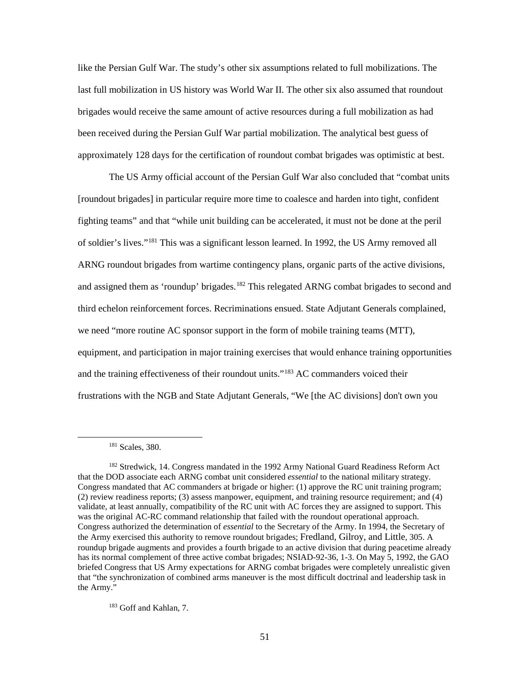like the Persian Gulf War. The study's other six assumptions related to full mobilizations. The last full mobilization in US history was World War II. The other six also assumed that roundout brigades would receive the same amount of active resources during a full mobilization as had been received during the Persian Gulf War partial mobilization. The analytical best guess of approximately 128 days for the certification of roundout combat brigades was optimistic at best.

The US Army official account of the Persian Gulf War also concluded that "combat units [roundout brigades] in particular require more time to coalesce and harden into tight, confident fighting teams" and that "while unit building can be accelerated, it must not be done at the peril of soldier's lives.["181](#page-59-0) This was a significant lesson learned. In 1992, the US Army removed all ARNG roundout brigades from wartime contingency plans, organic parts of the active divisions, and assigned them as 'roundup' brigades.<sup>[182](#page-59-1)</sup> This relegated ARNG combat brigades to second and third echelon reinforcement forces. Recriminations ensued. State Adjutant Generals complained, we need "more routine AC sponsor support in the form of mobile training teams (MTT), equipment, and participation in major training exercises that would enhance training opportunities and the training effectiveness of their roundout units."<sup>[183](#page-59-2)</sup> AC commanders voiced their frustrations with the NGB and State Adjutant Generals, "We [the AC divisions] don't own you

<span id="page-59-0"></span> $\overline{\phantom{a}}$ 

<span id="page-59-2"></span><sup>183</sup> Goff and Kahlan, 7.

<sup>181</sup> Scales, 380.

<span id="page-59-1"></span><sup>&</sup>lt;sup>182</sup> Stredwick, 14. Congress mandated in the 1992 Army National Guard Readiness Reform Act that the DOD associate each ARNG combat unit considered *essential* to the national military strategy. Congress mandated that AC commanders at brigade or higher: (1) approve the RC unit training program; (2) review readiness reports; (3) assess manpower, equipment, and training resource requirement; and (4) validate, at least annually, compatibility of the RC unit with AC forces they are assigned to support. This was the original AC-RC command relationship that failed with the roundout operational approach. Congress authorized the determination of *essential* to the Secretary of the Army. In 1994, the Secretary of the Army exercised this authority to remove roundout brigades; Fredland, Gilroy, and Little, 305. A roundup brigade augments and provides a fourth brigade to an active division that during peacetime already has its normal complement of three active combat brigades; NSIAD-92-36, 1-3. On May 5, 1992, the GAO briefed Congress that US Army expectations for ARNG combat brigades were completely unrealistic given that "the synchronization of combined arms maneuver is the most difficult doctrinal and leadership task in the Army."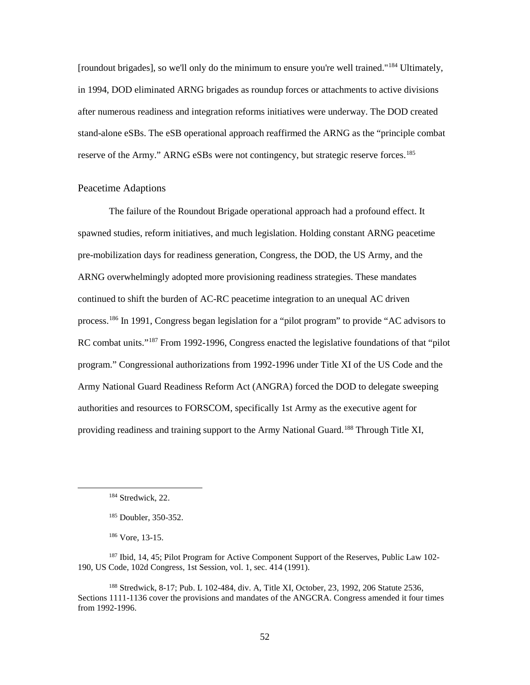[roundout brigades], so we'll only do the minimum to ensure you're well trained."[184](#page-60-0) Ultimately, in 1994, DOD eliminated ARNG brigades as roundup forces or attachments to active divisions after numerous readiness and integration reforms initiatives were underway. The DOD created stand-alone eSBs. The eSB operational approach reaffirmed the ARNG as the "principle combat reserve of the Army." ARNG eSBs were not contingency, but strategic reserve forces.<sup>[185](#page-60-1)</sup>

## Peacetime Adaptions

The failure of the Roundout Brigade operational approach had a profound effect. It spawned studies, reform initiatives, and much legislation. Holding constant ARNG peacetime pre-mobilization days for readiness generation, Congress, the DOD, the US Army, and the ARNG overwhelmingly adopted more provisioning readiness strategies. These mandates continued to shift the burden of AC-RC peacetime integration to an unequal AC driven process.[186](#page-60-2) In 1991, Congress began legislation for a "pilot program" to provide "AC advisors to RC combat units."<sup>[187](#page-60-3)</sup> From 1992-1996, Congress enacted the legislative foundations of that "pilot program." Congressional authorizations from 1992-1996 under Title XI of the US Code and the Army National Guard Readiness Reform Act (ANGRA) forced the DOD to delegate sweeping authorities and resources to FORSCOM, specifically 1st Army as the executive agent for providing readiness and training support to the Army National Guard.<sup>[188](#page-60-4)</sup> Through Title XI,

<span id="page-60-1"></span><span id="page-60-0"></span>l

<sup>186</sup> Vore, 13-15.

<span id="page-60-3"></span><span id="page-60-2"></span><sup>187</sup> Ibid, 14, 45; Pilot Program for Active Component Support of the Reserves, Public Law 102-190, US Code, 102d Congress, 1st Session, vol. 1, sec. 414 (1991).

<span id="page-60-4"></span><sup>188</sup> Stredwick, 8-17; Pub. L 102-484, div. A, Title XI, October, 23, 1992, 206 Statute 2536, Sections 1111-1136 cover the provisions and mandates of the ANGCRA. Congress amended it four times from 1992-1996.

<sup>&</sup>lt;sup>184</sup> Stredwick, 22.

<sup>185</sup> Doubler, 350-352.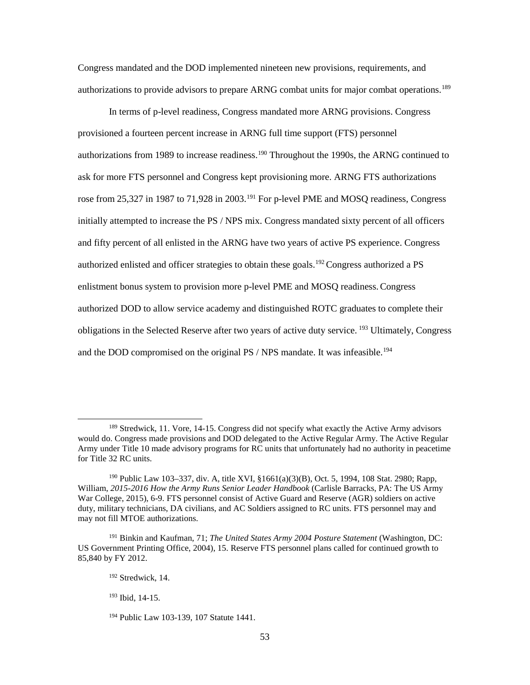Congress mandated and the DOD implemented nineteen new provisions, requirements, and authorizations to provide advisors to prepare ARNG combat units for major combat operations.<sup>189</sup>

In terms of p-level readiness, Congress mandated more ARNG provisions. Congress provisioned a fourteen percent increase in ARNG full time support (FTS) personnel authorizations from 1989 to increase readiness.<sup>[190](#page-61-1)</sup> Throughout the 1990s, the ARNG continued to ask for more FTS personnel and Congress kept provisioning more. ARNG FTS authorizations rose from 25,327 in 1987 to 71,928 in 2003.<sup>[191](#page-61-2)</sup> For p-level PME and MOSQ readiness, Congress initially attempted to increase the PS / NPS mix. Congress mandated sixty percent of all officers and fifty percent of all enlisted in the ARNG have two years of active PS experience. Congress authorized enlisted and officer strategies to obtain these goals.<sup>[192](#page-61-3)</sup> Congress authorized a PS enlistment bonus system to provision more p-level PME and MOSQ readiness.Congress authorized DOD to allow service academy and distinguished ROTC graduates to complete their obligations in the Selected Reserve after two years of active duty service. [193](#page-61-4) Ultimately, Congress and the DOD compromised on the original PS / NPS mandate. It was infeasible.<sup>[194](#page-61-5)</sup>

<span id="page-61-0"></span><sup>&</sup>lt;sup>189</sup> Stredwick, 11. Vore, 14-15. Congress did not specify what exactly the Active Army advisors would do. Congress made provisions and DOD delegated to the Active Regular Army. The Active Regular Army under Title 10 made advisory programs for RC units that unfortunately had no authority in peacetime for Title 32 RC units.

<span id="page-61-1"></span><sup>190</sup> Public Law 103–337, div. A, title XVI, §1661(a)(3)(B), Oct. 5, 1994, 108 Stat. 2980; Rapp, William, *2015-2016 How the Army Runs Senior Leader Handbook* (Carlisle Barracks, PA: The US Army War College, 2015), 6-9. FTS personnel consist of Active Guard and Reserve (AGR) soldiers on active duty, military technicians, DA civilians, and AC Soldiers assigned to RC units. FTS personnel may and may not fill MTOE authorizations.

<span id="page-61-4"></span><span id="page-61-3"></span><span id="page-61-2"></span><sup>191</sup> Binkin and Kaufman, 71; *The United States Army 2004 Posture Statement* (Washington, DC: US Government Printing Office, 2004), 15. Reserve FTS personnel plans called for continued growth to 85,840 by FY 2012.

<sup>192</sup> Stredwick, 14.

<sup>193</sup> Ibid, 14-15.

<span id="page-61-5"></span><sup>194</sup> Public Law 103-139, 107 Statute 1441.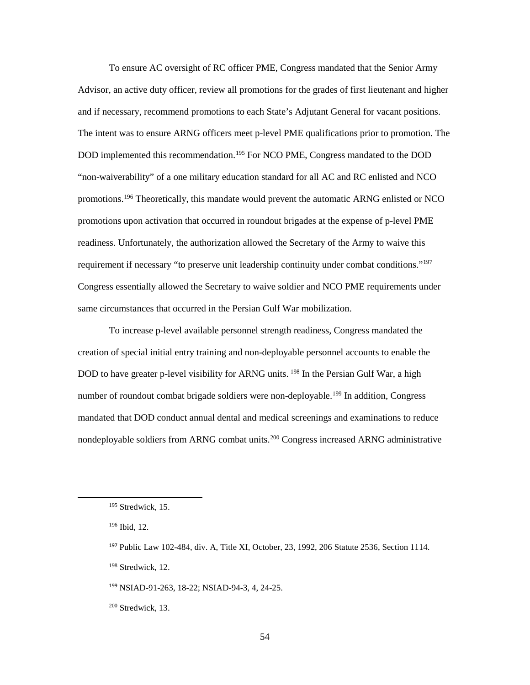To ensure AC oversight of RC officer PME, Congress mandated that the Senior Army Advisor, an active duty officer, review all promotions for the grades of first lieutenant and higher and if necessary, recommend promotions to each State's Adjutant General for vacant positions. The intent was to ensure ARNG officers meet p-level PME qualifications prior to promotion. The DOD implemented this recommendation.<sup>[195](#page-62-0)</sup> For NCO PME, Congress mandated to the DOD "non-waiverability" of a one military education standard for all AC and RC enlisted and NCO promotions[.196](#page-62-1) Theoretically, this mandate would prevent the automatic ARNG enlisted or NCO promotions upon activation that occurred in roundout brigades at the expense of p-level PME readiness. Unfortunately, the authorization allowed the Secretary of the Army to waive this requirement if necessary "to preserve unit leadership continuity under combat conditions."<sup>[197](#page-62-2)</sup> Congress essentially allowed the Secretary to waive soldier and NCO PME requirements under same circumstances that occurred in the Persian Gulf War mobilization.

To increase p-level available personnel strength readiness, Congress mandated the creation of special initial entry training and non-deployable personnel accounts to enable the DOD to have greater p-level visibility for ARNG units. <sup>[198](#page-62-3)</sup> In the Persian Gulf War, a high number of roundout combat brigade soldiers were non-deployable.<sup>199</sup> In addition, Congress mandated that DOD conduct annual dental and medical screenings and examinations to reduce nondeployable soldiers from ARNG combat units.<sup>[200](#page-62-5)</sup> Congress increased ARNG administrative

<span id="page-62-3"></span><span id="page-62-2"></span><span id="page-62-1"></span><span id="page-62-0"></span> $\overline{\phantom{a}}$ 

<sup>198</sup> Stredwick, 12.

<span id="page-62-4"></span><sup>199</sup> NSIAD-91-263, 18-22; NSIAD-94-3, 4, 24-25.

<span id="page-62-5"></span> $200$  Stredwick, 13.

<sup>195</sup> Stredwick, 15.

<sup>196</sup> Ibid, 12.

<sup>197</sup> Public Law 102-484, div. A, Title XI, October, 23, 1992, 206 Statute 2536, Section 1114.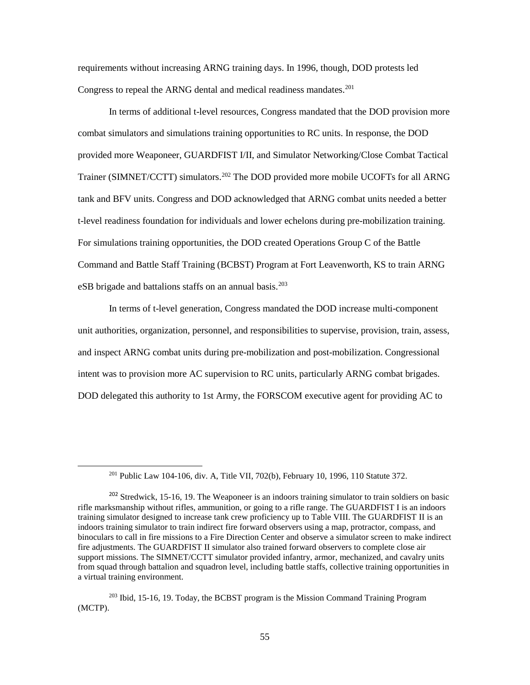requirements without increasing ARNG training days. In 1996, though, DOD protests led Congress to repeal the ARNG dental and medical readiness mandates. [201](#page-63-0)

In terms of additional t-level resources, Congress mandated that the DOD provision more combat simulators and simulations training opportunities to RC units. In response, the DOD provided more Weaponeer, GUARDFIST I/II, and Simulator Networking/Close Combat Tactical Trainer (SIMNET/CCTT) simulators.<sup>[202](#page-63-1)</sup> The DOD provided more mobile UCOFTs for all ARNG tank and BFV units. Congress and DOD acknowledged that ARNG combat units needed a better t-level readiness foundation for individuals and lower echelons during pre-mobilization training. For simulations training opportunities, the DOD created Operations Group C of the Battle Command and Battle Staff Training (BCBST) Program at Fort Leavenworth, KS to train ARNG eSB brigade and battalions staffs on an annual basis.<sup>[203](#page-63-2)</sup>

In terms of t-level generation, Congress mandated the DOD increase multi-component unit authorities, organization, personnel, and responsibilities to supervise, provision, train, assess, and inspect ARNG combat units during pre-mobilization and post-mobilization. Congressional intent was to provision more AC supervision to RC units, particularly ARNG combat brigades. DOD delegated this authority to 1st Army, the FORSCOM executive agent for providing AC to

<sup>201</sup> Public Law 104-106, div. A, Title VII, 702(b), February 10, 1996, 110 Statute 372.

<span id="page-63-1"></span><span id="page-63-0"></span><sup>&</sup>lt;sup>202</sup> Stredwick, 15-16, 19. The Weaponeer is an indoors training simulator to train soldiers on basic rifle marksmanship without rifles, ammunition, or going to a rifle range. The GUARDFIST I is an indoors training simulator designed to increase tank crew proficiency up to Table VIII. The GUARDFIST II is an indoors training simulator to train indirect fire forward observers using a map, protractor, compass, and binoculars to call in fire missions to a Fire Direction Center and observe a simulator screen to make indirect fire adjustments. The GUARDFIST II simulator also trained forward observers to complete close air support missions. The SIMNET/CCTT simulator provided infantry, armor, mechanized, and cavalry units from squad through battalion and squadron level, including battle staffs, collective training opportunities in a virtual training environment.

<span id="page-63-2"></span><sup>203</sup> Ibid, 15-16, 19. Today, the BCBST program is the Mission Command Training Program (MCTP).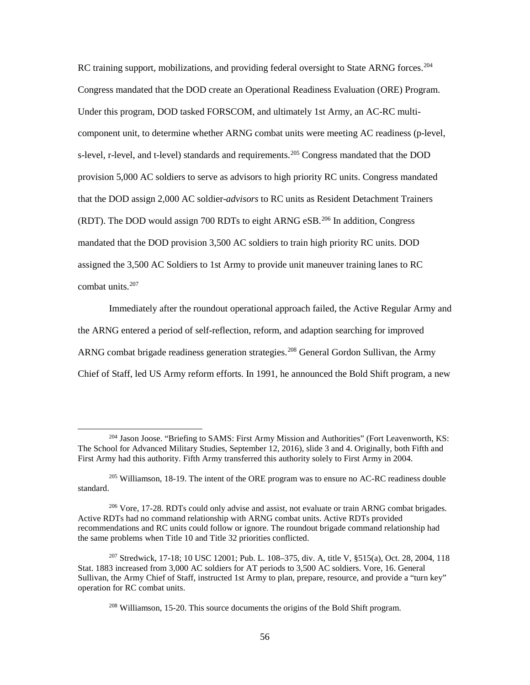RC training support, mobilizations, and providing federal oversight to State ARNG forces.<sup>[204](#page-64-0)</sup> Congress mandated that the DOD create an Operational Readiness Evaluation (ORE) Program. Under this program, DOD tasked FORSCOM, and ultimately 1st Army, an AC-RC multicomponent unit, to determine whether ARNG combat units were meeting AC readiness (p-level, s-level, r-level, and t-level) standards and requirements.<sup>[205](#page-64-1)</sup> Congress mandated that the DOD provision 5,000 AC soldiers to serve as advisors to high priority RC units. Congress mandated that the DOD assign 2,000 AC soldier-*advisors* to RC units as Resident Detachment Trainers (RDT). The DOD would assign 700 RDTs to eight ARNG eSB. [206](#page-64-2) In addition, Congress mandated that the DOD provision 3,500 AC soldiers to train high priority RC units. DOD assigned the 3,500 AC Soldiers to 1st Army to provide unit maneuver training lanes to RC combat units.<sup>[207](#page-64-3)</sup>

Immediately after the roundout operational approach failed, the Active Regular Army and the ARNG entered a period of self-reflection, reform, and adaption searching for improved ARNG combat brigade readiness generation strategies.<sup>[208](#page-64-4)</sup> General Gordon Sullivan, the Army Chief of Staff, led US Army reform efforts. In 1991, he announced the Bold Shift program, a new

l

<span id="page-64-0"></span><sup>204</sup> Jason Joose. "Briefing to SAMS: First Army Mission and Authorities" (Fort Leavenworth, KS: The School for Advanced Military Studies, September 12, 2016), slide 3 and 4. Originally, both Fifth and First Army had this authority. Fifth Army transferred this authority solely to First Army in 2004.

<span id="page-64-1"></span><sup>&</sup>lt;sup>205</sup> Williamson, 18-19. The intent of the ORE program was to ensure no AC-RC readiness double standard.

<span id="page-64-2"></span><sup>&</sup>lt;sup>206</sup> Vore, 17-28. RDTs could only advise and assist, not evaluate or train ARNG combat brigades. Active RDTs had no command relationship with ARNG combat units. Active RDTs provided recommendations and RC units could follow or ignore. The roundout brigade command relationship had the same problems when Title 10 and Title 32 priorities conflicted.

<span id="page-64-4"></span><span id="page-64-3"></span><sup>207</sup> Stredwick, 17-18; 10 USC 12001; [Pub. L. 108–375, div. A, title V, §515\(a\), Oct. 28, 2004, 118](http://uscode.house.gov/statviewer.htm?volume=118&page=1883)  [Stat. 1883 increased from 3,000 AC soldiers for AT periods to 3,500 AC soldiers. V](http://uscode.house.gov/statviewer.htm?volume=118&page=1883)ore, 16. General Sullivan, the Army Chief of Staff, instructed 1st Army to plan, prepare, resource, and provide a "turn key" operation for RC combat units.

<sup>208</sup> Williamson, 15-20. This source documents the origins of the Bold Shift program.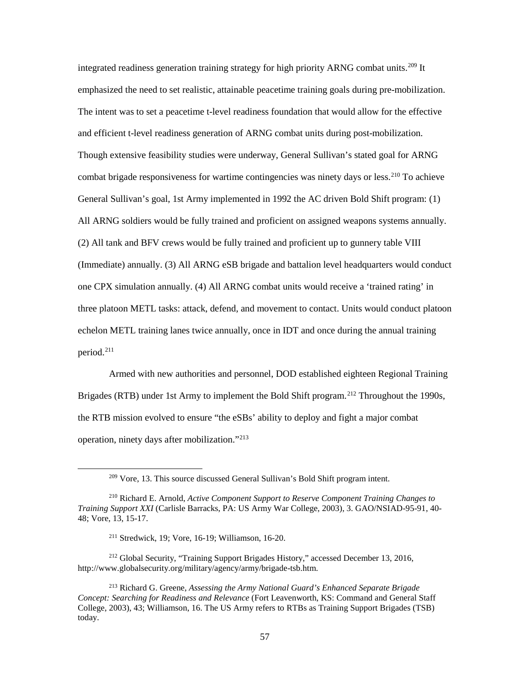integrated readiness generation training strategy for high priority ARNG combat units.<sup>[209](#page-65-0)</sup> It emphasized the need to set realistic, attainable peacetime training goals during pre-mobilization. The intent was to set a peacetime t-level readiness foundation that would allow for the effective and efficient t-level readiness generation of ARNG combat units during post-mobilization. Though extensive feasibility studies were underway, General Sullivan's stated goal for ARNG combat brigade responsiveness for wartime contingencies was ninety days or less.<sup>[210](#page-65-1)</sup> To achieve General Sullivan's goal, 1st Army implemented in 1992 the AC driven Bold Shift program: (1) All ARNG soldiers would be fully trained and proficient on assigned weapons systems annually. (2) All tank and BFV crews would be fully trained and proficient up to gunnery table VIII (Immediate) annually. (3) All ARNG eSB brigade and battalion level headquarters would conduct one CPX simulation annually. (4) All ARNG combat units would receive a 'trained rating' in three platoon METL tasks: attack, defend, and movement to contact. Units would conduct platoon echelon METL training lanes twice annually, once in IDT and once during the annual training period. [211](#page-65-2)

Armed with new authorities and personnel, DOD established eighteen Regional Training Brigades (RTB) under 1st Army to implement the Bold Shift program.<sup>[212](#page-65-3)</sup> Throughout the 1990s, the RTB mission evolved to ensure "the eSBs' ability to deploy and fight a major combat operation, ninety days after mobilization."[213](#page-65-4)

<sup>209</sup> Vore, 13. This source discussed General Sullivan's Bold Shift program intent.

<span id="page-65-1"></span><span id="page-65-0"></span><sup>210</sup> Richard E. Arnold, *Active Component Support to Reserve Component Training Changes to Training Support XXI* (Carlisle Barracks, PA: US Army War College, 2003), 3. GAO/NSIAD-95-91, 40- 48; Vore, 13, 15-17.

<sup>211</sup> Stredwick, 19; Vore, 16-19; Williamson, 16-20.

<span id="page-65-3"></span><span id="page-65-2"></span><sup>212</sup> Global Security, "Training Support Brigades History," accessed December 13, 2016, http://www.globalsecurity.org/military/agency/army/brigade-tsb.htm.

<span id="page-65-4"></span><sup>213</sup> Richard G. Greene, *Assessing the Army National Guard's Enhanced Separate Brigade Concept: Searching for Readiness and Relevance* (Fort Leavenworth, KS: Command and General Staff College, 2003), 43; Williamson, 16. The US Army refers to RTBs as Training Support Brigades (TSB) today.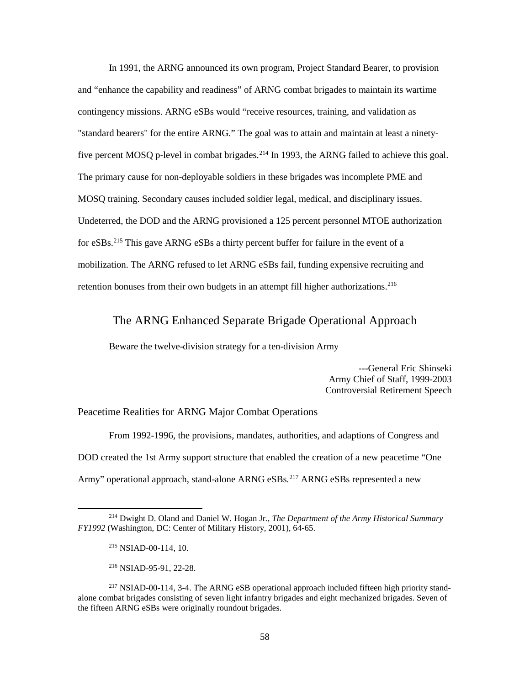In 1991, the ARNG announced its own program, Project Standard Bearer, to provision and "enhance the capability and readiness" of ARNG combat brigades to maintain its wartime contingency missions. ARNG eSBs would "receive resources, training, and validation as "standard bearers" for the entire ARNG." The goal was to attain and maintain at least a ninety-five percent MOSQ p-level in combat brigades.<sup>[214](#page-66-0)</sup> In 1993, the ARNG failed to achieve this goal. The primary cause for non-deployable soldiers in these brigades was incomplete PME and MOSQ training. Secondary causes included soldier legal, medical, and disciplinary issues. Undeterred, the DOD and the ARNG provisioned a 125 percent personnel MTOE authorization for eSBs. [215](#page-66-1) This gave ARNG eSBs a thirty percent buffer for failure in the event of a mobilization. The ARNG refused to let ARNG eSBs fail, funding expensive recruiting and retention bonuses from their own budgets in an attempt fill higher authorizations.<sup>[216](#page-66-2)</sup>

# The ARNG Enhanced Separate Brigade Operational Approach

Beware the twelve-division strategy for a ten-division Army

---General Eric Shinseki Army Chief of Staff, 1999-2003 Controversial Retirement Speech

### Peacetime Realities for ARNG Major Combat Operations

From 1992-1996, the provisions, mandates, authorities, and adaptions of Congress and DOD created the 1st Army support structure that enabled the creation of a new peacetime "One Army" operational approach, stand-alone ARNG eSBs.<sup>[217](#page-66-3)</sup> ARNG eSBs represented a new

<span id="page-66-1"></span><span id="page-66-0"></span><sup>214</sup> Dwight D. Oland and Daniel W. Hogan Jr*., The Department of the Army Historical Summary FY1992* (Washington, DC: Center of Military History, 2001), 64-65.

<sup>215</sup> NSIAD-00-114, 10.

<sup>216</sup> NSIAD-95-91, 22-28.

<span id="page-66-3"></span><span id="page-66-2"></span><sup>217</sup> NSIAD-00-114, 3-4. The ARNG eSB operational approach included fifteen high priority standalone combat brigades consisting of seven light infantry brigades and eight mechanized brigades. Seven of the fifteen ARNG eSBs were originally roundout brigades.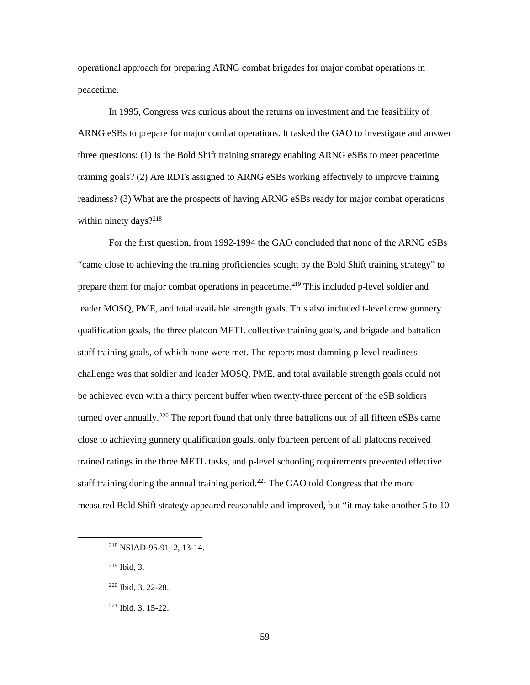operational approach for preparing ARNG combat brigades for major combat operations in peacetime.

In 1995, Congress was curious about the returns on investment and the feasibility of ARNG eSBs to prepare for major combat operations. It tasked the GAO to investigate and answer three questions: (1) Is the Bold Shift training strategy enabling ARNG eSBs to meet peacetime training goals? (2) Are RDTs assigned to ARNG eSBs working effectively to improve training readiness? (3) What are the prospects of having ARNG eSBs ready for major combat operations within ninety days? $2^{218}$  $2^{218}$  $2^{218}$ 

For the first question, from 1992-1994 the GAO concluded that none of the ARNG eSBs "came close to achieving the training proficiencies sought by the Bold Shift training strategy" to prepare them for major combat operations in peacetime.<sup>[219](#page-67-1)</sup> This included p-level soldier and leader MOSQ, PME, and total available strength goals. This also included t-level crew gunnery qualification goals, the three platoon METL collective training goals, and brigade and battalion staff training goals, of which none were met. The reports most damning p-level readiness challenge was that soldier and leader MOSQ, PME, and total available strength goals could not be achieved even with a thirty percent buffer when twenty-three percent of the eSB soldiers turned over annually.<sup>[220](#page-67-2)</sup> The report found that only three battalions out of all fifteen eSBs came close to achieving gunnery qualification goals, only fourteen percent of all platoons received trained ratings in the three METL tasks, and p-level schooling requirements prevented effective staff training during the annual training period.<sup>[221](#page-67-3)</sup> The GAO told Congress that the more measured Bold Shift strategy appeared reasonable and improved, but "it may take another 5 to 10

<sup>219</sup> Ibid, 3.

<span id="page-67-3"></span><span id="page-67-2"></span><span id="page-67-1"></span><span id="page-67-0"></span> $\overline{\phantom{a}}$ 

<sup>221</sup> Ibid, 3, 15-22.

<sup>218</sup> NSIAD-95-91, 2, 13-14.

<sup>220</sup> Ibid, 3, 22-28.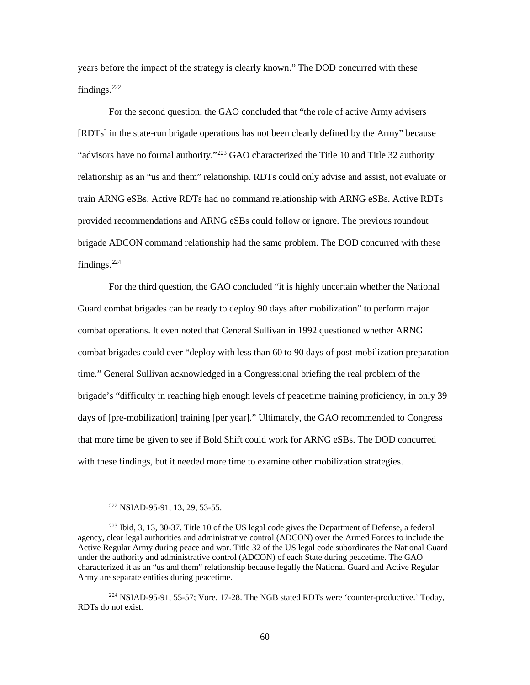years before the impact of the strategy is clearly known." The DOD concurred with these findings.[222](#page-68-0)

For the second question, the GAO concluded that "the role of active Army advisers [RDTs] in the state-run brigade operations has not been clearly defined by the Army" because "advisors have no formal authority."<sup>[223](#page-68-1)</sup> GAO characterized the Title 10 and Title 32 authority relationship as an "us and them" relationship. RDTs could only advise and assist, not evaluate or train ARNG eSBs. Active RDTs had no command relationship with ARNG eSBs. Active RDTs provided recommendations and ARNG eSBs could follow or ignore. The previous roundout brigade ADCON command relationship had the same problem. The DOD concurred with these findings.[224](#page-68-2)

For the third question, the GAO concluded "it is highly uncertain whether the National Guard combat brigades can be ready to deploy 90 days after mobilization" to perform major combat operations. It even noted that General Sullivan in 1992 questioned whether ARNG combat brigades could ever "deploy with less than 60 to 90 days of post-mobilization preparation time." General Sullivan acknowledged in a Congressional briefing the real problem of the brigade's "difficulty in reaching high enough levels of peacetime training proficiency, in only 39 days of [pre-mobilization] training [per year]." Ultimately, the GAO recommended to Congress that more time be given to see if Bold Shift could work for ARNG eSBs. The DOD concurred with these findings, but it needed more time to examine other mobilization strategies.

<sup>222</sup> NSIAD-95-91, 13, 29, 53-55.

<span id="page-68-1"></span><span id="page-68-0"></span><sup>223</sup> Ibid, 3, 13, 30-37. Title 10 of the US legal code gives the Department of Defense, a federal agency, clear legal authorities and administrative control (ADCON) over the Armed Forces to include the Active Regular Army during peace and war. Title 32 of the US legal code subordinates the National Guard under the authority and administrative control (ADCON) of each State during peacetime. The GAO characterized it as an "us and them" relationship because legally the National Guard and Active Regular Army are separate entities during peacetime.

<span id="page-68-2"></span><sup>224</sup> NSIAD-95-91, 55-57; Vore, 17-28. The NGB stated RDTs were 'counter-productive.' Today, RDTs do not exist.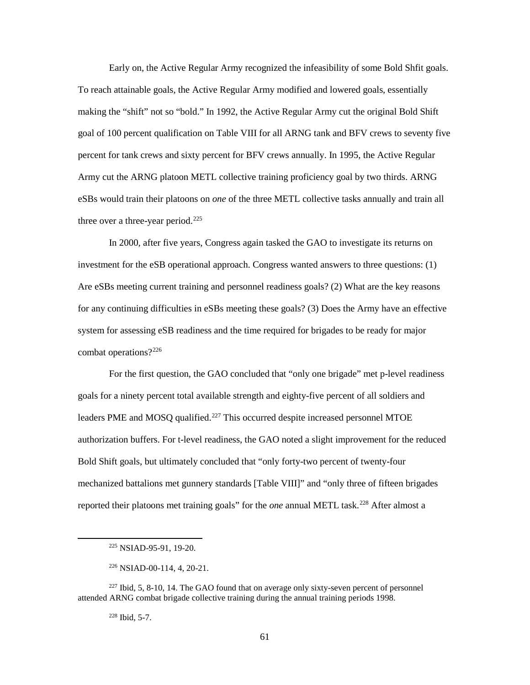Early on, the Active Regular Army recognized the infeasibility of some Bold Shfit goals. To reach attainable goals, the Active Regular Army modified and lowered goals, essentially making the "shift" not so "bold." In 1992, the Active Regular Army cut the original Bold Shift goal of 100 percent qualification on Table VIII for all ARNG tank and BFV crews to seventy five percent for tank crews and sixty percent for BFV crews annually. In 1995, the Active Regular Army cut the ARNG platoon METL collective training proficiency goal by two thirds. ARNG eSBs would train their platoons on *one* of the three METL collective tasks annually and train all three over a three-year period.<sup>[225](#page-69-0)</sup>

In 2000, after five years, Congress again tasked the GAO to investigate its returns on investment for the eSB operational approach. Congress wanted answers to three questions: (1) Are eSBs meeting current training and personnel readiness goals? (2) What are the key reasons for any continuing difficulties in eSBs meeting these goals? (3) Does the Army have an effective system for assessing eSB readiness and the time required for brigades to be ready for major combat operations?[226](#page-69-1)

For the first question, the GAO concluded that "only one brigade" met p-level readiness goals for a ninety percent total available strength and eighty-five percent of all soldiers and leaders PME and MOSQ qualified.<sup>[227](#page-69-2)</sup> This occurred despite increased personnel MTOE authorization buffers. For t-level readiness, the GAO noted a slight improvement for the reduced Bold Shift goals, but ultimately concluded that "only forty-two percent of twenty-four mechanized battalions met gunnery standards [Table VIII]" and "only three of fifteen brigades reported their platoons met training goals" for the *one* annual METL task. [228](#page-69-3) After almost a

<sup>228</sup> Ibid, 5-7.

<sup>225</sup> NSIAD-95-91, 19-20.

<sup>226</sup> NSIAD-00-114, 4, 20-21.

<span id="page-69-3"></span><span id="page-69-2"></span><span id="page-69-1"></span><span id="page-69-0"></span> $227$  Ibid, 5, 8-10, 14. The GAO found that on average only sixty-seven percent of personnel attended ARNG combat brigade collective training during the annual training periods 1998.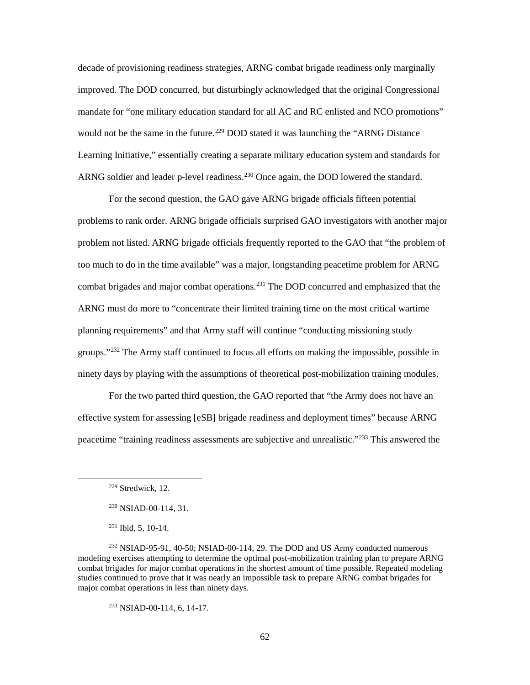decade of provisioning readiness strategies, ARNG combat brigade readiness only marginally improved. The DOD concurred, but disturbingly acknowledged that the original Congressional mandate for "one military education standard for all AC and RC enlisted and NCO promotions" would not be the same in the future.<sup>[229](#page-70-0)</sup> DOD stated it was launching the "ARNG Distance Learning Initiative," essentially creating a separate military education system and standards for ARNG soldier and leader p-level readiness.<sup>[230](#page-70-1)</sup> Once again, the DOD lowered the standard.

For the second question, the GAO gave ARNG brigade officials fifteen potential problems to rank order. ARNG brigade officials surprised GAO investigators with another major problem not listed. ARNG brigade officials frequently reported to the GAO that "the problem of too much to do in the time available" was a major, longstanding peacetime problem for ARNG combat brigades and major combat operations. [231](#page-70-2) The DOD concurred and emphasized that the ARNG must do more to "concentrate their limited training time on the most critical wartime planning requirements" and that Army staff will continue "conducting missioning study groups."[232](#page-70-3) The Army staff continued to focus all efforts on making the impossible, possible in ninety days by playing with the assumptions of theoretical post-mobilization training modules.

For the two parted third question, the GAO reported that "the Army does not have an effective system for assessing [eSB] brigade readiness and deployment times" because ARNG peacetime "training readiness assessments are subjective and unrealistic."[233](#page-70-4) This answered the

<span id="page-70-1"></span><span id="page-70-0"></span> $\overline{\phantom{a}}$ 

 $233$  NSIAD-00-114, 6, 14-17.

<sup>229</sup> Stredwick, 12.

<sup>230</sup> NSIAD-00-114, 31.

<sup>231</sup> Ibid, 5, 10-14.

<span id="page-70-4"></span><span id="page-70-3"></span><span id="page-70-2"></span> $232$  NSIAD-95-91, 40-50; NSIAD-00-114, 29. The DOD and US Army conducted numerous modeling exercises attempting to determine the optimal post-mobilization training plan to prepare ARNG combat brigades for major combat operations in the shortest amount of time possible. Repeated modeling studies continued to prove that it was nearly an impossible task to prepare ARNG combat brigades for major combat operations in less than ninety days.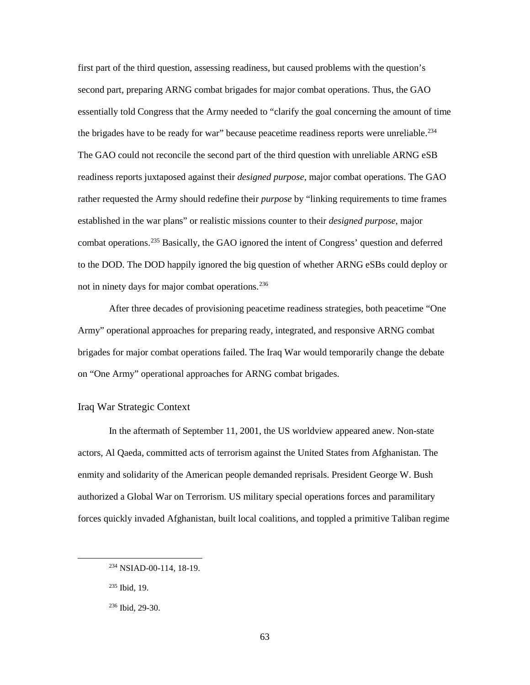first part of the third question, assessing readiness, but caused problems with the question's second part, preparing ARNG combat brigades for major combat operations. Thus, the GAO essentially told Congress that the Army needed to "clarify the goal concerning the amount of time the brigades have to be ready for war" because peacetime readiness reports were unreliable.<sup>[234](#page-71-0)</sup> The GAO could not reconcile the second part of the third question with unreliable ARNG eSB readiness reports juxtaposed against their *designed purpose*, major combat operations. The GAO rather requested the Army should redefine their *purpose* by "linking requirements to time frames established in the war plans" or realistic missions counter to their *designed purpose*, major combat operations. [235](#page-71-1) Basically, the GAO ignored the intent of Congress' question and deferred to the DOD. The DOD happily ignored the big question of whether ARNG eSBs could deploy or not in ninety days for major combat operations. [236](#page-71-2)

After three decades of provisioning peacetime readiness strategies, both peacetime "One Army" operational approaches for preparing ready, integrated, and responsive ARNG combat brigades for major combat operations failed. The Iraq War would temporarily change the debate on "One Army" operational approaches for ARNG combat brigades.

## Iraq War Strategic Context

In the aftermath of September 11, 2001, the US worldview appeared anew. Non-state actors, Al Qaeda, committed acts of terrorism against the United States from Afghanistan. The enmity and solidarity of the American people demanded reprisals. President George W. Bush authorized a Global War on Terrorism. US military special operations forces and paramilitary forces quickly invaded Afghanistan, built local coalitions, and toppled a primitive Taliban regime

<span id="page-71-0"></span><sup>234</sup> NSIAD-00-114, 18-19.

<span id="page-71-1"></span><sup>235</sup> Ibid, 19.

<span id="page-71-2"></span><sup>236</sup> Ibid, 29-30.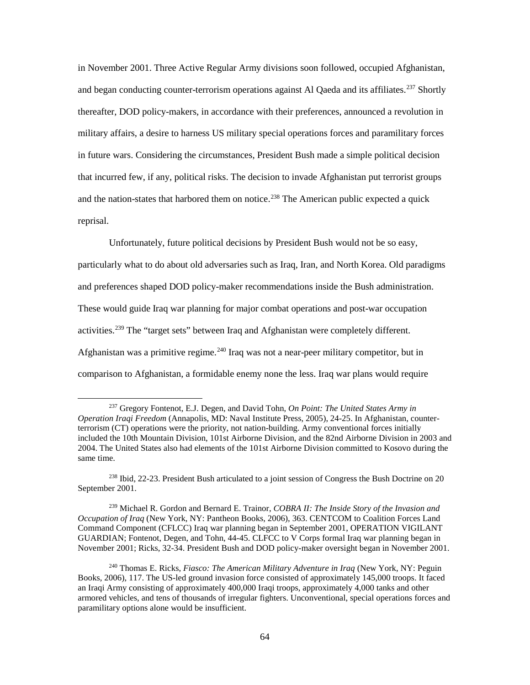in November 2001. Three Active Regular Army divisions soon followed, occupied Afghanistan, and began conducting counter-terrorism operations against Al Qaeda and its affiliates.<sup>[237](#page-72-0)</sup> Shortly thereafter, DOD policy-makers, in accordance with their preferences, announced a revolution in military affairs, a desire to harness US military special operations forces and paramilitary forces in future wars. Considering the circumstances, President Bush made a simple political decision that incurred few, if any, political risks. The decision to invade Afghanistan put terrorist groups and the nation-states that harbored them on notice.<sup>[238](#page-72-1)</sup> The American public expected a quick reprisal.

Unfortunately, future political decisions by President Bush would not be so easy, particularly what to do about old adversaries such as Iraq, Iran, and North Korea. Old paradigms and preferences shaped DOD policy-maker recommendations inside the Bush administration. These would guide Iraq war planning for major combat operations and post-war occupation activities.<sup>[239](#page-72-2)</sup> The "target sets" between Iraq and Afghanistan were completely different. Afghanistan was a primitive regime.<sup>[240](#page-72-3)</sup> Iraq was not a near-peer military competitor, but in comparison to Afghanistan, a formidable enemy none the less. Iraq war plans would require

l

<span id="page-72-2"></span><sup>239</sup> Michael R. Gordon and Bernard E. Trainor, *COBRA II: The Inside Story of the Invasion and Occupation of Iraq* (New York, NY: Pantheon Books, 2006), 363. CENTCOM to Coalition Forces Land Command Component (CFLCC) Iraq war planning began in September 2001, OPERATION VIGILANT GUARDIAN; Fontenot, Degen, and Tohn, 44-45. CLFCC to V Corps formal Iraq war planning began in November 2001; Ricks, 32-34. President Bush and DOD policy-maker oversight began in November 2001.

<span id="page-72-0"></span><sup>237</sup> Gregory Fontenot, E.J. Degen, and David Tohn, *On Point: The United States Army in Operation Iraqi Freedom* (Annapolis, MD: Naval Institute Press, 2005), 24-25. In Afghanistan, counterterrorism (CT) operations were the priority, not nation-building. Army conventional forces initially included the 10th Mountain Division, 101st Airborne Division, and the 82nd Airborne Division in 2003 and 2004. The United States also had elements of the 101st Airborne Division committed to Kosovo during the same time.

<span id="page-72-1"></span><sup>238</sup> Ibid, 22-23. President Bush articulated to a joint session of Congress the Bush Doctrine on 20 September 2001.

<span id="page-72-3"></span><sup>240</sup> Thomas E. Ricks, *Fiasco: The American Military Adventure in Iraq* (New York, NY: Peguin Books, 2006), 117. The US-led ground invasion force consisted of approximately 145,000 troops. It faced an Iraqi Army consisting of approximately 400,000 Iraqi troops, approximately 4,000 tanks and other armored vehicles, and tens of thousands of irregular fighters. Unconventional, special operations forces and paramilitary options alone would be insufficient.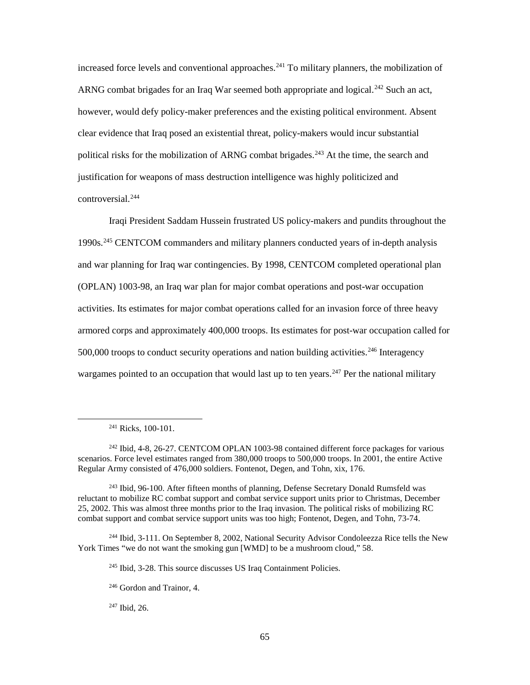increased force levels and conventional approaches.<sup>[241](#page-73-0)</sup> To military planners, the mobilization of ARNG combat brigades for an Iraq War seemed both appropriate and logical.<sup>[242](#page-73-1)</sup> Such an act, however, would defy policy-maker preferences and the existing political environment. Absent clear evidence that Iraq posed an existential threat, policy-makers would incur substantial political risks for the mobilization of ARNG combat brigades.<sup>[243](#page-73-2)</sup> At the time, the search and justification for weapons of mass destruction intelligence was highly politicized and controversial.[244](#page-73-3)

Iraqi President Saddam Hussein frustrated US policy-makers and pundits throughout the 1990s.[245](#page-73-4) CENTCOM commanders and military planners conducted years of in-depth analysis and war planning for Iraq war contingencies. By 1998, CENTCOM completed operational plan (OPLAN) 1003-98, an Iraq war plan for major combat operations and post-war occupation activities. Its estimates for major combat operations called for an invasion force of three heavy armored corps and approximately 400,000 troops. Its estimates for post-war occupation called for  $500,000$  troops to conduct security operations and nation building activities.<sup>[246](#page-73-5)</sup> Interagency wargames pointed to an occupation that would last up to ten years.<sup>[247](#page-73-6)</sup> Per the national military

<span id="page-73-0"></span> $\overline{\phantom{a}}$ 

<span id="page-73-6"></span><span id="page-73-5"></span><span id="page-73-4"></span><span id="page-73-3"></span><sup>244</sup> Ibid, 3-111. On September 8, 2002, National Security Advisor Condoleezza Rice tells the New York Times "we do not want the smoking gun [WMD] to be a mushroom cloud," 58.

 $^{241}$  Ricks, 100-101.

<span id="page-73-1"></span><sup>242</sup> Ibid, 4-8, 26-27. CENTCOM OPLAN 1003-98 contained different force packages for various scenarios. Force level estimates ranged from 380,000 troops to 500,000 troops. In 2001, the entire Active Regular Army consisted of 476,000 soldiers. Fontenot, Degen, and Tohn, xix, 176.

<span id="page-73-2"></span><sup>&</sup>lt;sup>243</sup> Ibid, 96-100. After fifteen months of planning, Defense Secretary Donald Rumsfeld was reluctant to mobilize RC combat support and combat service support units prior to Christmas, December 25, 2002. This was almost three months prior to the Iraq invasion. The political risks of mobilizing RC combat support and combat service support units was too high; Fontenot, Degen, and Tohn, 73-74.

<sup>245</sup> Ibid, 3-28. This source discusses US Iraq Containment Policies.

<sup>246</sup> Gordon and Trainor, 4.

<sup>247</sup> Ibid, 26.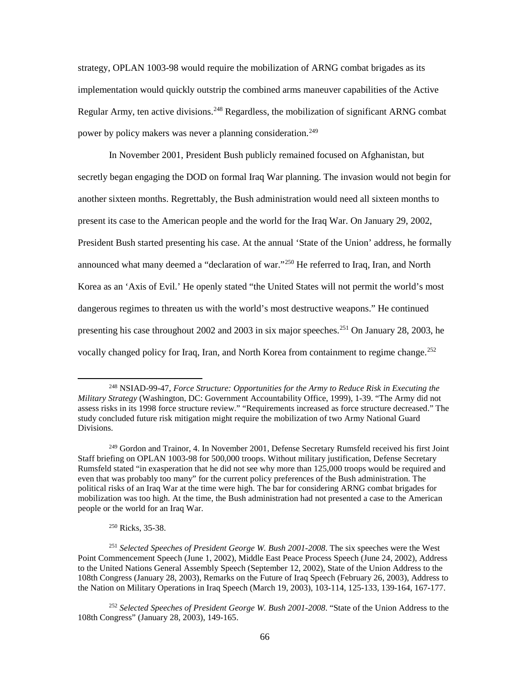strategy, OPLAN 1003-98 would require the mobilization of ARNG combat brigades as its implementation would quickly outstrip the combined arms maneuver capabilities of the Active Regular Army, ten active divisions.<sup>[248](#page-74-0)</sup> Regardless, the mobilization of significant ARNG combat power by policy makers was never a planning consideration.<sup>249</sup>

In November 2001, President Bush publicly remained focused on Afghanistan, but secretly began engaging the DOD on formal Iraq War planning. The invasion would not begin for another sixteen months. Regrettably, the Bush administration would need all sixteen months to present its case to the American people and the world for the Iraq War. On January 29, 2002, President Bush started presenting his case. At the annual 'State of the Union' address, he formally announced what many deemed a "declaration of war."[250](#page-74-2) He referred to Iraq, Iran, and North Korea as an 'Axis of Evil.' He openly stated "the United States will not permit the world's most dangerous regimes to threaten us with the world's most destructive weapons." He continued presenting his case throughout 2002 and 2003 in six major speeches.<sup>[251](#page-74-3)</sup> On January 28, 2003, he vocally changed policy for Iraq, Iran, and North Korea from containment to regime change.<sup>[252](#page-74-4)</sup>

<sup>250</sup> Ricks, 35-38.

<span id="page-74-0"></span><sup>248</sup> NSIAD-99-47, *Force Structure: Opportunities for the Army to Reduce Risk in Executing the Military Strategy* (Washington, DC: Government Accountability Office, 1999), 1-39. "The Army did not assess risks in its 1998 force structure review." "Requirements increased as force structure decreased." The study concluded future risk mitigation might require the mobilization of two Army National Guard Divisions.

<span id="page-74-1"></span><sup>&</sup>lt;sup>249</sup> Gordon and Trainor, 4. In November 2001, Defense Secretary Rumsfeld received his first Joint Staff briefing on OPLAN 1003-98 for 500,000 troops. Without military justification, Defense Secretary Rumsfeld stated "in exasperation that he did not see why more than 125,000 troops would be required and even that was probably too many" for the current policy preferences of the Bush administration. The political risks of an Iraq War at the time were high. The bar for considering ARNG combat brigades for mobilization was too high. At the time, the Bush administration had not presented a case to the American people or the world for an Iraq War.

<span id="page-74-3"></span><span id="page-74-2"></span><sup>251</sup> *Selected Speeches of President George W. Bush 2001-2008*. The six speeches were the West Point Commencement Speech (June 1, 2002), Middle East Peace Process Speech (June 24, 2002), Address to the United Nations General Assembly Speech (September 12, 2002), State of the Union Address to the 108th Congress (January 28, 2003), Remarks on the Future of Iraq Speech (February 26, 2003), Address to the Nation on Military Operations in Iraq Speech (March 19, 2003), 103-114, 125-133, 139-164, 167-177.

<span id="page-74-4"></span><sup>252</sup> *Selected Speeches of President George W. Bush 2001-2008*. "State of the Union Address to the 108th Congress" (January 28, 2003), 149-165.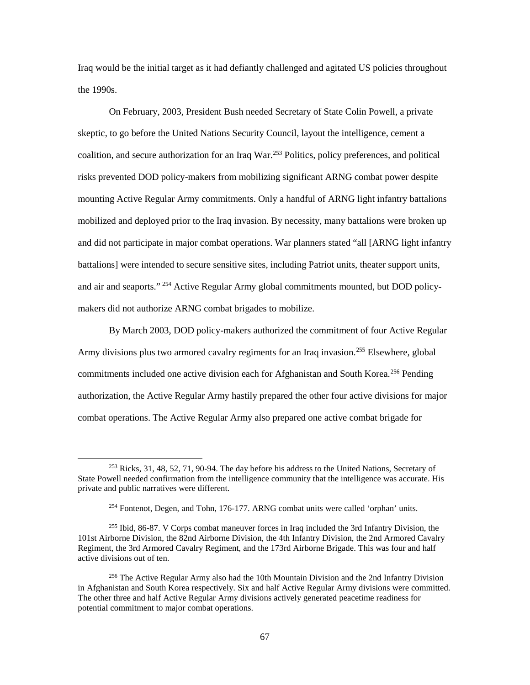Iraq would be the initial target as it had defiantly challenged and agitated US policies throughout the 1990s.

On February, 2003, President Bush needed Secretary of State Colin Powell, a private skeptic, to go before the United Nations Security Council, layout the intelligence, cement a coalition, and secure authorization for an Iraq War.<sup>[253](#page-75-0)</sup> Politics, policy preferences, and political risks prevented DOD policy-makers from mobilizing significant ARNG combat power despite mounting Active Regular Army commitments. Only a handful of ARNG light infantry battalions mobilized and deployed prior to the Iraq invasion. By necessity, many battalions were broken up and did not participate in major combat operations. War planners stated "all [ARNG light infantry battalions] were intended to secure sensitive sites, including Patriot units, theater support units, and air and seaports." [254](#page-75-1) Active Regular Army global commitments mounted, but DOD policymakers did not authorize ARNG combat brigades to mobilize.

By March 2003, DOD policy-makers authorized the commitment of four Active Regular Army divisions plus two armored cavalry regiments for an Iraq invasion.<sup>[255](#page-75-2)</sup> Elsewhere, global commitments included one active division each for Afghanistan and South Korea.<sup>[256](#page-75-3)</sup> Pending authorization, the Active Regular Army hastily prepared the other four active divisions for major combat operations. The Active Regular Army also prepared one active combat brigade for

<span id="page-75-0"></span><sup>253</sup> Ricks, 31, 48, 52, 71, 90-94. The day before his address to the United Nations, Secretary of State Powell needed confirmation from the intelligence community that the intelligence was accurate. His private and public narratives were different.

<sup>254</sup> Fontenot, Degen, and Tohn, 176-177. ARNG combat units were called 'orphan' units.

<span id="page-75-2"></span><span id="page-75-1"></span><sup>255</sup> Ibid, 86-87. V Corps combat maneuver forces in Iraq included the 3rd Infantry Division, the 101st Airborne Division, the 82nd Airborne Division, the 4th Infantry Division, the 2nd Armored Cavalry Regiment, the 3rd Armored Cavalry Regiment, and the 173rd Airborne Brigade. This was four and half active divisions out of ten.

<span id="page-75-3"></span><sup>&</sup>lt;sup>256</sup> The Active Regular Army also had the 10th Mountain Division and the 2nd Infantry Division in Afghanistan and South Korea respectively. Six and half Active Regular Army divisions were committed. The other three and half Active Regular Army divisions actively generated peacetime readiness for potential commitment to major combat operations.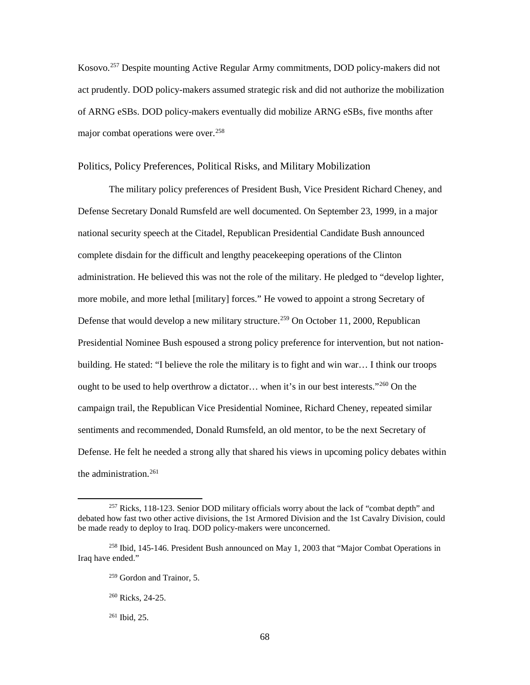Kosovo[.257](#page-76-0) Despite mounting Active Regular Army commitments, DOD policy-makers did not act prudently. DOD policy-makers assumed strategic risk and did not authorize the mobilization of ARNG eSBs. DOD policy-makers eventually did mobilize ARNG eSBs, five months after major combat operations were over.<sup>[258](#page-76-1)</sup>

### Politics, Policy Preferences, Political Risks, and Military Mobilization

The military policy preferences of President Bush, Vice President Richard Cheney, and Defense Secretary Donald Rumsfeld are well documented. On September 23, 1999, in a major national security speech at the Citadel, Republican Presidential Candidate Bush announced complete disdain for the difficult and lengthy peacekeeping operations of the Clinton administration. He believed this was not the role of the military. He pledged to "develop lighter, more mobile, and more lethal [military] forces." He vowed to appoint a strong Secretary of Defense that would develop a new military structure.<sup>[259](#page-76-2)</sup> On October 11, 2000, Republican Presidential Nominee Bush espoused a strong policy preference for intervention, but not nationbuilding. He stated: "I believe the role the military is to fight and win war… I think our troops ought to be used to help overthrow a dictator... when it's in our best interests."<sup>260</sup> On the campaign trail, the Republican Vice Presidential Nominee, Richard Cheney, repeated similar sentiments and recommended, Donald Rumsfeld, an old mentor, to be the next Secretary of Defense. He felt he needed a strong ally that shared his views in upcoming policy debates within the administration. [261](#page-76-4)

<span id="page-76-0"></span><sup>&</sup>lt;sup>257</sup> Ricks, 118-123. Senior DOD military officials worry about the lack of "combat depth" and debated how fast two other active divisions, the 1st Armored Division and the 1st Cavalry Division, could be made ready to deploy to Iraq. DOD policy-makers were unconcerned.

<span id="page-76-4"></span><span id="page-76-3"></span><span id="page-76-2"></span><span id="page-76-1"></span><sup>258</sup> Ibid, 145-146. President Bush announced on May 1, 2003 that "Major Combat Operations in Iraq have ended."

 $259$  Gordon and Trainor, 5.

<sup>260</sup> Ricks, 24-25.

<sup>261</sup> Ibid, 25.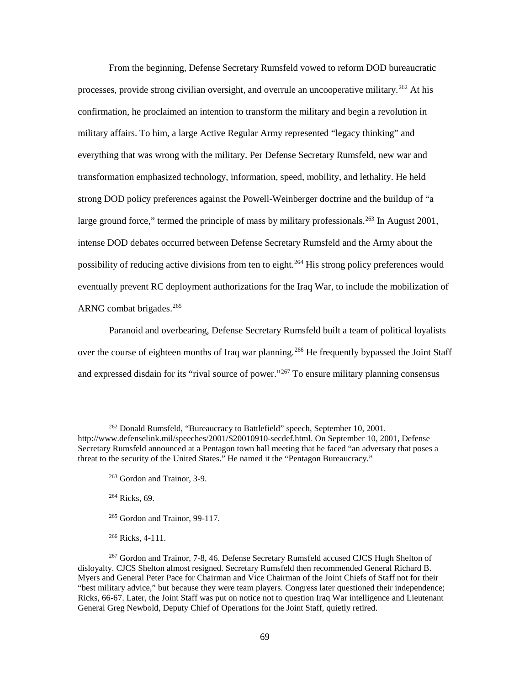From the beginning, Defense Secretary Rumsfeld vowed to reform DOD bureaucratic processes, provide strong civilian oversight, and overrule an uncooperative military.<sup>[262](#page-77-0)</sup> At his confirmation, he proclaimed an intention to transform the military and begin a revolution in military affairs. To him, a large Active Regular Army represented "legacy thinking" and everything that was wrong with the military. Per Defense Secretary Rumsfeld, new war and transformation emphasized technology, information, speed, mobility, and lethality. He held strong DOD policy preferences against the Powell-Weinberger doctrine and the buildup of "a large ground force," termed the principle of mass by military professionals.<sup>[263](#page-77-1)</sup> In August 2001, intense DOD debates occurred between Defense Secretary Rumsfeld and the Army about the possibility of reducing active divisions from ten to eight.<sup>[264](#page-77-2)</sup> His strong policy preferences would eventually prevent RC deployment authorizations for the Iraq War, to include the mobilization of ARNG combat brigades.<sup>[265](#page-77-3)</sup>

Paranoid and overbearing, Defense Secretary Rumsfeld built a team of political loyalists over the course of eighteen months of Iraq war planning.<sup>[266](#page-77-4)</sup> He frequently bypassed the Joint Staff and expressed disdain for its "rival source of power."<sup>[267](#page-77-5)</sup> To ensure military planning consensus

<sup>264</sup> Ricks, 69.

 $\overline{\phantom{a}}$ 

<sup>265</sup> Gordon and Trainor, 99-117.

<sup>266</sup> Ricks, 4-111.

<span id="page-77-1"></span><span id="page-77-0"></span><sup>262</sup> Donald Rumsfeld, "Bureaucracy to Battlefield" speech, September 10, 2001. http://www.defenselink.mil/speeches/2001/S20010910-secdef.html. On September 10, 2001, Defense Secretary Rumsfeld announced at a Pentagon town hall meeting that he faced "an adversary that poses a threat to the security of the United States." He named it the "Pentagon Bureaucracy."

<sup>263</sup> Gordon and Trainor, 3-9.

<span id="page-77-5"></span><span id="page-77-4"></span><span id="page-77-3"></span><span id="page-77-2"></span><sup>267</sup> Gordon and Trainor, 7-8, 46. Defense Secretary Rumsfeld accused CJCS Hugh Shelton of disloyalty. CJCS Shelton almost resigned. Secretary Rumsfeld then recommended General Richard B. Myers and General Peter Pace for Chairman and Vice Chairman of the Joint Chiefs of Staff not for their "best military advice," but because they were team players. Congress later questioned their independence; Ricks, 66-67. Later, the Joint Staff was put on notice not to question Iraq War intelligence and Lieutenant General Greg Newbold, Deputy Chief of Operations for the Joint Staff, quietly retired.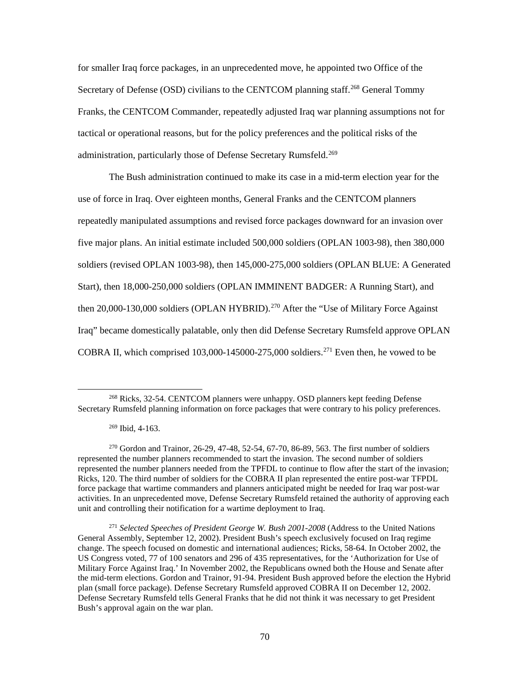for smaller Iraq force packages, in an unprecedented move, he appointed two Office of the Secretary of Defense (OSD) civilians to the CENTCOM planning staff.<sup>[268](#page-78-0)</sup> General Tommy Franks, the CENTCOM Commander, repeatedly adjusted Iraq war planning assumptions not for tactical or operational reasons, but for the policy preferences and the political risks of the administration, particularly those of Defense Secretary Rumsfeld.<sup>[269](#page-78-1)</sup>

The Bush administration continued to make its case in a mid-term election year for the use of force in Iraq. Over eighteen months, General Franks and the CENTCOM planners repeatedly manipulated assumptions and revised force packages downward for an invasion over five major plans. An initial estimate included 500,000 soldiers (OPLAN 1003-98), then 380,000 soldiers (revised OPLAN 1003-98), then 145,000-275,000 soldiers (OPLAN BLUE: A Generated Start), then 18,000-250,000 soldiers (OPLAN IMMINENT BADGER: A Running Start), and then  $20,000$ -130,000 soldiers (OPLAN HYBRID).<sup>[270](#page-78-2)</sup> After the "Use of Military Force Against Iraq" became domestically palatable, only then did Defense Secretary Rumsfeld approve OPLAN COBRA II, which comprised  $103,000-145000-275,000$  soldiers.<sup>[271](#page-78-3)</sup> Even then, he vowed to be

<span id="page-78-0"></span><sup>&</sup>lt;sup>268</sup> Ricks, 32-54. CENTCOM planners were unhappy. OSD planners kept feeding Defense Secretary Rumsfeld planning information on force packages that were contrary to his policy preferences.

 $269$  Ibid, 4-163.

<span id="page-78-2"></span><span id="page-78-1"></span> $270$  Gordon and Trainor, 26-29, 47-48, 52-54, 67-70, 86-89, 563. The first number of soldiers represented the number planners recommended to start the invasion. The second number of soldiers represented the number planners needed from the TPFDL to continue to flow after the start of the invasion; Ricks, 120. The third number of soldiers for the COBRA II plan represented the entire post-war TFPDL force package that wartime commanders and planners anticipated might be needed for Iraq war post-war activities. In an unprecedented move, Defense Secretary Rumsfeld retained the authority of approving each unit and controlling their notification for a wartime deployment to Iraq.

<span id="page-78-3"></span><sup>271</sup> *Selected Speeches of President George W. Bush 2001-2008* (Address to the United Nations General Assembly, September 12, 2002). President Bush's speech exclusively focused on Iraq regime change. The speech focused on domestic and international audiences; Ricks, 58-64. In October 2002, the US Congress voted, 77 of 100 senators and 296 of 435 representatives, for the 'Authorization for Use of Military Force Against Iraq.' In November 2002, the Republicans owned both the House and Senate after the mid-term elections. Gordon and Trainor, 91-94. President Bush approved before the election the Hybrid plan (small force package). Defense Secretary Rumsfeld approved COBRA II on December 12, 2002. Defense Secretary Rumsfeld tells General Franks that he did not think it was necessary to get President Bush's approval again on the war plan.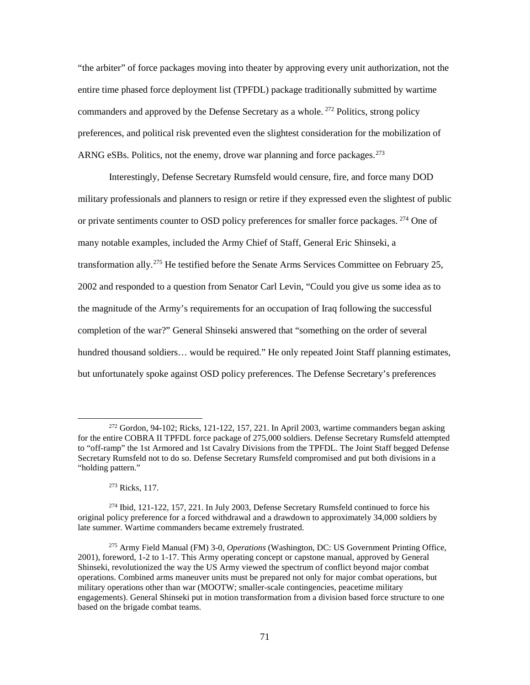"the arbiter" of force packages moving into theater by approving every unit authorization, not the entire time phased force deployment list (TPFDL) package traditionally submitted by wartime commanders and approved by the Defense Secretary as a whole. <sup>[272](#page-79-0)</sup> Politics, strong policy preferences, and political risk prevented even the slightest consideration for the mobilization of ARNG eSBs. Politics, not the enemy, drove war planning and force packages.  $273$ 

Interestingly, Defense Secretary Rumsfeld would censure, fire, and force many DOD military professionals and planners to resign or retire if they expressed even the slightest of public or private sentiments counter to OSD policy preferences for smaller force packages.  $^{274}$  $^{274}$  $^{274}$  One of many notable examples, included the Army Chief of Staff, General Eric Shinseki, a transformation ally.<sup>[275](#page-79-3)</sup> He testified before the Senate Arms Services Committee on February 25, 2002 and responded to a question from Senator Carl Levin, "Could you give us some idea as to the magnitude of the Army's requirements for an occupation of Iraq following the successful completion of the war?" General Shinseki answered that "something on the order of several hundred thousand soldiers... would be required." He only repeated Joint Staff planning estimates, but unfortunately spoke against OSD policy preferences. The Defense Secretary's preferences

<span id="page-79-0"></span> $272$  Gordon, 94-102; Ricks, 121-122, 157, 221. In April 2003, wartime commanders began asking for the entire COBRA II TPFDL force package of 275,000 soldiers. Defense Secretary Rumsfeld attempted to "off-ramp" the 1st Armored and 1st Cavalry Divisions from the TPFDL. The Joint Staff begged Defense Secretary Rumsfeld not to do so. Defense Secretary Rumsfeld compromised and put both divisions in a "holding pattern."

<sup>273</sup> Ricks, 117.

<span id="page-79-2"></span><span id="page-79-1"></span><sup>274</sup> Ibid, 121-122, 157, 221. In July 2003, Defense Secretary Rumsfeld continued to force his original policy preference for a forced withdrawal and a drawdown to approximately 34,000 soldiers by late summer. Wartime commanders became extremely frustrated.

<span id="page-79-3"></span><sup>275</sup> Army Field Manual (FM) 3-0, *Operations* (Washington, DC: US Government Printing Office, 2001), foreword, 1-2 to 1-17. This Army operating concept or capstone manual, approved by General Shinseki, revolutionized the way the US Army viewed the spectrum of conflict beyond major combat operations. Combined arms maneuver units must be prepared not only for major combat operations, but military operations other than war (MOOTW; smaller-scale contingencies, peacetime military engagements). General Shinseki put in motion transformation from a division based force structure to one based on the brigade combat teams.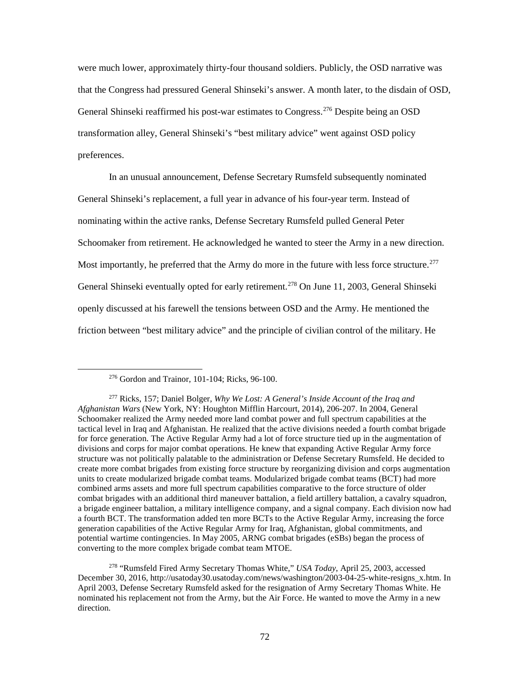were much lower, approximately thirty-four thousand soldiers. Publicly, the OSD narrative was that the Congress had pressured General Shinseki's answer. A month later, to the disdain of OSD, General Shinseki reaffirmed his post-war estimates to Congress. [276](#page-80-0) Despite being an OSD transformation alley, General Shinseki's "best military advice" went against OSD policy preferences.

In an unusual announcement, Defense Secretary Rumsfeld subsequently nominated General Shinseki's replacement, a full year in advance of his four-year term. Instead of nominating within the active ranks, Defense Secretary Rumsfeld pulled General Peter Schoomaker from retirement. He acknowledged he wanted to steer the Army in a new direction. Most importantly, he preferred that the Army do more in the future with less force structure.<sup>[277](#page-80-1)</sup> General Shinseki eventually opted for early retirement.<sup>[278](#page-80-2)</sup> On June 11, 2003, General Shinseki openly discussed at his farewell the tensions between OSD and the Army. He mentioned the friction between "best military advice" and the principle of civilian control of the military. He

<sup>276</sup> Gordon and Trainor, 101-104; Ricks, 96-100.

<span id="page-80-1"></span><span id="page-80-0"></span><sup>277</sup> Ricks, 157; Daniel Bolger, *Why We Lost: A General's Inside Account of the Iraq and Afghanistan Wars* (New York, NY: Houghton Mifflin Harcourt, 2014), 206-207. In 2004, General Schoomaker realized the Army needed more land combat power and full spectrum capabilities at the tactical level in Iraq and Afghanistan. He realized that the active divisions needed a fourth combat brigade for force generation. The Active Regular Army had a lot of force structure tied up in the augmentation of divisions and corps for major combat operations. He knew that expanding Active Regular Army force structure was not politically palatable to the administration or Defense Secretary Rumsfeld. He decided to create more combat brigades from existing force structure by reorganizing division and corps augmentation units to create modularized brigade combat teams. Modularized brigade combat teams (BCT) had more combined arms assets and more full spectrum capabilities comparative to the force structure of older combat brigades with an additional third maneuver battalion, a field artillery battalion, a cavalry squadron, a brigade engineer battalion, a military intelligence company, and a signal company. Each division now had a fourth BCT. The transformation added ten more BCTs to the Active Regular Army, increasing the force generation capabilities of the Active Regular Army for Iraq, Afghanistan, global commitments, and potential wartime contingencies. In May 2005, ARNG combat brigades (eSBs) began the process of converting to the more complex brigade combat team MTOE.

<span id="page-80-2"></span><sup>278</sup> "Rumsfeld Fired Army Secretary Thomas White," *USA Today*, April 25, 2003, accessed December 30, 2016, http://usatoday30.usatoday.com/news/washington/2003-04-25-white-resigns\_x.htm. In April 2003, Defense Secretary Rumsfeld asked for the resignation of Army Secretary Thomas White. He nominated his replacement not from the Army, but the Air Force. He wanted to move the Army in a new direction.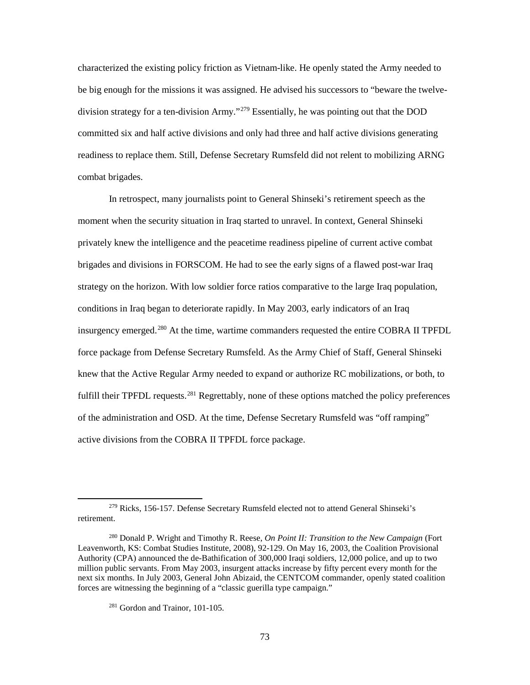characterized the existing policy friction as Vietnam-like. He openly stated the Army needed to be big enough for the missions it was assigned. He advised his successors to "beware the twelve-division strategy for a ten-division Army."<sup>[279](#page-81-0)</sup> Essentially, he was pointing out that the DOD committed six and half active divisions and only had three and half active divisions generating readiness to replace them. Still, Defense Secretary Rumsfeld did not relent to mobilizing ARNG combat brigades.

In retrospect, many journalists point to General Shinseki's retirement speech as the moment when the security situation in Iraq started to unravel. In context, General Shinseki privately knew the intelligence and the peacetime readiness pipeline of current active combat brigades and divisions in FORSCOM. He had to see the early signs of a flawed post-war Iraq strategy on the horizon. With low soldier force ratios comparative to the large Iraq population, conditions in Iraq began to deteriorate rapidly. In May 2003, early indicators of an Iraq insurgency emerged.[280](#page-81-1) At the time, wartime commanders requested the entire COBRA II TPFDL force package from Defense Secretary Rumsfeld. As the Army Chief of Staff, General Shinseki knew that the Active Regular Army needed to expand or authorize RC mobilizations, or both, to fulfill their TPFDL requests.<sup>[281](#page-81-2)</sup> Regrettably, none of these options matched the policy preferences of the administration and OSD. At the time, Defense Secretary Rumsfeld was "off ramping" active divisions from the COBRA II TPFDL force package.

<span id="page-81-0"></span><sup>&</sup>lt;sup>279</sup> Ricks, 156-157. Defense Secretary Rumsfeld elected not to attend General Shinseki's retirement.

<span id="page-81-2"></span><span id="page-81-1"></span><sup>280</sup> Donald P. Wright and Timothy R. Reese, *On Point II: Transition to the New Campaign* (Fort Leavenworth, KS: Combat Studies Institute, 2008), 92-129. On May 16, 2003, the Coalition Provisional Authority (CPA) announced the de-Bathification of 300,000 Iraqi soldiers, 12,000 police, and up to two million public servants. From May 2003, insurgent attacks increase by fifty percent every month for the next six months. In July 2003, General John Abizaid, the CENTCOM commander, openly stated coalition forces are witnessing the beginning of a "classic guerilla type campaign."

<sup>281</sup> Gordon and Trainor, 101-105.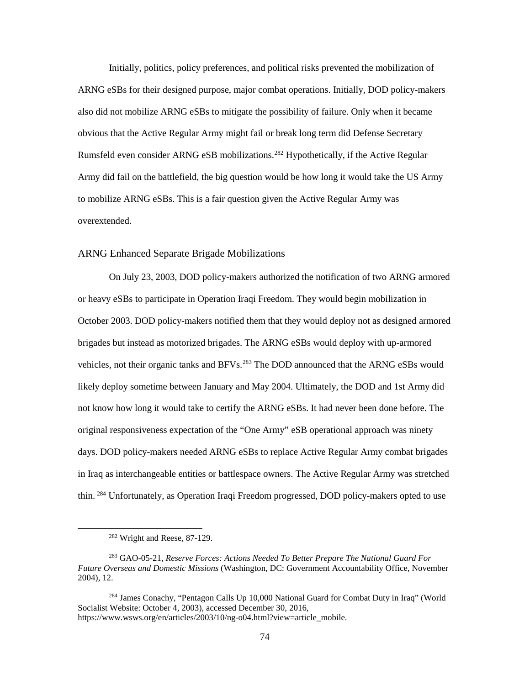Initially, politics, policy preferences, and political risks prevented the mobilization of ARNG eSBs for their designed purpose, major combat operations. Initially, DOD policy-makers also did not mobilize ARNG eSBs to mitigate the possibility of failure. Only when it became obvious that the Active Regular Army might fail or break long term did Defense Secretary Rumsfeld even consider ARNG eSB mobilizations.<sup>[282](#page-82-0)</sup> Hypothetically, if the Active Regular Army did fail on the battlefield, the big question would be how long it would take the US Army to mobilize ARNG eSBs. This is a fair question given the Active Regular Army was overextended.

### ARNG Enhanced Separate Brigade Mobilizations

On July 23, 2003, DOD policy-makers authorized the notification of two ARNG armored or heavy eSBs to participate in Operation Iraqi Freedom. They would begin mobilization in October 2003. DOD policy-makers notified them that they would deploy not as designed armored brigades but instead as motorized brigades. The ARNG eSBs would deploy with up-armored vehicles, not their organic tanks and BFVs.<sup>[283](#page-82-1)</sup> The DOD announced that the ARNG eSBs would likely deploy sometime between January and May 2004. Ultimately, the DOD and 1st Army did not know how long it would take to certify the ARNG eSBs. It had never been done before. The original responsiveness expectation of the "One Army" eSB operational approach was ninety days. DOD policy-makers needed ARNG eSBs to replace Active Regular Army combat brigades in Iraq as interchangeable entities or battlespace owners. The Active Regular Army was stretched thin. [284](#page-82-2) Unfortunately, as Operation Iraqi Freedom progressed, DOD policy-makers opted to use

<sup>282</sup> Wright and Reese, 87-129.

<span id="page-82-1"></span><span id="page-82-0"></span><sup>283</sup> GAO-05-21, *Reserve Forces: Actions Needed To Better Prepare The National Guard For Future Overseas and Domestic Missions* (Washington, DC: Government Accountability Office, November 2004), 12.

<span id="page-82-2"></span><sup>&</sup>lt;sup>284</sup> James Conachy, "Pentagon Calls Up 10,000 National Guard for Combat Duty in Iraq" (World Socialist Website: October 4, 2003), accessed December 30, 2016, https://www.wsws.org/en/articles/2003/10/ng-o04.html?view=article\_mobile.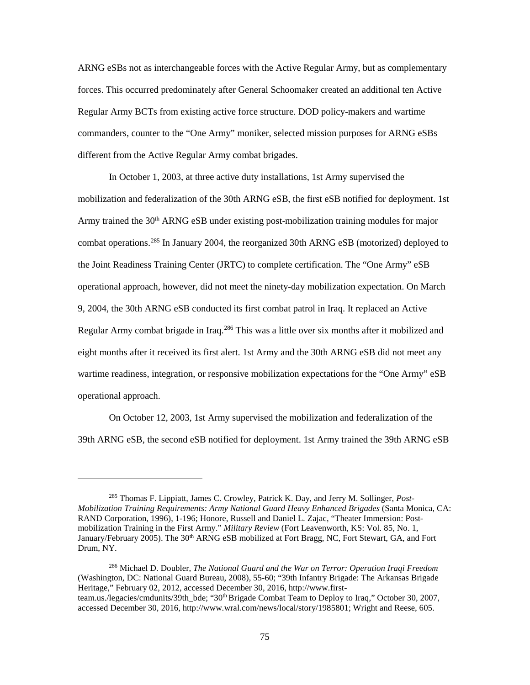ARNG eSBs not as interchangeable forces with the Active Regular Army, but as complementary forces. This occurred predominately after General Schoomaker created an additional ten Active Regular Army BCTs from existing active force structure. DOD policy-makers and wartime commanders, counter to the "One Army" moniker, selected mission purposes for ARNG eSBs different from the Active Regular Army combat brigades.

In October 1, 2003, at three active duty installations, 1st Army supervised the mobilization and federalization of the 30th ARNG eSB, the first eSB notified for deployment. 1st Army trained the  $30<sup>th</sup>$  ARNG eSB under existing post-mobilization training modules for major combat operations. [285](#page-83-0) In January 2004, the reorganized 30th ARNG eSB (motorized) deployed to the Joint Readiness Training Center (JRTC) to complete certification. The "One Army" eSB operational approach, however, did not meet the ninety-day mobilization expectation. On March 9, 2004, the 30th ARNG eSB conducted its first combat patrol in Iraq. It replaced an Active Regular Army combat brigade in Iraq.[286](#page-83-1) This was a little over six months after it mobilized and eight months after it received its first alert. 1st Army and the 30th ARNG eSB did not meet any wartime readiness, integration, or responsive mobilization expectations for the "One Army" eSB operational approach.

On October 12, 2003, 1st Army supervised the mobilization and federalization of the 39th ARNG eSB, the second eSB notified for deployment. 1st Army trained the 39th ARNG eSB

<span id="page-83-0"></span><sup>285</sup> Thomas F. Lippiatt, James C. Crowley, Patrick K. Day, and Jerry M. Sollinger, *Post-Mobilization Training Requirements: Army National Guard Heavy Enhanced Brigades* (Santa Monica, CA: RAND Corporation, 1996), 1-196; Honore, Russell and Daniel L. Zajac, "Theater Immersion: Postmobilization Training in the First Army." *Military Review* (Fort Leavenworth, KS: Vol. 85, No. 1, January/February 2005). The 30<sup>th</sup> ARNG eSB mobilized at Fort Bragg, NC, Fort Stewart, GA, and Fort Drum, NY.

<span id="page-83-1"></span><sup>286</sup> Michael D. Doubler, *The National Guard and the War on Terror: Operation Iraqi Freedom* (Washington, DC: National Guard Bureau, 2008), 55-60; "39th Infantry Brigade: The Arkansas Brigade Heritage," February 02, 2012, accessed December 30, 2016, http://www.firstteam.us./legacies/cmdunits/39th\_bde; "30<sup>th</sup> Brigade Combat Team to Deploy to Iraq," October 30, 2007, accessed December 30, 2016, http://www.wral.com/news/local/story/1985801; Wright and Reese, 605.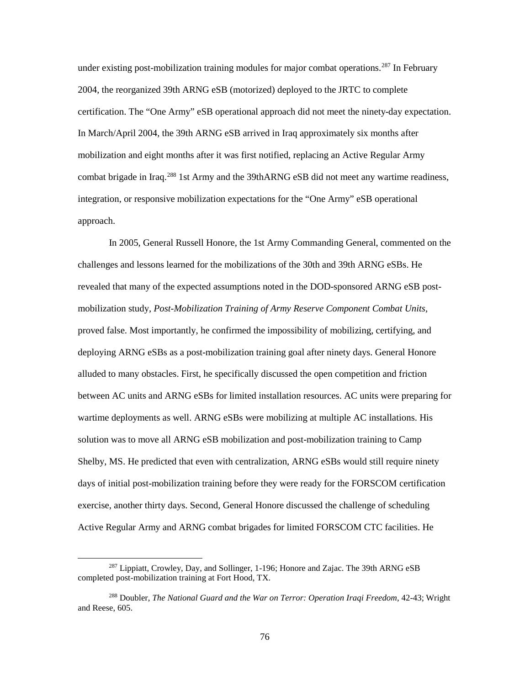under existing post-mobilization training modules for major combat operations.<sup>[287](#page-84-0)</sup> In February 2004, the reorganized 39th ARNG eSB (motorized) deployed to the JRTC to complete certification. The "One Army" eSB operational approach did not meet the ninety-day expectation. In March/April 2004, the 39th ARNG eSB arrived in Iraq approximately six months after mobilization and eight months after it was first notified, replacing an Active Regular Army combat brigade in Iraq.<sup>[288](#page-84-1)</sup> 1st Army and the 39thARNG eSB did not meet any wartime readiness, integration, or responsive mobilization expectations for the "One Army" eSB operational approach.

In 2005, General Russell Honore, the 1st Army Commanding General, commented on the challenges and lessons learned for the mobilizations of the 30th and 39th ARNG eSBs. He revealed that many of the expected assumptions noted in the DOD-sponsored ARNG eSB postmobilization study, *Post-Mobilization Training of Army Reserve Component Combat Units,*  proved false. Most importantly, he confirmed the impossibility of mobilizing, certifying, and deploying ARNG eSBs as a post-mobilization training goal after ninety days. General Honore alluded to many obstacles. First, he specifically discussed the open competition and friction between AC units and ARNG eSBs for limited installation resources. AC units were preparing for wartime deployments as well. ARNG eSBs were mobilizing at multiple AC installations. His solution was to move all ARNG eSB mobilization and post-mobilization training to Camp Shelby, MS. He predicted that even with centralization, ARNG eSBs would still require ninety days of initial post-mobilization training before they were ready for the FORSCOM certification exercise, another thirty days. Second, General Honore discussed the challenge of scheduling Active Regular Army and ARNG combat brigades for limited FORSCOM CTC facilities. He

<span id="page-84-0"></span> $^{287}$  Lippiatt, Crowley, Day, and Sollinger, 1-196; Honore and Zajac. The 39th ARNG eSB completed post-mobilization training at Fort Hood, TX.

<span id="page-84-1"></span><sup>288</sup> Doubler, *The National Guard and the War on Terror: Operation Iraqi Freedom*, 42-43; Wright and Reese, 605.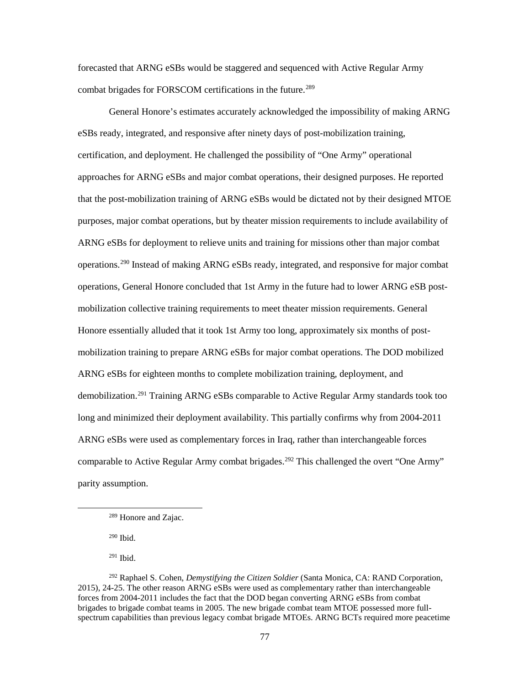forecasted that ARNG eSBs would be staggered and sequenced with Active Regular Army combat brigades for FORSCOM certifications in the future. [289](#page-85-0)

General Honore's estimates accurately acknowledged the impossibility of making ARNG eSBs ready, integrated, and responsive after ninety days of post-mobilization training, certification, and deployment. He challenged the possibility of "One Army" operational approaches for ARNG eSBs and major combat operations, their designed purposes. He reported that the post-mobilization training of ARNG eSBs would be dictated not by their designed MTOE purposes, major combat operations, but by theater mission requirements to include availability of ARNG eSBs for deployment to relieve units and training for missions other than major combat operations.[290](#page-85-1) Instead of making ARNG eSBs ready, integrated, and responsive for major combat operations, General Honore concluded that 1st Army in the future had to lower ARNG eSB postmobilization collective training requirements to meet theater mission requirements. General Honore essentially alluded that it took 1st Army too long, approximately six months of postmobilization training to prepare ARNG eSBs for major combat operations. The DOD mobilized ARNG eSBs for eighteen months to complete mobilization training, deployment, and demobilization.[291](#page-85-2) Training ARNG eSBs comparable to Active Regular Army standards took too long and minimized their deployment availability. This partially confirms why from 2004-2011 ARNG eSBs were used as complementary forces in Iraq, rather than interchangeable forces comparable to Active Regular Army combat brigades.<sup>[292](#page-85-3)</sup> This challenged the overt "One Army" parity assumption.

<sup>290</sup> Ibid.

<span id="page-85-1"></span><span id="page-85-0"></span> $\overline{\phantom{a}}$ 

<sup>291</sup> Ibid.

<sup>289</sup> Honore and Zajac.

<span id="page-85-3"></span><span id="page-85-2"></span><sup>292</sup> Raphael S. Cohen, *Demystifying the Citizen Soldier* (Santa Monica, CA: RAND Corporation, 2015), 24-25. The other reason ARNG eSBs were used as complementary rather than interchangeable forces from 2004-2011 includes the fact that the DOD began converting ARNG eSBs from combat brigades to brigade combat teams in 2005. The new brigade combat team MTOE possessed more fullspectrum capabilities than previous legacy combat brigade MTOEs. ARNG BCTs required more peacetime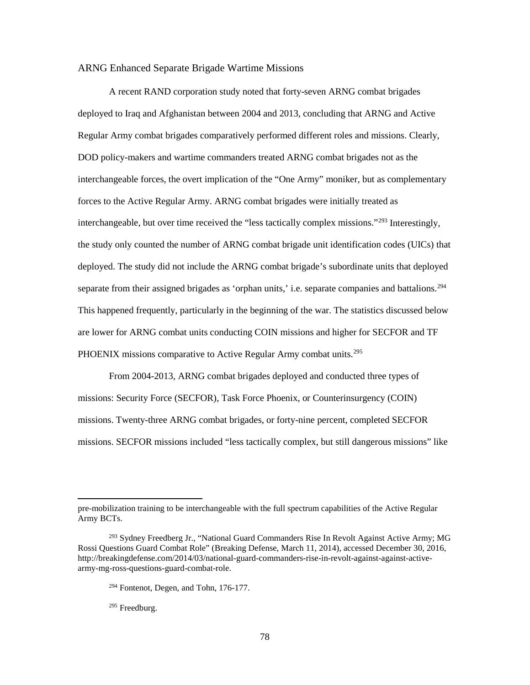#### ARNG Enhanced Separate Brigade Wartime Missions

A recent RAND corporation study noted that forty-seven ARNG combat brigades deployed to Iraq and Afghanistan between 2004 and 2013, concluding that ARNG and Active Regular Army combat brigades comparatively performed different roles and missions. Clearly, DOD policy-makers and wartime commanders treated ARNG combat brigades not as the interchangeable forces, the overt implication of the "One Army" moniker, but as complementary forces to the Active Regular Army. ARNG combat brigades were initially treated as interchangeable, but over time received the "less tactically complex missions."[293](#page-86-0) Interestingly, the study only counted the number of ARNG combat brigade unit identification codes (UICs) that deployed. The study did not include the ARNG combat brigade's subordinate units that deployed separate from their assigned brigades as 'orphan units,' i.e. separate companies and battalions.<sup>[294](#page-86-1)</sup> This happened frequently, particularly in the beginning of the war. The statistics discussed below are lower for ARNG combat units conducting COIN missions and higher for SECFOR and TF PHOENIX missions comparative to Active Regular Army combat units.<sup>295</sup>

From 2004-2013, ARNG combat brigades deployed and conducted three types of missions: Security Force (SECFOR), Task Force Phoenix, or Counterinsurgency (COIN) missions. Twenty-three ARNG combat brigades, or forty-nine percent, completed SECFOR missions. SECFOR missions included "less tactically complex, but still dangerous missions" like

pre-mobilization training to be interchangeable with the full spectrum capabilities of the Active Regular Army BCTs.

<span id="page-86-2"></span><span id="page-86-1"></span><span id="page-86-0"></span><sup>&</sup>lt;sup>293</sup> Sydney Freedberg Jr., "National Guard Commanders Rise In Revolt Against Active Army; MG Rossi Questions Guard Combat Role" (Breaking Defense, March 11, 2014), accessed December 30, 2016, http://breakingdefense.com/2014/03/national-guard-commanders-rise-in-revolt-against-against-activearmy-mg-ross-questions-guard-combat-role.

 $294$  Fontenot, Degen, and Tohn, 176-177.

<sup>295</sup> Freedburg.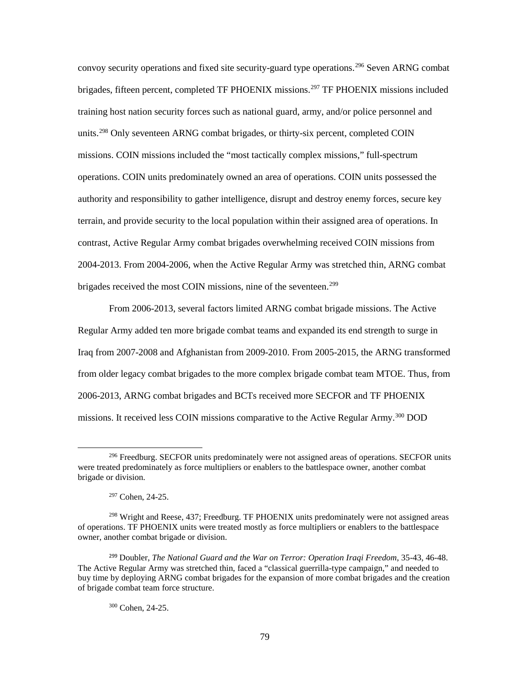convoy security operations and fixed site security-guard type operations.[296](#page-87-0) Seven ARNG combat brigades, fifteen percent, completed TF PHOENIX missions.<sup>[297](#page-87-1)</sup> TF PHOENIX missions included training host nation security forces such as national guard, army, and/or police personnel and units.<sup>[298](#page-87-2)</sup> Only seventeen ARNG combat brigades, or thirty-six percent, completed COIN missions. COIN missions included the "most tactically complex missions," full-spectrum operations. COIN units predominately owned an area of operations. COIN units possessed the authority and responsibility to gather intelligence, disrupt and destroy enemy forces, secure key terrain, and provide security to the local population within their assigned area of operations. In contrast, Active Regular Army combat brigades overwhelming received COIN missions from 2004-2013. From 2004-2006, when the Active Regular Army was stretched thin, ARNG combat brigades received the most COIN missions, nine of the seventeen.<sup>[299](#page-87-3)</sup>

From 2006-2013, several factors limited ARNG combat brigade missions. The Active Regular Army added ten more brigade combat teams and expanded its end strength to surge in Iraq from 2007-2008 and Afghanistan from 2009-2010. From 2005-2015, the ARNG transformed from older legacy combat brigades to the more complex brigade combat team MTOE. Thus, from 2006-2013, ARNG combat brigades and BCTs received more SECFOR and TF PHOENIX missions. It received less COIN missions comparative to the Active Regular Army.<sup>[300](#page-87-4)</sup> DOD

 $\overline{\phantom{a}}$ 

<sup>300</sup> Cohen, 24-25.

<span id="page-87-0"></span><sup>&</sup>lt;sup>296</sup> Freedburg. SECFOR units predominately were not assigned areas of operations. SECFOR units were treated predominately as force multipliers or enablers to the battlespace owner, another combat brigade or division.

<sup>297</sup> Cohen, 24-25.

<span id="page-87-2"></span><span id="page-87-1"></span><sup>298</sup> Wright and Reese, 437; Freedburg. TF PHOENIX units predominately were not assigned areas of operations. TF PHOENIX units were treated mostly as force multipliers or enablers to the battlespace owner, another combat brigade or division.

<span id="page-87-4"></span><span id="page-87-3"></span><sup>299</sup> Doubler, *The National Guard and the War on Terror: Operation Iraqi Freedom*, 35-43, 46-48. The Active Regular Army was stretched thin, faced a "classical guerrilla-type campaign," and needed to buy time by deploying ARNG combat brigades for the expansion of more combat brigades and the creation of brigade combat team force structure.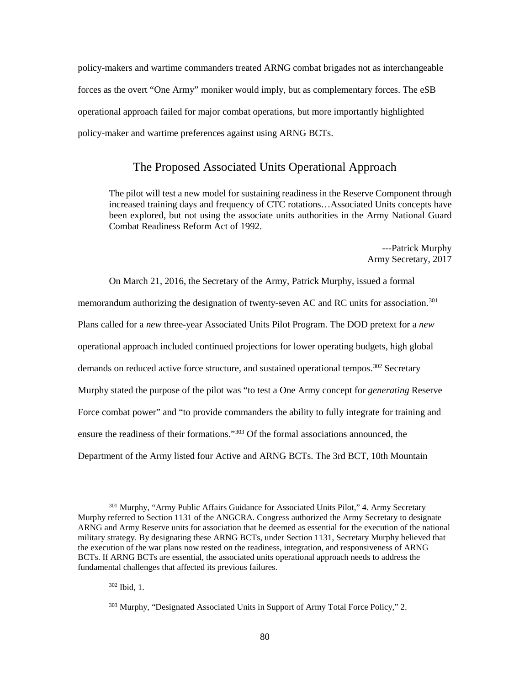policy-makers and wartime commanders treated ARNG combat brigades not as interchangeable forces as the overt "One Army" moniker would imply, but as complementary forces. The eSB operational approach failed for major combat operations, but more importantly highlighted policy-maker and wartime preferences against using ARNG BCTs.

## The Proposed Associated Units Operational Approach

The pilot will test a new model for sustaining readiness in the Reserve Component through increased training days and frequency of CTC rotations…Associated Units concepts have been explored, but not using the associate units authorities in the Army National Guard Combat Readiness Reform Act of 1992.

> ---Patrick Murphy Army Secretary, 2017

On March 21, 2016, the Secretary of the Army, Patrick Murphy, issued a formal memorandum authorizing the designation of twenty-seven AC and RC units for association.<sup>[301](#page-88-0)</sup> Plans called for a *new* three-year Associated Units Pilot Program. The DOD pretext for a *new*  operational approach included continued projections for lower operating budgets, high global demands on reduced active force structure, and sustained operational tempos.<sup>[302](#page-88-1)</sup> Secretary Murphy stated the purpose of the pilot was "to test a One Army concept for *generating* Reserve Force combat power" and "to provide commanders the ability to fully integrate for training and ensure the readiness of their formations."[303](#page-88-2) Of the formal associations announced, the Department of the Army listed four Active and ARNG BCTs. The 3rd BCT, 10th Mountain

<span id="page-88-0"></span><sup>&</sup>lt;sup>301</sup> Murphy, "Army Public Affairs Guidance for Associated Units Pilot," 4. Army Secretary Murphy referred to Section 1131 of the ANGCRA. Congress authorized the Army Secretary to designate ARNG and Army Reserve units for association that he deemed as essential for the execution of the national military strategy. By designating these ARNG BCTs, under Section 1131, Secretary Murphy believed that the execution of the war plans now rested on the readiness, integration, and responsiveness of ARNG BCTs. If ARNG BCTs are essential, the associated units operational approach needs to address the fundamental challenges that affected its previous failures.

<span id="page-88-1"></span><sup>302</sup> Ibid, 1.

<span id="page-88-2"></span><sup>&</sup>lt;sup>303</sup> Murphy, "Designated Associated Units in Support of Army Total Force Policy," 2.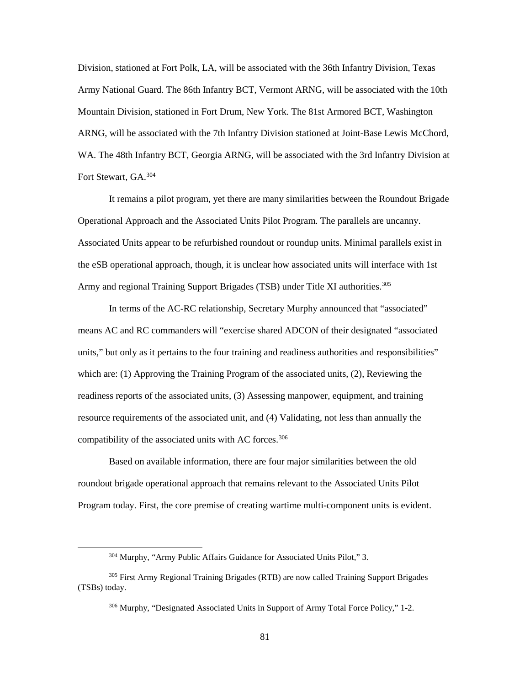Division, stationed at Fort Polk, LA, will be associated with the 36th Infantry Division, Texas Army National Guard. The 86th Infantry BCT, Vermont ARNG, will be associated with the 10th Mountain Division, stationed in Fort Drum, New York. The 81st Armored BCT, Washington ARNG, will be associated with the 7th Infantry Division stationed at Joint-Base Lewis McChord, WA. The 48th Infantry BCT, Georgia ARNG, will be associated with the 3rd Infantry Division at Fort Stewart, GA.<sup>[304](#page-89-0)</sup>

It remains a pilot program, yet there are many similarities between the Roundout Brigade Operational Approach and the Associated Units Pilot Program. The parallels are uncanny. Associated Units appear to be refurbished roundout or roundup units. Minimal parallels exist in the eSB operational approach, though, it is unclear how associated units will interface with 1st Army and regional Training Support Brigades (TSB) under Title XI authorities.<sup>305</sup>

In terms of the AC-RC relationship, Secretary Murphy announced that "associated" means AC and RC commanders will "exercise shared ADCON of their designated "associated units," but only as it pertains to the four training and readiness authorities and responsibilities" which are: (1) Approving the Training Program of the associated units, (2), Reviewing the readiness reports of the associated units, (3) Assessing manpower, equipment, and training resource requirements of the associated unit, and (4) Validating, not less than annually the compatibility of the associated units with AC forces.<sup>[306](#page-89-2)</sup>

Based on available information, there are four major similarities between the old roundout brigade operational approach that remains relevant to the Associated Units Pilot Program today. First, the core premise of creating wartime multi-component units is evident.

<sup>304</sup> Murphy, "Army Public Affairs Guidance for Associated Units Pilot," 3.

<span id="page-89-2"></span><span id="page-89-1"></span><span id="page-89-0"></span><sup>&</sup>lt;sup>305</sup> First Army Regional Training Brigades (RTB) are now called Training Support Brigades (TSBs) today.

 $306$  Murphy, "Designated Associated Units in Support of Army Total Force Policy," 1-2.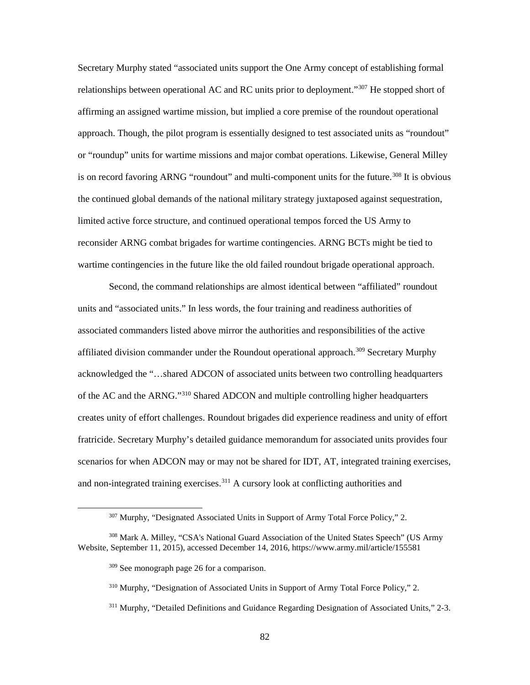Secretary Murphy stated "associated units support the One Army concept of establishing formal relationships between operational AC and RC units prior to deployment."<sup>[307](#page-90-0)</sup> He stopped short of affirming an assigned wartime mission, but implied a core premise of the roundout operational approach. Though, the pilot program is essentially designed to test associated units as "roundout" or "roundup" units for wartime missions and major combat operations. Likewise, General Milley is on record favoring ARNG "roundout" and multi-component units for the future.<sup>308</sup> It is obvious the continued global demands of the national military strategy juxtaposed against sequestration, limited active force structure, and continued operational tempos forced the US Army to reconsider ARNG combat brigades for wartime contingencies. ARNG BCTs might be tied to wartime contingencies in the future like the old failed roundout brigade operational approach.

Second, the command relationships are almost identical between "affiliated" roundout units and "associated units." In less words, the four training and readiness authorities of associated commanders listed above mirror the authorities and responsibilities of the active affiliated division commander under the Roundout operational approach.[309](#page-90-2) Secretary Murphy acknowledged the "…shared ADCON of associated units between two controlling headquarters of the AC and the ARNG."[310](#page-90-3) Shared ADCON and multiple controlling higher headquarters creates unity of effort challenges. Roundout brigades did experience readiness and unity of effort fratricide. Secretary Murphy's detailed guidance memorandum for associated units provides four scenarios for when ADCON may or may not be shared for IDT, AT, integrated training exercises, and non-integrated training exercises.<sup>[311](#page-90-4)</sup> A cursory look at conflicting authorities and

<sup>307</sup> Murphy, "Designated Associated Units in Support of Army Total Force Policy," 2.

<span id="page-90-4"></span><span id="page-90-3"></span><span id="page-90-2"></span><span id="page-90-1"></span><span id="page-90-0"></span><sup>308</sup> Mark A. Milley, "CSA's National Guard Association of the United States Speech" (US Army Website, September 11, 2015), accessed December 14, 2016, https://www.army.mil/article/155581

<sup>309</sup> See monograph page 26 for a comparison.

<sup>310</sup> Murphy, "Designation of Associated Units in Support of Army Total Force Policy," 2.

<sup>&</sup>lt;sup>311</sup> Murphy, "Detailed Definitions and Guidance Regarding Designation of Associated Units," 2-3.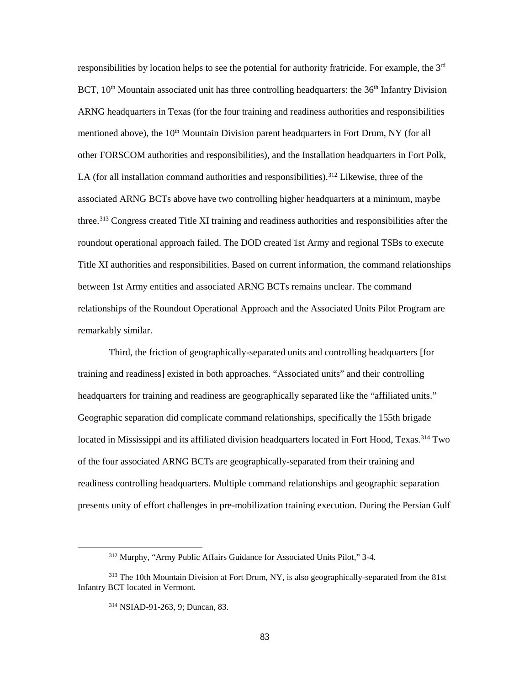responsibilities by location helps to see the potential for authority fratricide. For example, the 3rd BCT,  $10<sup>th</sup>$  Mountain associated unit has three controlling headquarters: the  $36<sup>th</sup>$  Infantry Division ARNG headquarters in Texas (for the four training and readiness authorities and responsibilities mentioned above), the 10<sup>th</sup> Mountain Division parent headquarters in Fort Drum, NY (for all other FORSCOM authorities and responsibilities), and the Installation headquarters in Fort Polk, LA (for all installation command authorities and responsibilities).<sup>312</sup> Likewise, three of the associated ARNG BCTs above have two controlling higher headquarters at a minimum, maybe three.[313](#page-91-1) Congress created Title XI training and readiness authorities and responsibilities after the roundout operational approach failed. The DOD created 1st Army and regional TSBs to execute Title XI authorities and responsibilities. Based on current information, the command relationships between 1st Army entities and associated ARNG BCTs remains unclear. The command relationships of the Roundout Operational Approach and the Associated Units Pilot Program are remarkably similar.

Third, the friction of geographically-separated units and controlling headquarters [for training and readiness] existed in both approaches. "Associated units" and their controlling headquarters for training and readiness are geographically separated like the "affiliated units." Geographic separation did complicate command relationships, specifically the 155th brigade located in Mississippi and its affiliated division headquarters located in Fort Hood, Texas.<sup>[314](#page-91-2)</sup> Two of the four associated ARNG BCTs are geographically-separated from their training and readiness controlling headquarters. Multiple command relationships and geographic separation presents unity of effort challenges in pre-mobilization training execution. During the Persian Gulf

<sup>312</sup> Murphy, "Army Public Affairs Guidance for Associated Units Pilot," 3-4.

<span id="page-91-2"></span><span id="page-91-1"></span><span id="page-91-0"></span><sup>&</sup>lt;sup>313</sup> The 10th Mountain Division at Fort Drum, NY, is also geographically-separated from the 81st Infantry BCT located in Vermont.

<sup>314</sup> NSIAD-91-263, 9; Duncan, 83.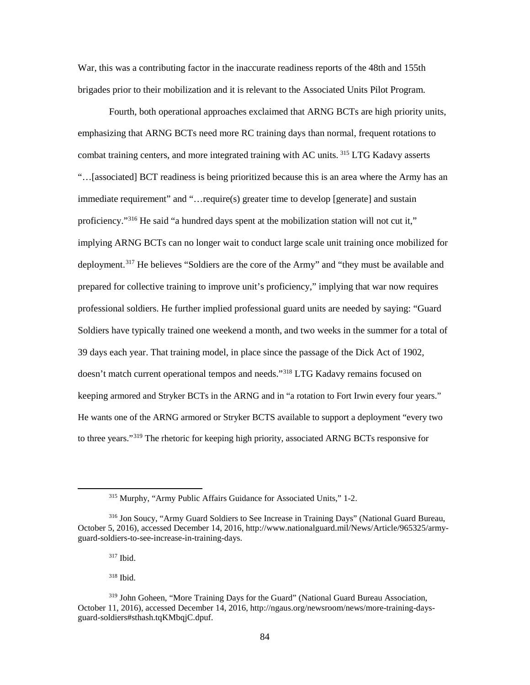War, this was a contributing factor in the inaccurate readiness reports of the 48th and 155th brigades prior to their mobilization and it is relevant to the Associated Units Pilot Program.

Fourth, both operational approaches exclaimed that ARNG BCTs are high priority units, emphasizing that ARNG BCTs need more RC training days than normal, frequent rotations to combat training centers, and more integrated training with AC units. [315](#page-92-0) LTG Kadavy asserts "…[associated] BCT readiness is being prioritized because this is an area where the Army has an immediate requirement" and "…require(s) greater time to develop [generate] and sustain proficiency."[316](#page-92-1) He said "a hundred days spent at the mobilization station will not cut it," implying ARNG BCTs can no longer wait to conduct large scale unit training once mobilized for deployment.<sup>[317](#page-92-2)</sup> He believes "Soldiers are the core of the Army" and "they must be available and prepared for collective training to improve unit's proficiency," implying that war now requires professional soldiers. He further implied professional guard units are needed by saying: "Guard Soldiers have typically trained one weekend a month, and two weeks in the summer for a total of 39 days each year. That training model, in place since the passage of the Dick Act of 1902, doesn't match current operational tempos and needs."<sup>[318](#page-92-3)</sup> LTG Kadavy remains focused on keeping armored and Stryker BCTs in the ARNG and in "a rotation to Fort Irwin every four years." He wants one of the ARNG armored or Stryker BCTS available to support a deployment "every two to three years."<sup>[319](#page-92-4)</sup> The rhetoric for keeping high priority, associated ARNG BCTs responsive for

<sup>317</sup> Ibid.

<span id="page-92-0"></span>l

 $318$  Ibid.

<sup>315</sup> Murphy, "Army Public Affairs Guidance for Associated Units," 1-2.

<span id="page-92-1"></span><sup>316</sup> Jon Soucy, "Army Guard Soldiers to See Increase in Training Days" (National Guard Bureau, October 5, 2016), accessed December 14, 2016, http://www.nationalguard.mil/News/Article/965325/armyguard-soldiers-to-see-increase-in-training-days.

<span id="page-92-4"></span><span id="page-92-3"></span><span id="page-92-2"></span><sup>319</sup> John Goheen, "More Training Days for the Guard" (National Guard Bureau Association, October 11, 2016), accessed December 14, 2016, http://ngaus.org/newsroom/news/more-training-daysguard-soldiers#sthash.tqKMbqjC.dpuf.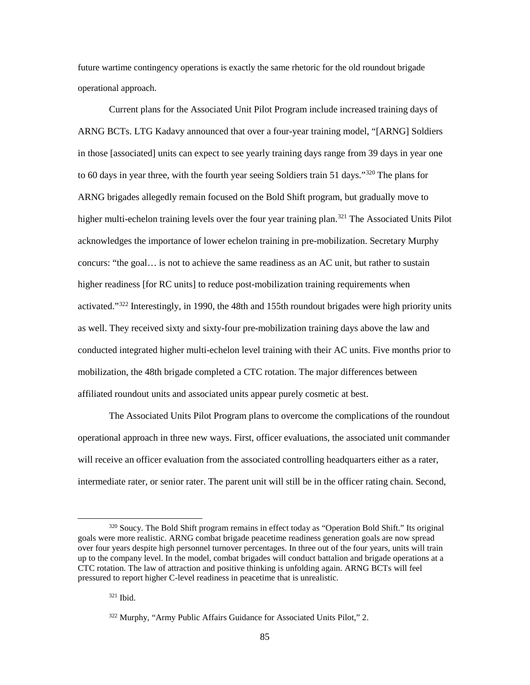future wartime contingency operations is exactly the same rhetoric for the old roundout brigade operational approach.

Current plans for the Associated Unit Pilot Program include increased training days of ARNG BCTs. LTG Kadavy announced that over a four-year training model, "[ARNG] Soldiers in those [associated] units can expect to see yearly training days range from 39 days in year one to 60 days in year three, with the fourth year seeing Soldiers train 51 days."<sup>[320](#page-93-0)</sup> The plans for ARNG brigades allegedly remain focused on the Bold Shift program, but gradually move to higher multi-echelon training levels over the four year training plan.<sup>321</sup> The Associated Units Pilot acknowledges the importance of lower echelon training in pre-mobilization. Secretary Murphy concurs: "the goal… is not to achieve the same readiness as an AC unit, but rather to sustain higher readiness [for RC units] to reduce post-mobilization training requirements when activated." $322$  Interestingly, in 1990, the 48th and 155th roundout brigades were high priority units as well. They received sixty and sixty-four pre-mobilization training days above the law and conducted integrated higher multi-echelon level training with their AC units. Five months prior to mobilization, the 48th brigade completed a CTC rotation. The major differences between affiliated roundout units and associated units appear purely cosmetic at best.

The Associated Units Pilot Program plans to overcome the complications of the roundout operational approach in three new ways. First, officer evaluations, the associated unit commander will receive an officer evaluation from the associated controlling headquarters either as a rater, intermediate rater, or senior rater. The parent unit will still be in the officer rating chain. Second,

<span id="page-93-1"></span><span id="page-93-0"></span><sup>&</sup>lt;sup>320</sup> Soucy. The Bold Shift program remains in effect today as "Operation Bold Shift." Its original goals were more realistic. ARNG combat brigade peacetime readiness generation goals are now spread over four years despite high personnel turnover percentages. In three out of the four years, units will train up to the company level. In the model, combat brigades will conduct battalion and brigade operations at a CTC rotation. The law of attraction and positive thinking is unfolding again. ARNG BCTs will feel pressured to report higher C-level readiness in peacetime that is unrealistic.

<sup>321</sup> Ibid.

<span id="page-93-2"></span><sup>322</sup> Murphy, "Army Public Affairs Guidance for Associated Units Pilot," 2.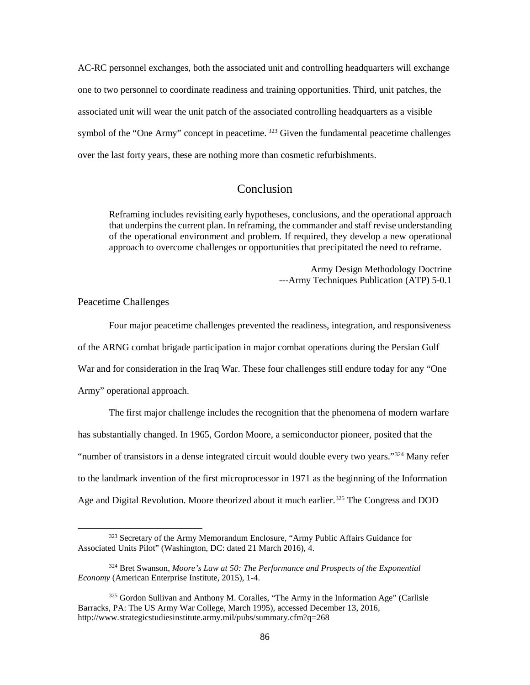AC-RC personnel exchanges, both the associated unit and controlling headquarters will exchange one to two personnel to coordinate readiness and training opportunities. Third, unit patches, the associated unit will wear the unit patch of the associated controlling headquarters as a visible symbol of the "One Army" concept in peacetime.  $323$  Given the fundamental peacetime challenges over the last forty years, these are nothing more than cosmetic refurbishments.

# Conclusion

Reframing includes revisiting early hypotheses, conclusions, and the operational approach that underpins the current plan. In reframing, the commander and staff revise understanding of the operational environment and problem. If required, they develop a new operational approach to overcome challenges or opportunities that precipitated the need to reframe.

> Army Design Methodology Doctrine ---Army Techniques Publication (ATP) 5-0.1

Peacetime Challenges

 $\overline{\phantom{a}}$ 

Four major peacetime challenges prevented the readiness, integration, and responsiveness of the ARNG combat brigade participation in major combat operations during the Persian Gulf War and for consideration in the Iraq War. These four challenges still endure today for any "One Army" operational approach.

The first major challenge includes the recognition that the phenomena of modern warfare has substantially changed. In 1965, Gordon Moore, a semiconductor pioneer, posited that the "number of transistors in a dense integrated circuit would double every two years."[324](#page-94-1) Many refer to the landmark invention of the first microprocessor in 1971 as the beginning of the Information Age and Digital Revolution. Moore theorized about it much earlier.<sup>[325](#page-94-2)</sup> The Congress and DOD

<span id="page-94-0"></span><sup>323</sup> Secretary of the Army Memorandum Enclosure, "Army Public Affairs Guidance for Associated Units Pilot" (Washington, DC: dated 21 March 2016), 4.

<span id="page-94-1"></span><sup>324</sup> Bret Swanson, *Moore's Law at 50: The Performance and Prospects of the Exponential Economy* (American Enterprise Institute, 2015), 1-4.

<span id="page-94-2"></span><sup>325</sup> Gordon Sullivan and Anthony M. Coralles, "The Army in the Information Age" (Carlisle Barracks, PA: The US Army War College, March 1995), accessed December 13, 2016, http://www.strategicstudiesinstitute.army.mil/pubs/summary.cfm?q=268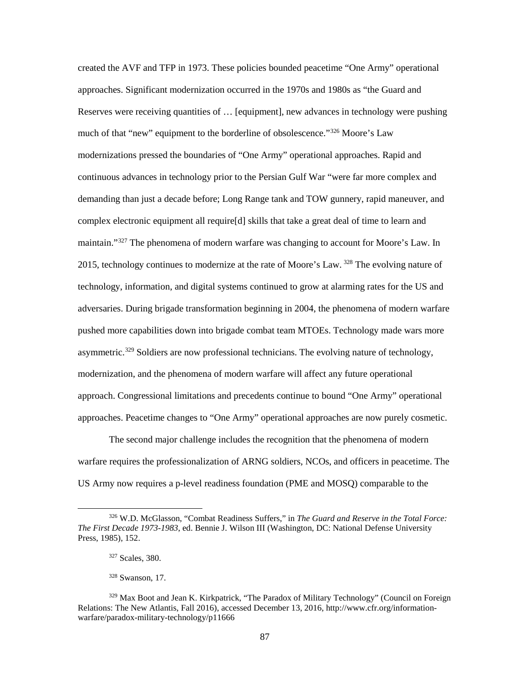created the AVF and TFP in 1973. These policies bounded peacetime "One Army" operational approaches. Significant modernization occurred in the 1970s and 1980s as "the Guard and Reserves were receiving quantities of … [equipment], new advances in technology were pushing much of that "new" equipment to the borderline of obsolescence."<sup>[326](#page-95-0)</sup> Moore's Law modernizations pressed the boundaries of "One Army" operational approaches. Rapid and continuous advances in technology prior to the Persian Gulf War "were far more complex and demanding than just a decade before; Long Range tank and TOW gunnery, rapid maneuver, and complex electronic equipment all require[d] skills that take a great deal of time to learn and maintain."<sup>[327](#page-95-1)</sup> The phenomena of modern warfare was changing to account for Moore's Law. In 2015, technology continues to modernize at the rate of Moore's Law.  $^{328}$  $^{328}$  $^{328}$  The evolving nature of technology, information, and digital systems continued to grow at alarming rates for the US and adversaries. During brigade transformation beginning in 2004, the phenomena of modern warfare pushed more capabilities down into brigade combat team MTOEs. Technology made wars more asymmetric.<sup>[329](#page-95-3)</sup> Soldiers are now professional technicians. The evolving nature of technology, modernization, and the phenomena of modern warfare will affect any future operational approach. Congressional limitations and precedents continue to bound "One Army" operational approaches. Peacetime changes to "One Army" operational approaches are now purely cosmetic.

The second major challenge includes the recognition that the phenomena of modern warfare requires the professionalization of ARNG soldiers, NCOs, and officers in peacetime. The US Army now requires a p-level readiness foundation (PME and MOSQ) comparable to the

<span id="page-95-0"></span><sup>326</sup> W.D. McGlasson, "Combat Readiness Suffers," in *The Guard and Reserve in the Total Force: The First Decade 1973-1983*, ed. Bennie J. Wilson III (Washington, DC: National Defense University Press, 1985), 152.

<sup>327</sup> Scales, 380.

<sup>328</sup> Swanson, 17.

<span id="page-95-3"></span><span id="page-95-2"></span><span id="page-95-1"></span><sup>329</sup> Max Boot and Jean K. Kirkpatrick, "The Paradox of Military Technology" (Council on Foreign Relations: The New Atlantis, Fall 2016), accessed December 13, 2016, http://www.cfr.org/informationwarfare/paradox-military-technology/p11666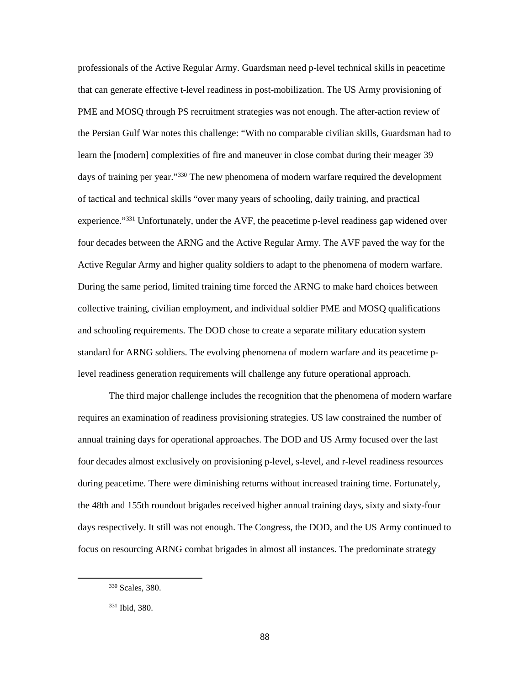professionals of the Active Regular Army. Guardsman need p-level technical skills in peacetime that can generate effective t-level readiness in post-mobilization. The US Army provisioning of PME and MOSQ through PS recruitment strategies was not enough. The after-action review of the Persian Gulf War notes this challenge: "With no comparable civilian skills, Guardsman had to learn the [modern] complexities of fire and maneuver in close combat during their meager 39 days of training per year."<sup>[330](#page-96-0)</sup> The new phenomena of modern warfare required the development of tactical and technical skills "over many years of schooling, daily training, and practical experience."<sup>[331](#page-96-1)</sup> Unfortunately, under the AVF, the peacetime p-level readiness gap widened over four decades between the ARNG and the Active Regular Army. The AVF paved the way for the Active Regular Army and higher quality soldiers to adapt to the phenomena of modern warfare. During the same period, limited training time forced the ARNG to make hard choices between collective training, civilian employment, and individual soldier PME and MOSQ qualifications and schooling requirements. The DOD chose to create a separate military education system standard for ARNG soldiers. The evolving phenomena of modern warfare and its peacetime plevel readiness generation requirements will challenge any future operational approach.

The third major challenge includes the recognition that the phenomena of modern warfare requires an examination of readiness provisioning strategies. US law constrained the number of annual training days for operational approaches. The DOD and US Army focused over the last four decades almost exclusively on provisioning p-level, s-level, and r-level readiness resources during peacetime. There were diminishing returns without increased training time. Fortunately, the 48th and 155th roundout brigades received higher annual training days, sixty and sixty-four days respectively. It still was not enough. The Congress, the DOD, and the US Army continued to focus on resourcing ARNG combat brigades in almost all instances. The predominate strategy

<span id="page-96-0"></span><sup>330</sup> Scales, 380.

<span id="page-96-1"></span><sup>331</sup> Ibid, 380.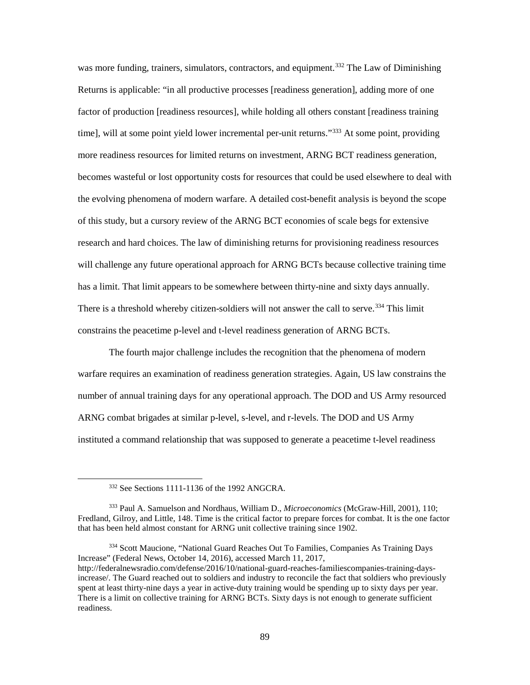was more funding, trainers, simulators, contractors, and equipment.<sup>[332](#page-97-0)</sup> The Law of Diminishing Returns is applicable: "in all productive processes [readiness generation], adding more of one factor of production [readiness resources], while holding all others constant [readiness training time], will at some point yield lower incremental per-unit returns."<sup>[333](#page-97-1)</sup> At some point, providing more readiness resources for limited returns on investment, ARNG BCT readiness generation, becomes wasteful or lost opportunity costs for resources that could be used elsewhere to deal with the evolving phenomena of modern warfare. A detailed cost-benefit analysis is beyond the scope of this study, but a cursory review of the ARNG BCT economies of scale begs for extensive research and hard choices. The law of diminishing returns for provisioning readiness resources will challenge any future operational approach for ARNG BCTs because collective training time has a limit. That limit appears to be somewhere between thirty-nine and sixty days annually. There is a threshold whereby citizen-soldiers will not answer the call to serve.<sup>[334](#page-97-2)</sup> This limit constrains the peacetime p-level and t-level readiness generation of ARNG BCTs.

The fourth major challenge includes the recognition that the phenomena of modern warfare requires an examination of readiness generation strategies. Again, US law constrains the number of annual training days for any operational approach. The DOD and US Army resourced ARNG combat brigades at similar p-level, s-level, and r-levels. The DOD and US Army instituted a command relationship that was supposed to generate a peacetime t-level readiness

<span id="page-97-0"></span> $\overline{\phantom{a}}$ 

<span id="page-97-2"></span><sup>334</sup> Scott Maucione, "National Guard Reaches Out To Families, Companies As Training Days Increase" (Federal News, October 14, 2016), accessed March 11, 2017, http://federalnewsradio.com/defense/2016/10/national-guard-reaches-familiescompanies-training-daysincrease/. The Guard reached out to soldiers and industry to reconcile the fact that soldiers who previously spent at least thirty-nine days a year in active-duty training would be spending up to sixty days per year. There is a limit on collective training for ARNG BCTs. Sixty days is not enough to generate sufficient readiness.

<sup>332</sup> See Sections 1111-1136 of the 1992 ANGCRA.

<span id="page-97-1"></span><sup>333</sup> Paul A. Samuelson and Nordhaus, William D., *Microeconomics* (McGraw-Hill, 2001), 110; Fredland, Gilroy, and Little, 148. Time is the critical factor to prepare forces for combat. It is the one factor that has been held almost constant for ARNG unit collective training since 1902.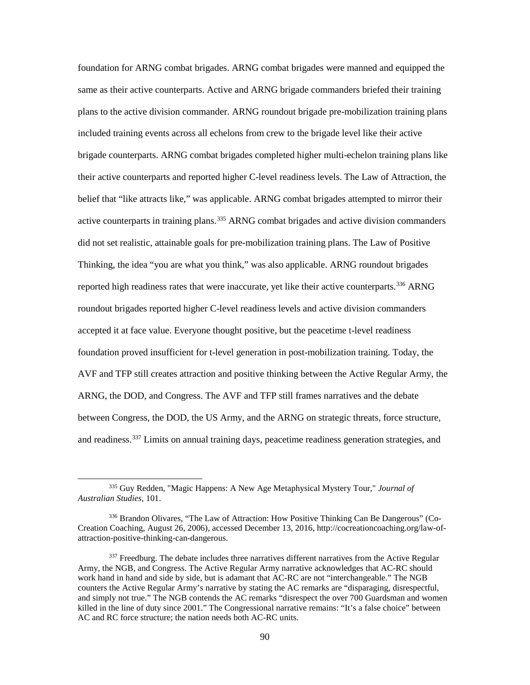foundation for ARNG combat brigades. ARNG combat brigades were manned and equipped the same as their active counterparts. Active and ARNG brigade commanders briefed their training plans to the active division commander. ARNG roundout brigade pre-mobilization training plans included training events across all echelons from crew to the brigade level like their active brigade counterparts. ARNG combat brigades completed higher multi-echelon training plans like their active counterparts and reported higher C-level readiness levels. The Law of Attraction, the belief that "like attracts like," was applicable. ARNG combat brigades attempted to mirror their active counterparts in training plans.<sup>[335](#page-98-0)</sup> ARNG combat brigades and active division commanders did not set realistic, attainable goals for pre-mobilization training plans. The Law of Positive Thinking, the idea "you are what you think," was also applicable. ARNG roundout brigades reported high readiness rates that were inaccurate, yet like their active counterparts.<sup>[336](#page-98-1)</sup> ARNG roundout brigades reported higher C-level readiness levels and active division commanders accepted it at face value. Everyone thought positive, but the peacetime t-level readiness foundation proved insufficient for t-level generation in post-mobilization training. Today, the AVF and TFP still creates attraction and positive thinking between the Active Regular Army, the ARNG, the DOD, and Congress. The AVF and TFP still frames narratives and the debate between Congress, the DOD, the US Army, and the ARNG on strategic threats, force structure, and readiness.<sup>[337](#page-98-2)</sup> Limits on annual training days, peacetime readiness generation strategies, and

<span id="page-98-0"></span><sup>335</sup> Guy Redden, "Magic Happens: A New Age Metaphysical Mystery Tour," *Journal of Australian Studies*, 101.

<span id="page-98-1"></span><sup>336</sup> Brandon Olivares, "The Law of Attraction: How Positive Thinking Can Be Dangerous" (Co-Creation Coaching, August 26, 2006), accessed December 13, 2016, http://cocreationcoaching.org/law-ofattraction-positive-thinking-can-dangerous.

<span id="page-98-2"></span><sup>&</sup>lt;sup>337</sup> Freedburg. The debate includes three narratives different narratives from the Active Regular Army, the NGB, and Congress. The Active Regular Army narrative acknowledges that AC-RC should work hand in hand and side by side, but is adamant that AC-RC are not "interchangeable." The NGB counters the Active Regular Army's narrative by stating the AC remarks are "disparaging, disrespectful, and simply not true." The NGB contends the AC remarks "disrespect the over 700 Guardsman and women killed in the line of duty since 2001." The Congressional narrative remains: "It's a false choice" between AC and RC force structure; the nation needs both AC-RC units.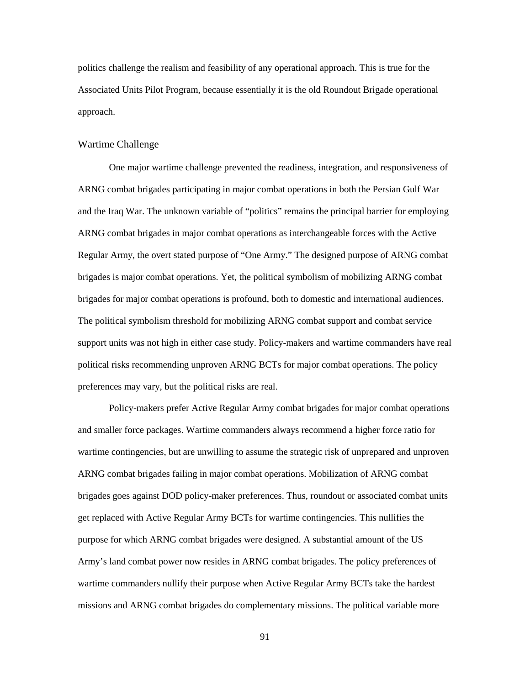politics challenge the realism and feasibility of any operational approach. This is true for the Associated Units Pilot Program, because essentially it is the old Roundout Brigade operational approach.

### Wartime Challenge

One major wartime challenge prevented the readiness, integration, and responsiveness of ARNG combat brigades participating in major combat operations in both the Persian Gulf War and the Iraq War. The unknown variable of "politics" remains the principal barrier for employing ARNG combat brigades in major combat operations as interchangeable forces with the Active Regular Army, the overt stated purpose of "One Army." The designed purpose of ARNG combat brigades is major combat operations. Yet, the political symbolism of mobilizing ARNG combat brigades for major combat operations is profound, both to domestic and international audiences. The political symbolism threshold for mobilizing ARNG combat support and combat service support units was not high in either case study. Policy-makers and wartime commanders have real political risks recommending unproven ARNG BCTs for major combat operations. The policy preferences may vary, but the political risks are real.

Policy-makers prefer Active Regular Army combat brigades for major combat operations and smaller force packages. Wartime commanders always recommend a higher force ratio for wartime contingencies, but are unwilling to assume the strategic risk of unprepared and unproven ARNG combat brigades failing in major combat operations. Mobilization of ARNG combat brigades goes against DOD policy-maker preferences. Thus, roundout or associated combat units get replaced with Active Regular Army BCTs for wartime contingencies. This nullifies the purpose for which ARNG combat brigades were designed. A substantial amount of the US Army's land combat power now resides in ARNG combat brigades. The policy preferences of wartime commanders nullify their purpose when Active Regular Army BCTs take the hardest missions and ARNG combat brigades do complementary missions. The political variable more

91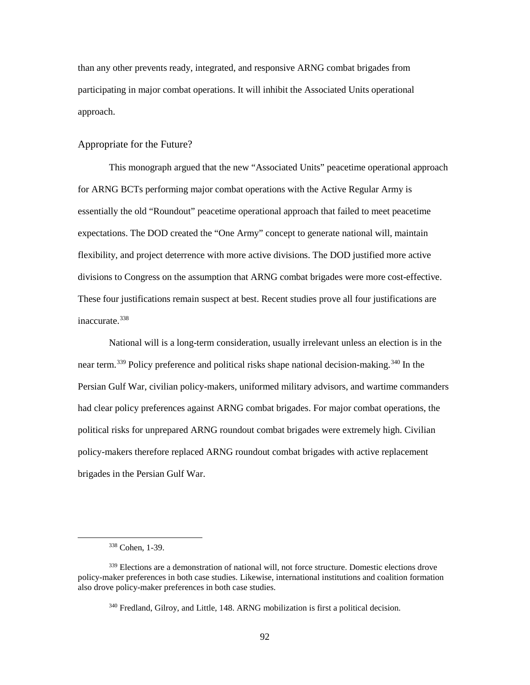than any other prevents ready, integrated, and responsive ARNG combat brigades from participating in major combat operations. It will inhibit the Associated Units operational approach.

### Appropriate for the Future?

This monograph argued that the new "Associated Units" peacetime operational approach for ARNG BCTs performing major combat operations with the Active Regular Army is essentially the old "Roundout" peacetime operational approach that failed to meet peacetime expectations. The DOD created the "One Army" concept to generate national will, maintain flexibility, and project deterrence with more active divisions. The DOD justified more active divisions to Congress on the assumption that ARNG combat brigades were more cost-effective. These four justifications remain suspect at best. Recent studies prove all four justifications are inaccurate 338

National will is a long-term consideration, usually irrelevant unless an election is in the near term.<sup>[339](#page-100-1)</sup> Policy preference and political risks shape national decision-making.<sup>[340](#page-100-2)</sup> In the Persian Gulf War, civilian policy-makers, uniformed military advisors, and wartime commanders had clear policy preferences against ARNG combat brigades. For major combat operations, the political risks for unprepared ARNG roundout combat brigades were extremely high. Civilian policy-makers therefore replaced ARNG roundout combat brigades with active replacement brigades in the Persian Gulf War.

<sup>338</sup> Cohen, 1-39.

<span id="page-100-2"></span><span id="page-100-1"></span><span id="page-100-0"></span><sup>&</sup>lt;sup>339</sup> Elections are a demonstration of national will, not force structure. Domestic elections drove policy-maker preferences in both case studies. Likewise, international institutions and coalition formation also drove policy-maker preferences in both case studies.

<sup>&</sup>lt;sup>340</sup> Fredland, Gilroy, and Little, 148. ARNG mobilization is first a political decision.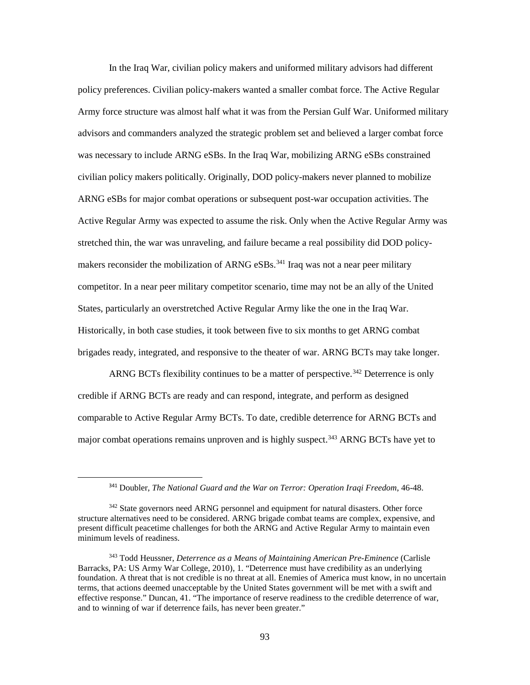In the Iraq War, civilian policy makers and uniformed military advisors had different policy preferences. Civilian policy-makers wanted a smaller combat force. The Active Regular Army force structure was almost half what it was from the Persian Gulf War. Uniformed military advisors and commanders analyzed the strategic problem set and believed a larger combat force was necessary to include ARNG eSBs. In the Iraq War, mobilizing ARNG eSBs constrained civilian policy makers politically. Originally, DOD policy-makers never planned to mobilize ARNG eSBs for major combat operations or subsequent post-war occupation activities. The Active Regular Army was expected to assume the risk. Only when the Active Regular Army was stretched thin, the war was unraveling, and failure became a real possibility did DOD policy-makers reconsider the mobilization of ARNG eSBs.<sup>[341](#page-101-0)</sup> Iraq was not a near peer military competitor. In a near peer military competitor scenario, time may not be an ally of the United States, particularly an overstretched Active Regular Army like the one in the Iraq War. Historically, in both case studies, it took between five to six months to get ARNG combat brigades ready, integrated, and responsive to the theater of war. ARNG BCTs may take longer.

ARNG BCTs flexibility continues to be a matter of perspective.<sup>[342](#page-101-1)</sup> Deterrence is only credible if ARNG BCTs are ready and can respond, integrate, and perform as designed comparable to Active Regular Army BCTs. To date, credible deterrence for ARNG BCTs and major combat operations remains unproven and is highly suspect.<sup>[343](#page-101-2)</sup> ARNG BCTs have yet to

 <sup>341</sup> Doubler, *The National Guard and the War on Terror: Operation Iraqi Freedom*, 46-48.

<span id="page-101-1"></span><span id="page-101-0"></span><sup>&</sup>lt;sup>342</sup> State governors need ARNG personnel and equipment for natural disasters. Other force structure alternatives need to be considered. ARNG brigade combat teams are complex, expensive, and present difficult peacetime challenges for both the ARNG and Active Regular Army to maintain even minimum levels of readiness.

<span id="page-101-2"></span><sup>343</sup> Todd Heussner, *Deterrence as a Means of Maintaining American Pre-Eminence* (Carlisle Barracks, PA: US Army War College, 2010), 1. "Deterrence must have credibility as an underlying foundation. A threat that is not credible is no threat at all. Enemies of America must know, in no uncertain terms, that actions deemed unacceptable by the United States government will be met with a swift and effective response." Duncan, 41. "The importance of reserve readiness to the credible deterrence of war, and to winning of war if deterrence fails, has never been greater."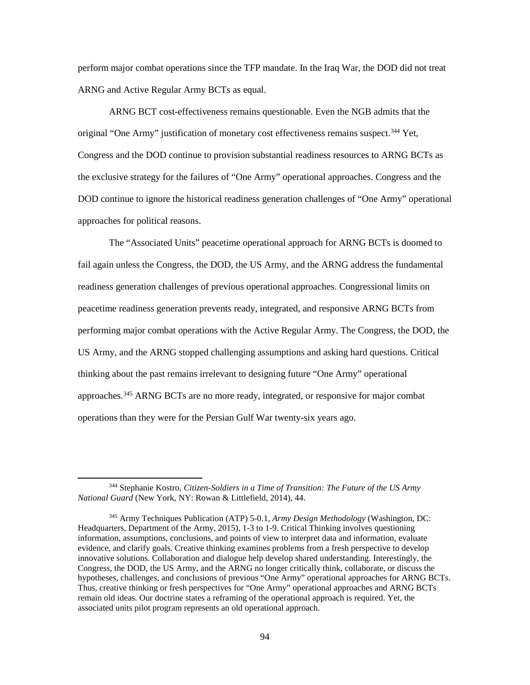perform major combat operations since the TFP mandate. In the Iraq War, the DOD did not treat ARNG and Active Regular Army BCTs as equal.

ARNG BCT cost-effectiveness remains questionable. Even the NGB admits that the original "One Army" justification of monetary cost effectiveness remains suspect.<sup>[344](#page-102-0)</sup> Yet, Congress and the DOD continue to provision substantial readiness resources to ARNG BCTs as the exclusive strategy for the failures of "One Army" operational approaches. Congress and the DOD continue to ignore the historical readiness generation challenges of "One Army" operational approaches for political reasons.

The "Associated Units" peacetime operational approach for ARNG BCTs is doomed to fail again unless the Congress, the DOD, the US Army, and the ARNG address the fundamental readiness generation challenges of previous operational approaches. Congressional limits on peacetime readiness generation prevents ready, integrated, and responsive ARNG BCTs from performing major combat operations with the Active Regular Army. The Congress, the DOD, the US Army, and the ARNG stopped challenging assumptions and asking hard questions. Critical thinking about the past remains irrelevant to designing future "One Army" operational approaches.[345](#page-102-1) ARNG BCTs are no more ready, integrated, or responsive for major combat operations than they were for the Persian Gulf War twenty-six years ago.

<span id="page-102-0"></span><sup>344</sup> Stephanie Kostro, *Citizen-Soldiers in a Time of Transition: The Future of the US Army National Guard* (New York, NY: Rowan & Littlefield, 2014), 44.

<span id="page-102-1"></span><sup>345</sup> Army Techniques Publication (ATP) 5-0.1, *Army Design Methodology* (Washington, DC: Headquarters, Department of the Army, 2015), 1-3 to 1-9. Critical Thinking involves questioning information, assumptions, conclusions, and points of view to interpret data and information, evaluate evidence, and clarify goals. Creative thinking examines problems from a fresh perspective to develop innovative solutions. Collaboration and dialogue help develop shared understanding. Interestingly, the Congress, the DOD, the US Army, and the ARNG no longer critically think, collaborate, or discuss the hypotheses, challenges, and conclusions of previous "One Army" operational approaches for ARNG BCTs. Thus, creative thinking or fresh perspectives for "One Army" operational approaches and ARNG BCTs remain old ideas. Our doctrine states a reframing of the operational approach is required. Yet, the associated units pilot program represents an old operational approach.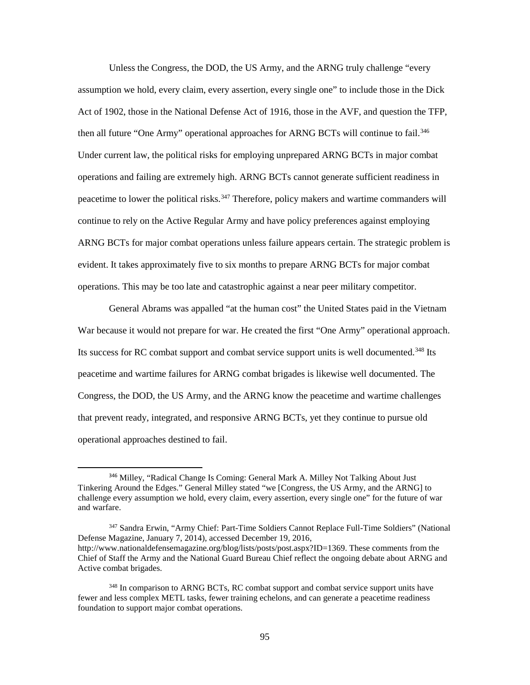Unless the Congress, the DOD, the US Army, and the ARNG truly challenge "every assumption we hold, every claim, every assertion, every single one" to include those in the Dick Act of 1902, those in the National Defense Act of 1916, those in the AVF, and question the TFP, then all future "One Army" operational approaches for ARNG BCTs will continue to fail.<sup>[346](#page-103-0)</sup> Under current law, the political risks for employing unprepared ARNG BCTs in major combat operations and failing are extremely high. ARNG BCTs cannot generate sufficient readiness in peacetime to lower the political risks.<sup>347</sup> Therefore, policy makers and wartime commanders will continue to rely on the Active Regular Army and have policy preferences against employing ARNG BCTs for major combat operations unless failure appears certain. The strategic problem is evident. It takes approximately five to six months to prepare ARNG BCTs for major combat operations. This may be too late and catastrophic against a near peer military competitor.

General Abrams was appalled "at the human cost" the United States paid in the Vietnam War because it would not prepare for war. He created the first "One Army" operational approach. Its success for RC combat support and combat service support units is well documented.<sup>[348](#page-103-2)</sup> Its peacetime and wartime failures for ARNG combat brigades is likewise well documented. The Congress, the DOD, the US Army, and the ARNG know the peacetime and wartime challenges that prevent ready, integrated, and responsive ARNG BCTs, yet they continue to pursue old operational approaches destined to fail.

<span id="page-103-0"></span> <sup>346</sup> Milley, "Radical Change Is Coming: General Mark A. Milley Not Talking About Just Tinkering Around the Edges." General Milley stated "we [Congress, the US Army, and the ARNG] to challenge every assumption we hold, every claim, every assertion, every single one" for the future of war and warfare.

<span id="page-103-1"></span><sup>347</sup> Sandra Erwin, "Army Chief: Part-Time Soldiers Cannot Replace Full-Time Soldiers" (National Defense Magazine, January 7, 2014), accessed December 19, 2016, http://www.nationaldefensemagazine.org/blog/lists/posts/post.aspx?ID=1369. These comments from the Chief of Staff the Army and the National Guard Bureau Chief reflect the ongoing debate about ARNG and Active combat brigades.

<span id="page-103-2"></span><sup>348</sup> In comparison to ARNG BCTs, RC combat support and combat service support units have fewer and less complex METL tasks, fewer training echelons, and can generate a peacetime readiness foundation to support major combat operations.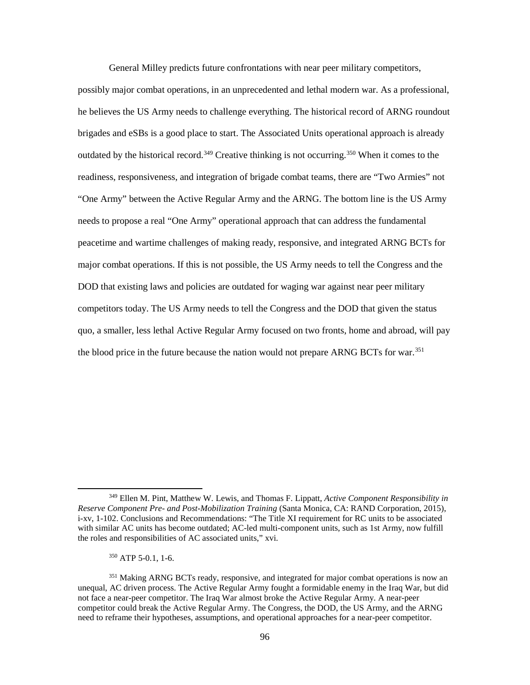General Milley predicts future confrontations with near peer military competitors, possibly major combat operations, in an unprecedented and lethal modern war. As a professional, he believes the US Army needs to challenge everything. The historical record of ARNG roundout brigades and eSBs is a good place to start. The Associated Units operational approach is already outdated by the historical record.<sup>[349](#page-104-0)</sup> Creative thinking is not occurring.<sup>[350](#page-104-1)</sup> When it comes to the readiness, responsiveness, and integration of brigade combat teams, there are "Two Armies" not "One Army" between the Active Regular Army and the ARNG. The bottom line is the US Army needs to propose a real "One Army" operational approach that can address the fundamental peacetime and wartime challenges of making ready, responsive, and integrated ARNG BCTs for major combat operations. If this is not possible, the US Army needs to tell the Congress and the DOD that existing laws and policies are outdated for waging war against near peer military competitors today. The US Army needs to tell the Congress and the DOD that given the status quo, a smaller, less lethal Active Regular Army focused on two fronts, home and abroad, will pay the blood price in the future because the nation would not prepare ARNG BCTs for war.<sup>[351](#page-104-2)</sup>

<sup>350</sup> ATP 5-0.1, 1-6.

<span id="page-104-0"></span><sup>349</sup> Ellen M. Pint, Matthew W. Lewis, and Thomas F. Lippatt, *Active Component Responsibility in Reserve Component Pre- and Post-Mobilization Training* (Santa Monica, CA: RAND Corporation, 2015), i-xv, 1-102. Conclusions and Recommendations: "The Title XI requirement for RC units to be associated with similar AC units has become outdated; AC-led multi-component units, such as 1st Army, now fulfill the roles and responsibilities of AC associated units," xvi.

<span id="page-104-2"></span><span id="page-104-1"></span><sup>&</sup>lt;sup>351</sup> Making ARNG BCTs ready, responsive, and integrated for major combat operations is now an unequal, AC driven process. The Active Regular Army fought a formidable enemy in the Iraq War, but did not face a near-peer competitor. The Iraq War almost broke the Active Regular Army. A near-peer competitor could break the Active Regular Army. The Congress, the DOD, the US Army, and the ARNG need to reframe their hypotheses, assumptions, and operational approaches for a near-peer competitor.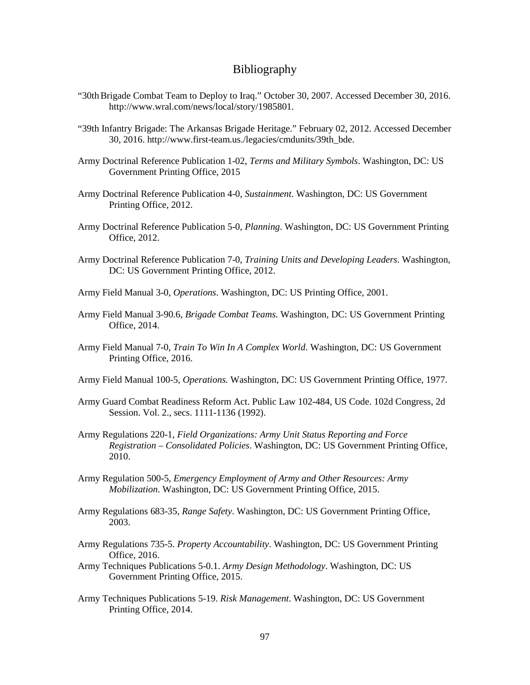## Bibliography

- "30th Brigade Combat Team to Deploy to Iraq." October 30, 2007. Accessed December 30, 2016. http://www.wral.com/news/local/story/1985801.
- "39th Infantry Brigade: The Arkansas Brigade Heritage." February 02, 2012. Accessed December 30, 2016. http://www.first-team.us./legacies/cmdunits/39th\_bde.
- Army Doctrinal Reference Publication 1-02, *Terms and Military Symbols*. Washington, DC: US Government Printing Office, 2015
- Army Doctrinal Reference Publication 4-0, *Sustainment*. Washington, DC: US Government Printing Office, 2012.
- Army Doctrinal Reference Publication 5-0, *Planning*. Washington, DC: US Government Printing Office, 2012.
- Army Doctrinal Reference Publication 7-0, *Training Units and Developing Leaders*. Washington, DC: US Government Printing Office, 2012.
- Army Field Manual 3-0, *Operations*. Washington, DC: US Printing Office, 2001.
- Army Field Manual 3-90.6, *Brigade Combat Teams.* Washington, DC: US Government Printing Office, 2014.
- Army Field Manual 7-0, *Train To Win In A Complex World*. Washington, DC: US Government Printing Office, 2016.
- Army Field Manual 100-5, *Operations.* Washington, DC: US Government Printing Office, 1977.
- Army Guard Combat Readiness Reform Act. Public Law 102-484, US Code. 102d Congress, 2d Session. Vol. 2., secs. 1111-1136 (1992).
- Army Regulations 220-1, *Field Organizations: Army Unit Status Reporting and Force Registration – Consolidated Policies*. Washington, DC: US Government Printing Office, 2010.
- Army Regulation 500-5, *Emergency Employment of Army and Other Resources: Army Mobilization*. Washington, DC: US Government Printing Office, 2015.
- Army Regulations 683-35, *Range Safety*. Washington, DC: US Government Printing Office, 2003.
- Army Regulations 735-5. *Property Accountability*. Washington, DC: US Government Printing Office, 2016.
- Army Techniques Publications 5-0.1. *Army Design Methodology*. Washington, DC: US Government Printing Office, 2015.
- Army Techniques Publications 5-19. *Risk Management*. Washington, DC: US Government Printing Office, 2014.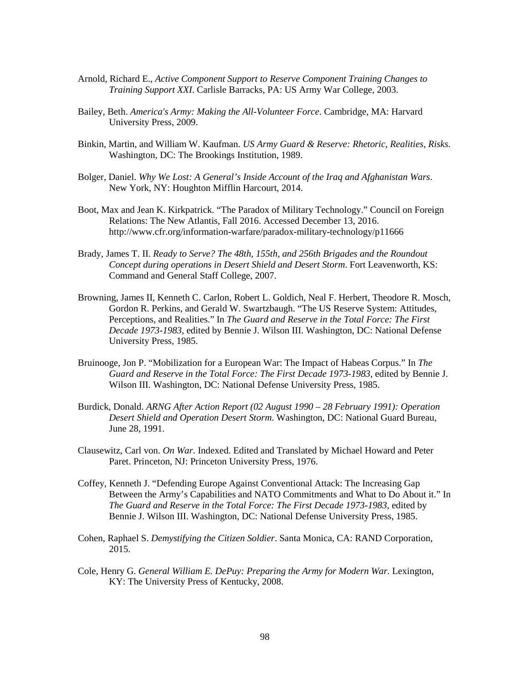- Arnold, Richard E., *Active Component Support to Reserve Component Training Changes to Training Support XXI*. Carlisle Barracks, PA: US Army War College, 2003.
- Bailey, Beth. *America's Army: Making the All-Volunteer Force*. Cambridge, MA: Harvard University Press, 2009.
- Binkin, Martin, and William W. Kaufman. *US Army Guard & Reserve: Rhetoric, Realities, Risks.*  Washington, DC: The Brookings Institution, 1989.
- Bolger, Daniel. *Why We Lost: A General's Inside Account of the Iraq and Afghanistan Wars*. New York, NY: Houghton Mifflin Harcourt, 2014.
- Boot, Max and Jean K. Kirkpatrick. "The Paradox of Military Technology." Council on Foreign Relations: The New Atlantis, Fall 2016. Accessed December 13, 2016. http://www.cfr.org/information-warfare/paradox-military-technology/p11666
- Brady, James T. II. *Ready to Serve? The 48th, 155th, and 256th Brigades and the Roundout Concept during operations in Desert Shield and Desert Storm*. Fort Leavenworth, KS: Command and General Staff College, 2007.
- Browning, James II, Kenneth C. Carlon, Robert L. Goldich, Neal F. Herbert, Theodore R. Mosch, Gordon R. Perkins, and Gerald W. Swartzbaugh. "The US Reserve System: Attitudes, Perceptions, and Realities." In *The Guard and Reserve in the Total Force: The First Decade 1973-1983*, edited by Bennie J. Wilson III. Washington, DC: National Defense University Press, 1985.
- Bruinooge, Jon P. "Mobilization for a European War: The Impact of Habeas Corpus." In *The Guard and Reserve in the Total Force: The First Decade 1973-1983*, edited by Bennie J. Wilson III. Washington, DC: National Defense University Press, 1985.
- Burdick, Donald. *ARNG After Action Report (02 August 1990 – 28 February 1991): Operation Desert Shield and Operation Desert Storm*. Washington, DC: National Guard Bureau, June 28, 1991.
- Clausewitz, Carl von. *On War*. Indexed. Edited and Translated by Michael Howard and Peter Paret. Princeton, NJ: Princeton University Press, 1976.
- Coffey, Kenneth J. "Defending Europe Against Conventional Attack: The Increasing Gap Between the Army's Capabilities and NATO Commitments and What to Do About it." In *The Guard and Reserve in the Total Force: The First Decade 1973-1983*, edited by Bennie J. Wilson III. Washington, DC: National Defense University Press, 1985.
- Cohen, Raphael S. *Demystifying the Citizen Soldier*. Santa Monica, CA: RAND Corporation, 2015.
- Cole, Henry G. *General William E. DePuy: Preparing the Army for Modern War.* Lexington, KY: The University Press of Kentucky, 2008.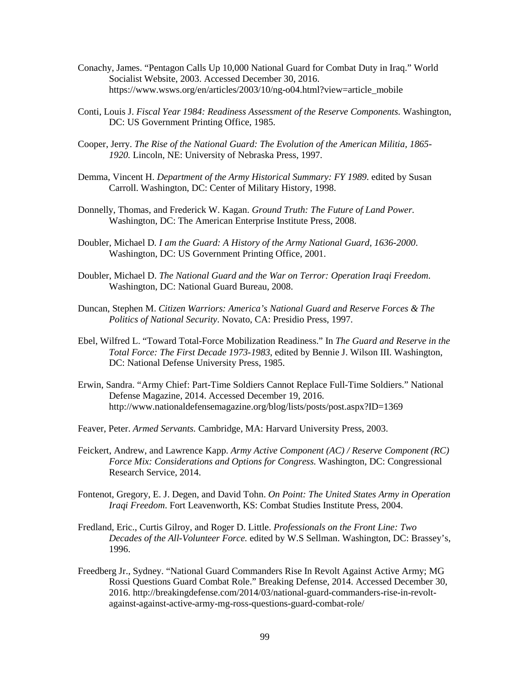- Conachy, James. "Pentagon Calls Up 10,000 National Guard for Combat Duty in Iraq." World Socialist Website, 2003. Accessed December 30, 2016. https://www.wsws.org/en/articles/2003/10/ng-o04.html?view=article\_mobile
- Conti, Louis J. *Fiscal Year 1984: Readiness Assessment of the Reserve Components.* Washington, DC: US Government Printing Office, 1985.
- Cooper, Jerry. *The Rise of the National Guard: The Evolution of the American Militia, 1865- 1920.* Lincoln, NE: University of Nebraska Press, 1997.
- Demma, Vincent H. *Department of the Army Historical Summary: FY 1989*. edited by Susan Carroll. Washington, DC: Center of Military History, 1998.
- Donnelly, Thomas, and Frederick W. Kagan. *Ground Truth: The Future of Land Power.* Washington, DC: The American Enterprise Institute Press, 2008.
- Doubler, Michael D*. I am the Guard: A History of the Army National Guard, 1636-2000*. Washington, DC: US Government Printing Office, 2001.
- Doubler, Michael D. *The National Guard and the War on Terror: Operation Iraqi Freedom*. Washington, DC: National Guard Bureau, 2008.
- Duncan, Stephen M. *Citizen Warriors: America's National Guard and Reserve Forces & The Politics of National Security*. Novato, CA: Presidio Press, 1997.
- Ebel, Wilfred L. "Toward Total-Force Mobilization Readiness." In *The Guard and Reserve in the Total Force: The First Decade 1973-1983*, edited by Bennie J. Wilson III. Washington, DC: National Defense University Press, 1985.
- Erwin, Sandra. "Army Chief: Part-Time Soldiers Cannot Replace Full-Time Soldiers." National Defense Magazine, 2014. Accessed December 19, 2016. http://www.nationaldefensemagazine.org/blog/lists/posts/post.aspx?ID=1369
- Feaver, Peter. *Armed Servants.* Cambridge, MA: Harvard University Press, 2003.
- Feickert, Andrew, and Lawrence Kapp. *Army Active Component (AC) / Reserve Component (RC) Force Mix: Considerations and Options for Congress.* Washington, DC: Congressional Research Service, 2014.
- Fontenot, Gregory, E. J. Degen, and David Tohn. *On Point: The United States Army in Operation Iraqi Freedom*. Fort Leavenworth, KS: Combat Studies Institute Press, 2004.
- Fredland, Eric., Curtis Gilroy, and Roger D. Little. *Professionals on the Front Line: Two Decades of the All-Volunteer Force.* edited by W.S Sellman. Washington, DC: Brassey's, 1996.
- Freedberg Jr., Sydney. "National Guard Commanders Rise In Revolt Against Active Army; MG Rossi Questions Guard Combat Role." Breaking Defense, 2014. Accessed December 30, 2016. http://breakingdefense.com/2014/03/national-guard-commanders-rise-in-revoltagainst-against-active-army-mg-ross-questions-guard-combat-role/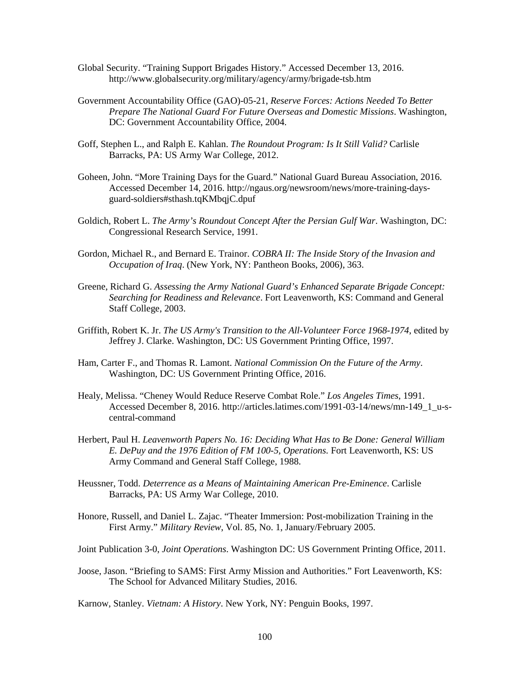- Global Security. "Training Support Brigades History." Accessed December 13, 2016. http://www.globalsecurity.org/military/agency/army/brigade-tsb.htm
- Government Accountability Office (GAO)-05-21, *Reserve Forces: Actions Needed To Better Prepare The National Guard For Future Overseas and Domestic Missions*. Washington, DC: Government Accountability Office, 2004.
- Goff, Stephen L., and Ralph E. Kahlan. *The Roundout Program: Is It Still Valid?* Carlisle Barracks, PA: US Army War College, 2012.
- Goheen, John. "More Training Days for the Guard." National Guard Bureau Association, 2016. Accessed December 14, 2016. http://ngaus.org/newsroom/news/more-training-daysguard-soldiers#sthash.tqKMbqjC.dpuf
- Goldich, Robert L. *The Army's Roundout Concept After the Persian Gulf War*. Washington, DC: Congressional Research Service, 1991.
- Gordon, Michael R., and Bernard E. Trainor. *COBRA II: The Inside Story of the Invasion and Occupation of Iraq*. (New York, NY: Pantheon Books, 2006), 363.
- Greene, Richard G. *Assessing the Army National Guard's Enhanced Separate Brigade Concept: Searching for Readiness and Relevance*. Fort Leavenworth, KS: Command and General Staff College, 2003.
- Griffith, Robert K. Jr. *The US Army's Transition to the All-Volunteer Force 1968-1974*, edited by Jeffrey J. Clarke. Washington, DC: US Government Printing Office, 1997.
- Ham, Carter F., and Thomas R. Lamont. *National Commission On the Future of the Army*. Washington, DC: US Government Printing Office, 2016.
- Healy, Melissa. "Cheney Would Reduce Reserve Combat Role." *Los Angeles Times*, 1991. Accessed December 8, 2016. http://articles.latimes.com/1991-03-14/news/mn-149\_1\_u-scentral-command
- Herbert, Paul H. *Leavenworth Papers No. 16: Deciding What Has to Be Done: General William E. DePuy and the 1976 Edition of FM 100-5, Operations.* Fort Leavenworth, KS: US Army Command and General Staff College, 1988.
- Heussner, Todd. *Deterrence as a Means of Maintaining American Pre-Eminence*. Carlisle Barracks, PA: US Army War College, 2010.
- Honore, Russell, and Daniel L. Zajac. "Theater Immersion: Post-mobilization Training in the First Army." *Military Review*, Vol. 85, No. 1, January/February 2005.

Joint Publication 3-0, *Joint Operations*. Washington DC: US Government Printing Office, 2011.

Joose, Jason. "Briefing to SAMS: First Army Mission and Authorities." Fort Leavenworth, KS: The School for Advanced Military Studies, 2016.

Karnow, Stanley. *Vietnam: A History*. New York, NY: Penguin Books, 1997.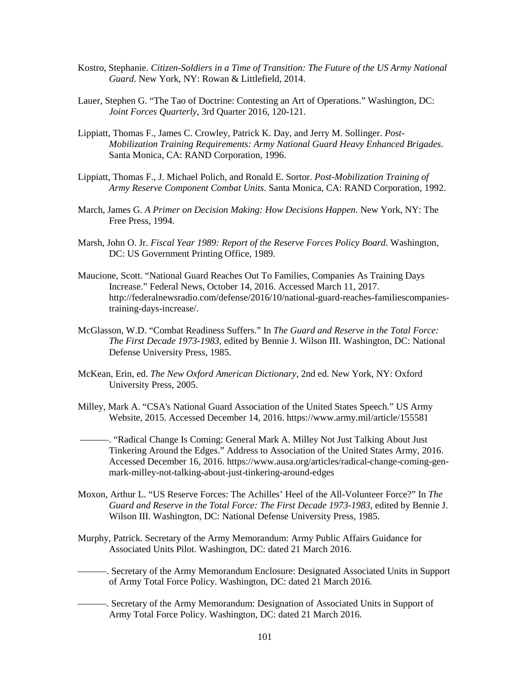- Kostro, Stephanie. *Citizen-Soldiers in a Time of Transition: The Future of the US Army National Guard*. New York, NY: Rowan & Littlefield, 2014.
- Lauer, Stephen G. "The Tao of Doctrine: Contesting an Art of Operations." Washington, DC: *Joint Forces Quarterly*, 3rd Quarter 2016, 120-121.
- Lippiatt, Thomas F., James C. Crowley, Patrick K. Day, and Jerry M. Sollinger. *Post-Mobilization Training Requirements: Army National Guard Heavy Enhanced Brigades*. Santa Monica, CA: RAND Corporation, 1996.
- Lippiatt, Thomas F., J. Michael Polich, and Ronald E. Sortor. *Post-Mobilization Training of Army Reserve Component Combat Units*. Santa Monica, CA: RAND Corporation, 1992.
- March, James G. *A Primer on Decision Making: How Decisions Happen.* New York, NY: The Free Press, 1994.
- Marsh, John O. Jr. *Fiscal Year 1989: Report of the Reserve Forces Policy Board*. Washington, DC: US Government Printing Office, 1989.
- Maucione, Scott. "National Guard Reaches Out To Families, Companies As Training Days Increase." Federal News, October 14, 2016. Accessed March 11, 2017. http://federalnewsradio.com/defense/2016/10/national-guard-reaches-familiescompaniestraining-days-increase/.
- McGlasson, W.D. "Combat Readiness Suffers." In *The Guard and Reserve in the Total Force: The First Decade 1973-1983*, edited by Bennie J. Wilson III. Washington, DC: National Defense University Press, 1985.
- McKean, Erin, ed. *The New Oxford American Dictionary*, 2nd ed. New York, NY: Oxford University Press, 2005.
- Milley, Mark A. "CSA's National Guard Association of the United States Speech." US Army Website, 2015. Accessed December 14, 2016. https://www.army.mil/article/155581
	- ———. "Radical Change Is Coming: General Mark A. Milley Not Just Talking About Just Tinkering Around the Edges." Address to Association of the United States Army, 2016. Accessed December 16, 2016. https://www.ausa.org/articles/radical-change-coming-genmark-milley-not-talking-about-just-tinkering-around-edges
- Moxon, Arthur L. "US Reserve Forces: The Achilles' Heel of the All-Volunteer Force?" In *The Guard and Reserve in the Total Force: The First Decade 1973-1983*, edited by Bennie J. Wilson III. Washington, DC: National Defense University Press, 1985.
- Murphy, Patrick. Secretary of the Army Memorandum: Army Public Affairs Guidance for Associated Units Pilot. Washington, DC: dated 21 March 2016.
- ———. Secretary of the Army Memorandum Enclosure: Designated Associated Units in Support of Army Total Force Policy. Washington, DC: dated 21 March 2016.
- ———. Secretary of the Army Memorandum: Designation of Associated Units in Support of Army Total Force Policy. Washington, DC: dated 21 March 2016.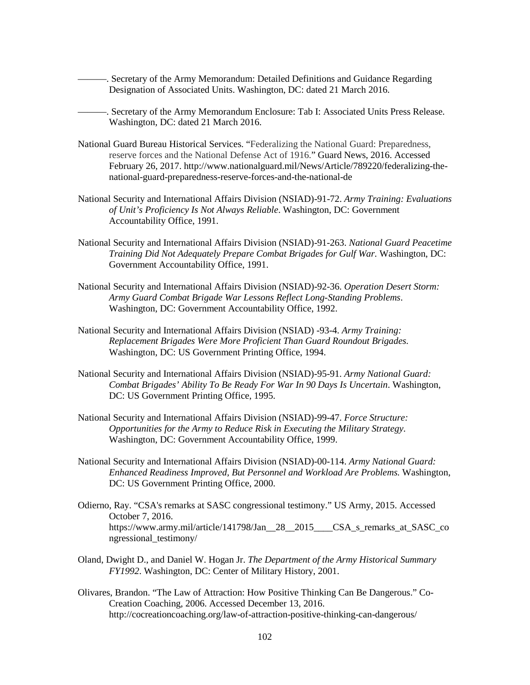———. Secretary of the Army Memorandum: Detailed Definitions and Guidance Regarding Designation of Associated Units. Washington, DC: dated 21 March 2016.

———. Secretary of the Army Memorandum Enclosure: Tab I: Associated Units Press Release. Washington, DC: dated 21 March 2016.

- National Guard Bureau Historical Services. "Federalizing the National Guard: Preparedness, reserve forces and the National Defense Act of 1916." Guard News, 2016. Accessed February 26, 2017. http://www.nationalguard.mil/News/Article/789220/federalizing-thenational-guard-preparedness-reserve-forces-and-the-national-de
- National Security and International Affairs Division (NSIAD)-91-72. *Army Training: Evaluations of Unit's Proficiency Is Not Always Reliable*. Washington, DC: Government Accountability Office, 1991.
- National Security and International Affairs Division (NSIAD)-91-263. *National Guard Peacetime Training Did Not Adequately Prepare Combat Brigades for Gulf War.* Washington, DC: Government Accountability Office, 1991.
- National Security and International Affairs Division (NSIAD)-92-36. *Operation Desert Storm: Army Guard Combat Brigade War Lessons Reflect Long-Standing Problems*. Washington, DC: Government Accountability Office, 1992.
- National Security and International Affairs Division (NSIAD) -93-4. *Army Training: Replacement Brigades Were More Proficient Than Guard Roundout Brigades.*  Washington, DC: US Government Printing Office, 1994.
- National Security and International Affairs Division (NSIAD)-95-91. *Army National Guard: Combat Brigades' Ability To Be Ready For War In 90 Days Is Uncertain*. Washington, DC: US Government Printing Office, 1995.
- National Security and International Affairs Division (NSIAD)-99-47. *Force Structure: Opportunities for the Army to Reduce Risk in Executing the Military Strategy*. Washington, DC: Government Accountability Office, 1999.
- National Security and International Affairs Division (NSIAD)-00-114. *Army National Guard: Enhanced Readiness Improved, But Personnel and Workload Are Problems.* Washington, DC: US Government Printing Office, 2000.
- Odierno, Ray. "CSA's remarks at SASC congressional testimony." US Army, 2015. Accessed October 7, 2016. https://www.army.mil/article/141798/Jan\_\_28\_\_2015\_\_\_\_CSA\_s\_remarks\_at\_SASC\_co ngressional\_testimony/
- Oland, Dwight D., and Daniel W. Hogan Jr. *The Department of the Army Historical Summary FY1992*. Washington, DC: Center of Military History, 2001.
- Olivares, Brandon. "The Law of Attraction: How Positive Thinking Can Be Dangerous." Co-Creation Coaching, 2006. Accessed December 13, 2016. http://cocreationcoaching.org/law-of-attraction-positive-thinking-can-dangerous/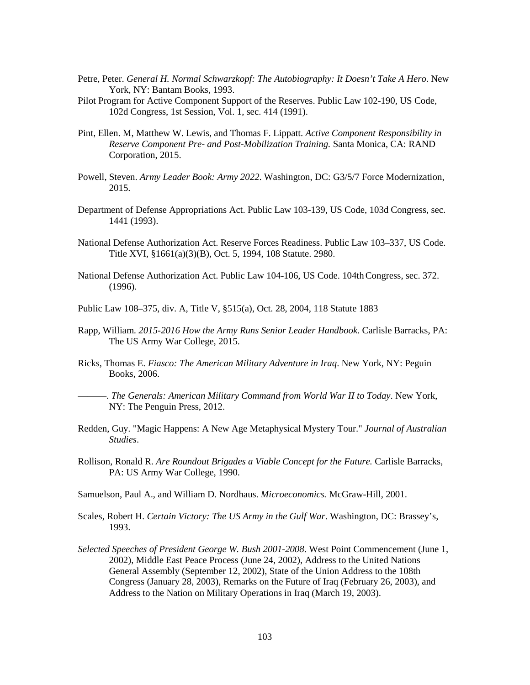- Petre, Peter. *General H. Normal Schwarzkopf: The Autobiography: It Doesn't Take A Hero*. New York, NY: Bantam Books, 1993.
- Pilot Program for Active Component Support of the Reserves. Public Law 102-190, US Code, 102d Congress, 1st Session, Vol. 1, sec. 414 (1991).
- Pint, Ellen. M, Matthew W. Lewis, and Thomas F. Lippatt. *Active Component Responsibility in Reserve Component Pre- and Post-Mobilization Training.* Santa Monica, CA: RAND Corporation, 2015.
- Powell, Steven. *Army Leader Book: Army 2022*. Washington, DC: G3/5/7 Force Modernization, 2015.
- Department of Defense Appropriations Act. Public Law 103-139, US Code, 103d Congress, sec. 1441 (1993).
- National Defense Authorization Act. Reserve Forces Readiness. Public Law 103–337, US Code. Title XVI, §1661(a)(3)(B), Oct. 5, 1994, 108 Statute. 2980.
- National Defense Authorization Act. Public Law 104-106, US Code. 104th Congress, sec. 372. (1996).
- [Public Law 108–375, div. A, Title V, §515\(a\), Oct. 28, 2004, 118 Statute 1883](http://uscode.house.gov/statviewer.htm?volume=118&page=1883)
- Rapp, William. *2015-2016 How the Army Runs Senior Leader Handbook*. Carlisle Barracks, PA: The US Army War College, 2015.
- Ricks, Thomas E. *Fiasco: The American Military Adventure in Iraq*. New York, NY: Peguin Books, 2006.
- ———. *The Generals: American Military Command from World War II to Today*. New York, NY: The Penguin Press, 2012.
- Redden, Guy. "Magic Happens: A New Age Metaphysical Mystery Tour." *Journal of Australian Studies*.
- Rollison, Ronald R. *Are Roundout Brigades a Viable Concept for the Future.* Carlisle Barracks, PA: US Army War College, 1990.
- Samuelson, Paul A., and William D. Nordhaus. *Microeconomics.* McGraw-Hill, 2001.
- Scales, Robert H. *Certain Victory: The US Army in the Gulf War*. Washington, DC: Brassey's, 1993.
- *Selected Speeches of President George W. Bush 2001-2008*. West Point Commencement (June 1, 2002), Middle East Peace Process (June 24, 2002), Address to the United Nations General Assembly (September 12, 2002), State of the Union Address to the 108th Congress (January 28, 2003), Remarks on the Future of Iraq (February 26, 2003), and Address to the Nation on Military Operations in Iraq (March 19, 2003).